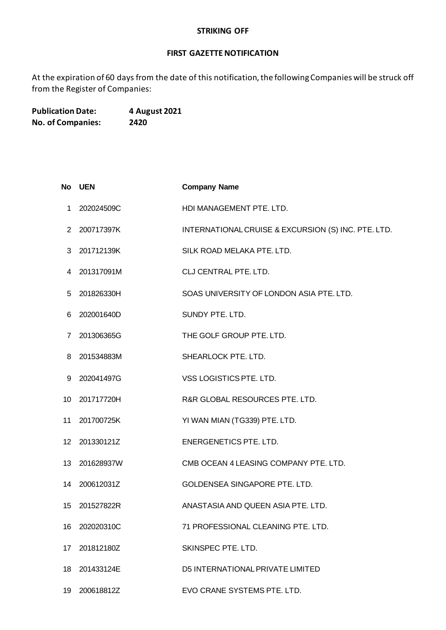## **STRIKING OFF**

## **FIRST GAZETTE NOTIFICATION**

At the expiration of 60 days from the date of this notification, the following Companies will be struck off from the Register of Companies:

**Publication Date: 4 August 2021 No. of Companies: 2420**

|                   | No UEN     | <b>Company Name</b>                                 |
|-------------------|------------|-----------------------------------------------------|
| 1.                | 202024509C | HDI MANAGEMENT PTE. LTD.                            |
| 2                 | 200717397K | INTERNATIONAL CRUISE & EXCURSION (S) INC. PTE. LTD. |
| 3                 | 201712139K | SILK ROAD MELAKA PTE. LTD.                          |
| 4                 | 201317091M | CLJ CENTRAL PTE. LTD.                               |
| 5                 | 201826330H | SOAS UNIVERSITY OF LONDON ASIA PTE. LTD.            |
| 6                 | 202001640D | SUNDY PTE. LTD.                                     |
| 7                 | 201306365G | THE GOLF GROUP PTE. LTD.                            |
| 8                 | 201534883M | SHEARLOCK PTE. LTD.                                 |
| 9                 | 202041497G | VSS LOGISTICS PTE. LTD.                             |
| 10                | 201717720H | R&R GLOBAL RESOURCES PTE. LTD.                      |
| 11                | 201700725K | YI WAN MIAN (TG339) PTE. LTD.                       |
| $12 \overline{ }$ | 201330121Z | ENERGENETICS PTE. LTD.                              |
| 13                | 201628937W | CMB OCEAN 4 LEASING COMPANY PTE. LTD.               |
| 14                | 200612031Z | <b>GOLDENSEA SINGAPORE PTE, LTD.</b>                |
| 15                | 201527822R | ANASTASIA AND QUEEN ASIA PTE. LTD.                  |
| 16                | 202020310C | 71 PROFESSIONAL CLEANING PTE. LTD.                  |
| 17                | 201812180Z | SKINSPEC PTE. LTD.                                  |
| 18                | 201433124E | D5 INTERNATIONAL PRIVATE LIMITED                    |
| 19                | 200618812Z | EVO CRANE SYSTEMS PTE. LTD.                         |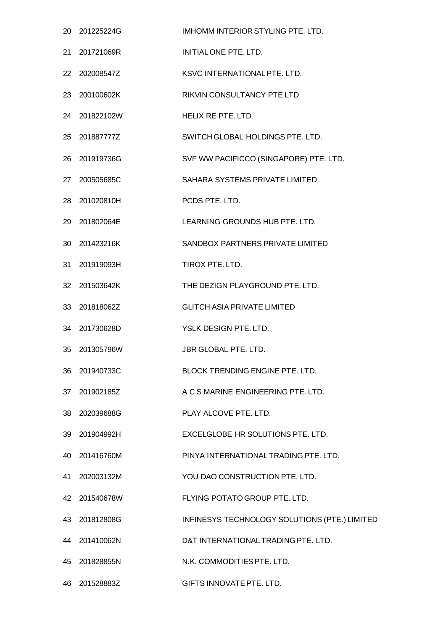| 20 | 201225224G    | IMHOMM INTERIOR STYLING PTE. LTD.             |
|----|---------------|-----------------------------------------------|
| 21 | 201721069R    | INITIAL ONE PTE. LTD.                         |
| 22 | 202008547Z    | KSVC INTERNATIONAL PTE. LTD.                  |
| 23 | 200100602K    | RIKVIN CONSULTANCY PTE LTD                    |
| 24 | 201822102W    | HELIX RE PTE, LTD.                            |
| 25 | 201887777Z    | SWITCH GLOBAL HOLDINGS PTE. LTD.              |
| 26 | 201919736G    | SVF WW PACIFICCO (SINGAPORE) PTE. LTD.        |
| 27 | 200505685C    | SAHARA SYSTEMS PRIVATE LIMITED                |
| 28 | 201020810H    | PCDS PTE. LTD.                                |
| 29 | 201802064E    | LEARNING GROUNDS HUB PTE. LTD.                |
| 30 | 201423216K    | SANDBOX PARTNERS PRIVATE LIMITED              |
| 31 | 201919093H    | TIROX PTE. LTD.                               |
| 32 | 201503642K    | THE DEZIGN PLAYGROUND PTE. LTD.               |
|    | 33 201818062Z | <b>GLITCH ASIA PRIVATE LIMITED</b>            |
| 34 | 201730628D    | YSLK DESIGN PTE. LTD.                         |
| 35 | 201305796W    | <b>JBR GLOBAL PTE, LTD.</b>                   |
| 36 | 201940733C    | <b>BLOCK TRENDING ENGINE PTE. LTD.</b>        |
|    | 37 201902185Z | A C S MARINE ENGINEERING PTE, LTD.            |
| 38 | 202039688G    | PLAY ALCOVE PTE. LTD.                         |
| 39 | 201904992H    | EXCELGLOBE HR SOLUTIONS PTE. LTD.             |
|    | 40 201416760M | PINYA INTERNATIONAL TRADING PTE. LTD.         |
|    | 41 202003132M | YOU DAO CONSTRUCTION PTE. LTD.                |
| 42 | 201540678W    | FLYING POTATO GROUP PTE. LTD.                 |
|    | 43 201812808G | INFINESYS TECHNOLOGY SOLUTIONS (PTE.) LIMITED |
|    | 44 201410062N | D&T INTERNATIONAL TRADING PTE. LTD.           |
| 45 | 201828855N    | N.K. COMMODITIES PTE. LTD.                    |
|    | 46 201528883Z | GIFTS INNOVATE PTE. LTD.                      |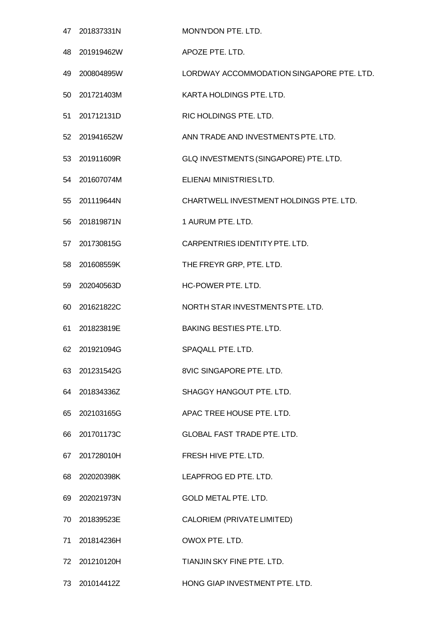|     | 47 201837331N | MON'N'DON PTE. LTD.                       |
|-----|---------------|-------------------------------------------|
| 48  | 201919462W    | APOZE PTE. LTD.                           |
| 49  | 200804895W    | LORDWAY ACCOMMODATION SINGAPORE PTE. LTD. |
| 50  | 201721403M    | KARTA HOLDINGS PTE. LTD.                  |
| 51  | 201712131D    | RIC HOLDINGS PTE. LTD.                    |
|     | 52 201941652W | ANN TRADE AND INVESTMENTS PTE. LTD.       |
| 53  | 201911609R    | GLQ INVESTMENTS (SINGAPORE) PTE. LTD.     |
| 54  | 201607074M    | ELIENAI MINISTRIES LTD.                   |
| 55  | 201119644N    | CHARTWELL INVESTMENT HOLDINGS PTE, LTD.   |
| 56  | 201819871N    | 1 AURUM PTE. LTD.                         |
| 57  | 201730815G    | CARPENTRIES IDENTITY PTE. LTD.            |
| 58  | 201608559K    | THE FREYR GRP, PTE. LTD.                  |
| 59  | 202040563D    | HC-POWER PTE. LTD.                        |
| 60  | 201621822C    | NORTH STAR INVESTMENTS PTE. LTD.          |
| 61  | 201823819E    | <b>BAKING BESTIES PTE. LTD.</b>           |
| 62  | 201921094G    | SPAQALL PTE. LTD.                         |
| 63  | 201231542G    | 8VIC SINGAPORE PTE, LTD.                  |
| 64  | 201834336Z    | SHAGGY HANGOUT PTE. LTD.                  |
| 65  | 202103165G    | APAC TREE HOUSE PTE, LTD.                 |
| 66  | 201701173C    | <b>GLOBAL FAST TRADE PTE, LTD.</b>        |
|     | 67 201728010H | FRESH HIVE PTE, LTD.                      |
| 68  | 202020398K    | LEAPFROG ED PTE. LTD.                     |
| 69  | 202021973N    | <b>GOLD METAL PTE. LTD.</b>               |
| 70. | 201839523E    | CALORIEM (PRIVATE LIMITED)                |
| 71  | 201814236H    | OWOX PTE. LTD.                            |
| 72  | 201210120H    | TIANJIN SKY FINE PTE, LTD.                |
| 73. | 201014412Z    | HONG GIAP INVESTMENT PTE. LTD.            |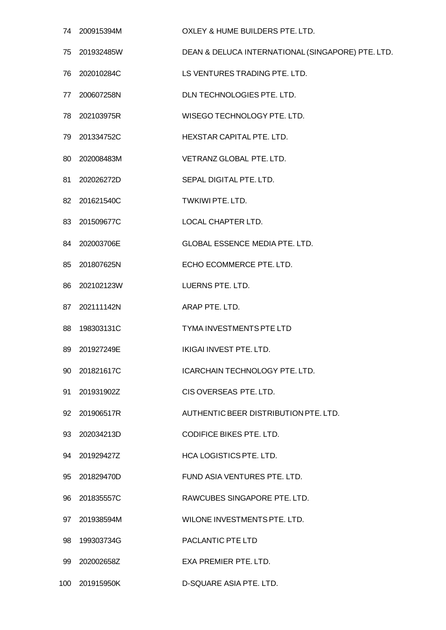|     | 74 200915394M | OXLEY & HUME BUILDERS PTE. LTD.                   |
|-----|---------------|---------------------------------------------------|
| 75  | 201932485W    | DEAN & DELUCA INTERNATIONAL (SINGAPORE) PTE. LTD. |
| 76  | 202010284C    | LS VENTURES TRADING PTE. LTD.                     |
| 77  | 200607258N    | DLN TECHNOLOGIES PTE. LTD.                        |
| 78  | 202103975R    | WISEGO TECHNOLOGY PTE. LTD.                       |
|     | 79 201334752C | HEXSTAR CAPITAL PTE. LTD.                         |
| 80  | 202008483M    | VETRANZ GLOBAL PTE. LTD.                          |
| 81  | 202026272D    | SEPAL DIGITAL PTE. LTD.                           |
|     | 82 201621540C | TWKIWI PTE. LTD.                                  |
| 83  | 201509677C    | <b>LOCAL CHAPTER LTD.</b>                         |
|     | 84 202003706E | <b>GLOBAL ESSENCE MEDIA PTE. LTD.</b>             |
| 85  | 201807625N    | ECHO ECOMMERCE PTE. LTD.                          |
| 86  | 202102123W    | LUERNS PTE. LTD.                                  |
|     | 87 202111142N | ARAP PTE. LTD.                                    |
| 88  | 198303131C    | <b>TYMA INVESTMENTS PTE LTD</b>                   |
| 89  | 201927249E    | IKIGAI INVEST PTE. LTD.                           |
| 90  | 201821617C    | <b>ICARCHAIN TECHNOLOGY PTE. LTD.</b>             |
| 91  | 201931902Z    | CIS OVERSEAS PTE. LTD.                            |
|     | 92 201906517R | AUTHENTIC BEER DISTRIBUTION PTE. LTD.             |
| 93  | 202034213D    | <b>CODIFICE BIKES PTE. LTD.</b>                   |
|     | 94 201929427Z | <b>HCA LOGISTICS PTE, LTD.</b>                    |
| 95  | 201829470D    | FUND ASIA VENTURES PTE, LTD.                      |
| 96  | 201835557C    | RAWCUBES SINGAPORE PTE. LTD.                      |
|     | 97 201938594M | WILONE INVESTMENTS PTE. LTD.                      |
| 98  | 199303734G    | <b>PACLANTIC PTE LTD</b>                          |
| 99  | 202002658Z    | EXA PREMIER PTE, LTD.                             |
| 100 | 201915950K    | D-SQUARE ASIA PTE, LTD.                           |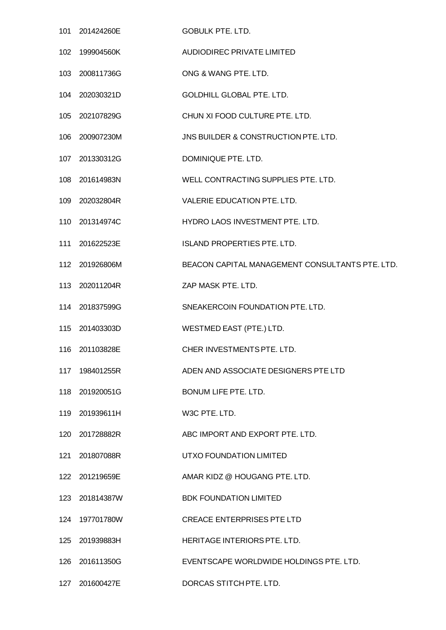|     | 101 201424260E | <b>GOBULK PTE. LTD.</b>                         |
|-----|----------------|-------------------------------------------------|
| 102 | 199904560K     | <b>AUDIODIREC PRIVATE LIMITED</b>               |
| 103 | 200811736G     | ONG & WANG PTE. LTD.                            |
| 104 | 202030321D     | <b>GOLDHILL GLOBAL PTE. LTD.</b>                |
| 105 | 202107829G     | CHUN XI FOOD CULTURE PTE. LTD.                  |
| 106 | 200907230M     | JNS BUILDER & CONSTRUCTION PTE. LTD.            |
| 107 | 201330312G     | DOMINIQUE PTE. LTD.                             |
| 108 | 201614983N     | WELL CONTRACTING SUPPLIES PTE. LTD.             |
|     | 109 202032804R | VALERIE EDUCATION PTE. LTD.                     |
| 110 | 201314974C     | HYDRO LAOS INVESTMENT PTE. LTD.                 |
| 111 | 201622523E     | <b>ISLAND PROPERTIES PTE. LTD.</b>              |
|     | 112 201926806M | BEACON CAPITAL MANAGEMENT CONSULTANTS PTE. LTD. |
| 113 | 202011204R     | ZAP MASK PTE. LTD.                              |
|     | 114 201837599G | SNEAKERCOIN FOUNDATION PTE. LTD.                |
| 115 | 201403303D     | WESTMED EAST (PTE.) LTD.                        |
|     | 116 201103828E | CHER INVESTMENTS PTE. LTD.                      |
|     | 117 198401255R | ADEN AND ASSOCIATE DESIGNERS PTE LTD            |
|     | 118 201920051G | BONUM LIFE PTE. LTD.                            |
|     | 119 201939611H | W3C PTE. LTD.                                   |
| 120 | 201728882R     | ABC IMPORT AND EXPORT PTE. LTD.                 |
|     | 121 201807088R | UTXO FOUNDATION LIMITED                         |
|     | 122 201219659E | AMAR KIDZ @ HOUGANG PTE. LTD.                   |
| 123 | 201814387W     | <b>BDK FOUNDATION LIMITED</b>                   |
|     | 124 197701780W | <b>CREACE ENTERPRISES PTE LTD</b>               |
| 125 | 201939883H     | HERITAGE INTERIORS PTE. LTD.                    |
| 126 | 201611350G     | EVENTSCAPE WORLDWIDE HOLDINGS PTE. LTD.         |
|     | 127 201600427E | DORCAS STITCH PTE. LTD.                         |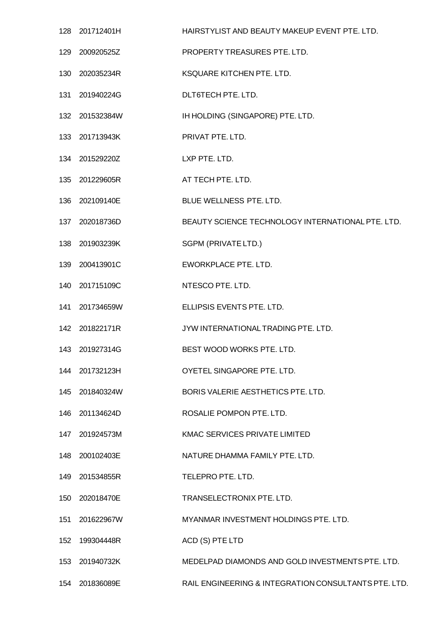|     | 128 201712401H | HAIRSTYLIST AND BEAUTY MAKEUP EVENT PTE, LTD.        |
|-----|----------------|------------------------------------------------------|
| 129 | 200920525Z     | PROPERTY TREASURES PTE. LTD.                         |
| 130 | 202035234R     | KSQUARE KITCHEN PTE. LTD.                            |
| 131 | 201940224G     | DLT6TECH PTE. LTD.                                   |
| 132 | 201532384W     | IH HOLDING (SINGAPORE) PTE. LTD.                     |
|     | 133 201713943K | PRIVAT PTE. LTD.                                     |
|     | 134 201529220Z | LXP PTE. LTD.                                        |
| 135 | 201229605R     | AT TECH PTE. LTD.                                    |
|     | 136 202109140E | BLUE WELLNESS PTE. LTD.                              |
| 137 | 202018736D     | BEAUTY SCIENCE TECHNOLOGY INTERNATIONAL PTE. LTD.    |
| 138 | 201903239K     | SGPM (PRIVATE LTD.)                                  |
|     | 139 200413901C | EWORKPLACE PTE. LTD.                                 |
| 140 | 201715109C     | NTESCO PTE. LTD.                                     |
| 141 | 201734659W     | ELLIPSIS EVENTS PTE. LTD.                            |
|     | 142 201822171R | JYW INTERNATIONAL TRADING PTE. LTD.                  |
|     | 143 201927314G | BEST WOOD WORKS PTE. LTD.                            |
|     | 144 201732123H | OYETEL SINGAPORE PTE, LTD.                           |
| 145 | 201840324W     | BORIS VALERIE AESTHETICS PTE. LTD.                   |
| 146 | 201134624D     | ROSALIE POMPON PTE, LTD.                             |
| 147 | 201924573M     | KMAC SERVICES PRIVATE LIMITED                        |
|     | 148 200102403E | NATURE DHAMMA FAMILY PTE. LTD.                       |
| 149 | 201534855R     | TELEPRO PTE. LTD.                                    |
| 150 | 202018470E     | TRANSELECTRONIX PTE. LTD.                            |
| 151 | 201622967W     | MYANMAR INVESTMENT HOLDINGS PTE. LTD.                |
| 152 | 199304448R     | ACD (S) PTE LTD                                      |
| 153 | 201940732K     | MEDELPAD DIAMONDS AND GOLD INVESTMENTS PTE. LTD.     |
|     | 154 201836089E | RAIL ENGINEERING & INTEGRATION CONSULTANTS PTE. LTD. |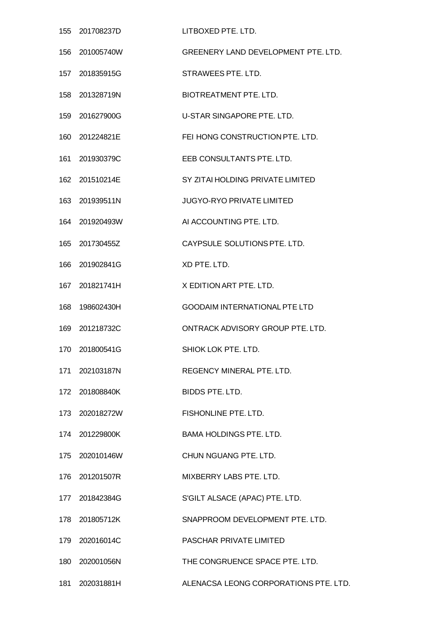| 155 | 201708237D     | LITBOXED PTE, LTD.                         |
|-----|----------------|--------------------------------------------|
| 156 | 201005740W     | <b>GREENERY LAND DEVELOPMENT PTE. LTD.</b> |
|     | 157 201835915G | STRAWEES PTE. LTD.                         |
| 158 | 201328719N     | <b>BIOTREATMENT PTE. LTD.</b>              |
| 159 | 201627900G     | U-STAR SINGAPORE PTE. LTD.                 |
|     | 160 201224821E | FEI HONG CONSTRUCTION PTE. LTD.            |
| 161 | 201930379C     | EEB CONSULTANTS PTE. LTD.                  |
| 162 | 201510214E     | SY ZITAI HOLDING PRIVATE LIMITED           |
|     | 163 201939511N | <b>JUGYO-RYO PRIVATE LIMITED</b>           |
| 164 | 201920493W     | AI ACCOUNTING PTE. LTD.                    |
|     | 165 201730455Z | CAYPSULE SOLUTIONS PTE. LTD.               |
| 166 | 201902841G     | XD PTE. LTD.                               |
| 167 | 201821741H     | X EDITION ART PTE. LTD.                    |
| 168 | 198602430H     | <b>GOODAIM INTERNATIONAL PTE LTD</b>       |
| 169 | 201218732C     | ONTRACK ADVISORY GROUP PTE, LTD.           |
| 170 | 201800541G     | SHIOK LOK PTE. LTD.                        |
|     | 171 202103187N | REGENCY MINERAL PTE. LTD.                  |
|     | 172 201808840K | <b>BIDDS PTE, LTD.</b>                     |
|     | 173 202018272W | FISHONLINE PTE. LTD.                       |
|     | 174 201229800K | <b>BAMA HOLDINGS PTE, LTD.</b>             |
|     | 175 202010146W | CHUN NGUANG PTE. LTD.                      |
|     | 176 201201507R | MIXBERRY LABS PTE. LTD.                    |
|     | 177 201842384G | S'GILT ALSACE (APAC) PTE. LTD.             |
|     | 178 201805712K | SNAPPROOM DEVELOPMENT PTE. LTD.            |
|     | 179 202016014C | PASCHAR PRIVATE LIMITED                    |
|     | 180 202001056N | THE CONGRUENCE SPACE PTE. LTD.             |
|     | 181 202031881H | ALENACSA LEONG CORPORATIONS PTE. LTD.      |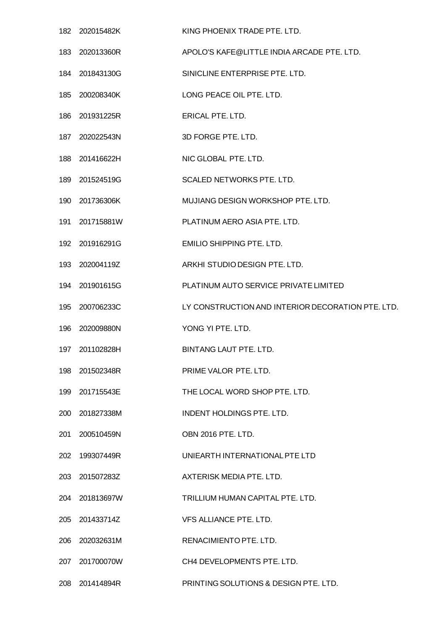|     | 182 202015482K | KING PHOENIX TRADE PTE. LTD.                      |
|-----|----------------|---------------------------------------------------|
| 183 | 202013360R     | APOLO'S KAFE@LITTLE INDIA ARCADE PTE. LTD.        |
|     | 184 201843130G | SINICLINE ENTERPRISE PTE. LTD.                    |
|     | 185 200208340K | LONG PEACE OIL PTE. LTD.                          |
| 186 | 201931225R     | <b>ERICAL PTE, LTD.</b>                           |
|     | 187 202022543N | 3D FORGE PTE. LTD.                                |
| 188 | 201416622H     | NIC GLOBAL PTE. LTD.                              |
| 189 | 201524519G     | SCALED NETWORKS PTE. LTD.                         |
|     | 190 201736306K | MUJIANG DESIGN WORKSHOP PTE. LTD.                 |
| 191 | 201715881W     | PLATINUM AERO ASIA PTE. LTD.                      |
|     | 192 201916291G | <b>EMILIO SHIPPING PTE. LTD.</b>                  |
|     | 193 202004119Z | ARKHI STUDIO DESIGN PTE. LTD.                     |
| 194 | 201901615G     | PLATINUM AUTO SERVICE PRIVATE LIMITED             |
| 195 | 200706233C     | LY CONSTRUCTION AND INTERIOR DECORATION PTE. LTD. |
| 196 | 202009880N     | YONG YI PTE. LTD.                                 |
| 197 | 201102828H     | BINTANG LAUT PTE. LTD.                            |
| 198 | 201502348R     | PRIME VALOR PTE. LTD.                             |
| 199 | 201715543E     | THE LOCAL WORD SHOP PTE. LTD.                     |
|     | 200 201827338M | INDENT HOLDINGS PTE. LTD.                         |
| 201 | 200510459N     | OBN 2016 PTE. LTD.                                |
| 202 | 199307449R     | UNIEARTH INTERNATIONAL PTE LTD                    |
| 203 | 201507283Z     | AXTERISK MEDIA PTE. LTD.                          |
| 204 | 201813697W     | TRILLIUM HUMAN CAPITAL PTE. LTD.                  |
|     | 205 201433714Z | VFS ALLIANCE PTE. LTD.                            |
| 206 | 202032631M     | RENACIMIENTO PTE. LTD.                            |
| 207 | 201700070W     | CH4 DEVELOPMENTS PTE. LTD.                        |
|     | 208 201414894R | PRINTING SOLUTIONS & DESIGN PTE. LTD.             |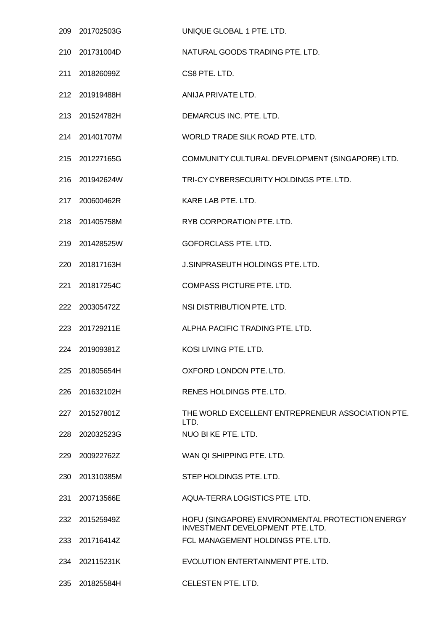|     | 209 201702503G | UNIQUE GLOBAL 1 PTE. LTD.                                                                   |
|-----|----------------|---------------------------------------------------------------------------------------------|
| 210 | 201731004D     | NATURAL GOODS TRADING PTE. LTD.                                                             |
|     | 211 201826099Z | CS8 PTE. LTD.                                                                               |
|     | 212 201919488H | ANIJA PRIVATE LTD.                                                                          |
|     | 213 201524782H | DEMARCUS INC. PTE. LTD.                                                                     |
|     | 214 201401707M | WORLD TRADE SILK ROAD PTE. LTD.                                                             |
|     | 215 201227165G | COMMUNITY CULTURAL DEVELOPMENT (SINGAPORE) LTD.                                             |
|     | 216 201942624W | TRI-CY CYBERSECURITY HOLDINGS PTE. LTD.                                                     |
|     | 217 200600462R | KARE LAB PTE. LTD.                                                                          |
| 218 | 201405758M     | RYB CORPORATION PTE. LTD.                                                                   |
|     | 219 201428525W | GOFORCLASS PTE. LTD.                                                                        |
|     | 220 201817163H | J.SINPRASEUTH HOLDINGS PTE. LTD.                                                            |
| 221 | 201817254C     | COMPASS PICTURE PTE. LTD.                                                                   |
|     | 222 200305472Z | NSI DISTRIBUTION PTE. LTD.                                                                  |
|     | 223 201729211E | ALPHA PACIFIC TRADING PTE. LTD.                                                             |
|     | 224 201909381Z | KOSI LIVING PTE. LTD.                                                                       |
| 225 | 201805654H     | OXFORD LONDON PTE. LTD.                                                                     |
| 226 | 201632102H     | RENES HOLDINGS PTE. LTD.                                                                    |
| 227 | 201527801Z     | THE WORLD EXCELLENT ENTREPRENEUR ASSOCIATION PTE.<br>LTD.                                   |
| 228 | 202032523G     | NUO BI KE PTE. LTD.                                                                         |
| 229 | 200922762Z     | WAN QI SHIPPING PTE. LTD.                                                                   |
| 230 | 201310385M     | STEP HOLDINGS PTE. LTD.                                                                     |
| 231 | 200713566E     | AQUA-TERRA LOGISTICS PTE. LTD.                                                              |
| 232 | 201525949Z     | HOFU (SINGAPORE) ENVIRONMENTAL PROTECTION ENERGY<br><b>INVESTMENT DEVELOPMENT PTE. LTD.</b> |
| 233 | 201716414Z     | FCL MANAGEMENT HOLDINGS PTE. LTD.                                                           |
| 234 | 202115231K     | EVOLUTION ENTERTAINMENT PTE. LTD.                                                           |
|     | 235 201825584H | CELESTEN PTE. LTD.                                                                          |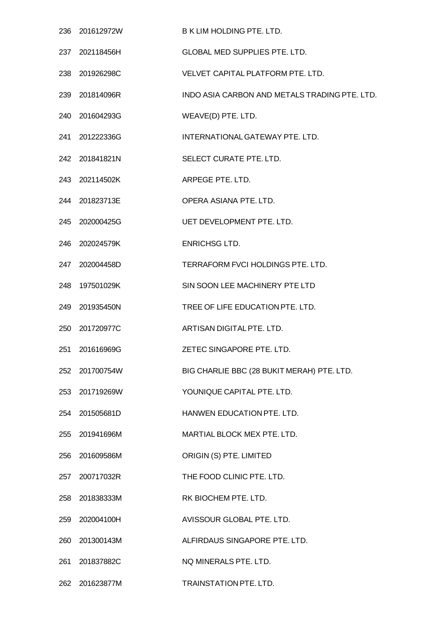|     | 236 201612972W | <b>B K LIM HOLDING PTE, LTD.</b>              |
|-----|----------------|-----------------------------------------------|
|     | 237 202118456H | GLOBAL MED SUPPLIES PTE. LTD.                 |
|     | 238 201926298C | VELVET CAPITAL PLATFORM PTE. LTD.             |
|     | 239 201814096R | INDO ASIA CARBON AND METALS TRADING PTE. LTD. |
|     | 240 201604293G | WEAVE(D) PTE. LTD.                            |
|     | 241 201222336G | INTERNATIONAL GATEWAY PTE. LTD.               |
|     | 242 201841821N | SELECT CURATE PTE. LTD.                       |
|     | 243 202114502K | ARPEGE PTE. LTD.                              |
|     | 244 201823713E | OPERA ASIANA PTE. LTD.                        |
|     | 245 202000425G | UET DEVELOPMENT PTE. LTD.                     |
|     | 246 202024579K | <b>ENRICHSG LTD.</b>                          |
|     | 247 202004458D | TERRAFORM FVCI HOLDINGS PTE. LTD.             |
|     | 248 197501029K | SIN SOON LEE MACHINERY PTE LTD                |
|     | 249 201935450N | TREE OF LIFE EDUCATION PTE. LTD.              |
|     | 250 201720977C | ARTISAN DIGITAL PTE. LTD.                     |
| 251 | 201616969G     | ZETEC SINGAPORE PTE. LTD.                     |
|     | 252 201700754W | BIG CHARLIE BBC (28 BUKIT MERAH) PTE. LTD.    |
|     | 253 201719269W | YOUNIQUE CAPITAL PTE. LTD.                    |
|     | 254 201505681D | HANWEN EDUCATION PTE. LTD.                    |
|     | 255 201941696M | MARTIAL BLOCK MEX PTE, LTD.                   |
|     | 256 201609586M | ORIGIN (S) PTE. LIMITED                       |
|     | 257 200717032R | THE FOOD CLINIC PTE. LTD.                     |
|     | 258 201838333M | RK BIOCHEM PTE. LTD.                          |
|     | 259 202004100H | AVISSOUR GLOBAL PTE. LTD.                     |
|     | 260 201300143M | ALFIRDAUS SINGAPORE PTE. LTD.                 |
| 261 | 201837882C     | NQ MINERALS PTE. LTD.                         |
|     | 262 201623877M | <b>TRAINSTATION PTE. LTD.</b>                 |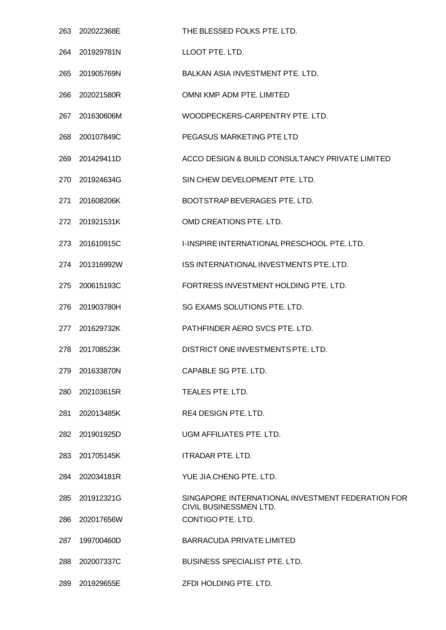| 263 | 202022368E     | THE BLESSED FOLKS PTE. LTD.                                                 |
|-----|----------------|-----------------------------------------------------------------------------|
| 264 | 201929781N     | LLOOT PTE. LTD.                                                             |
| 265 | 201905769N     | BALKAN ASIA INVESTMENT PTE. LTD.                                            |
| 266 | 202021580R     | OMNI KMP ADM PTE. LIMITED                                                   |
| 267 | 201630606M     | WOODPECKERS-CARPENTRY PTE. LTD.                                             |
| 268 | 200107849C     | PEGASUS MARKETING PTE LTD                                                   |
| 269 | 201429411D     | ACCO DESIGN & BUILD CONSULTANCY PRIVATE LIMITED                             |
| 270 | 201924634G     | SIN CHEW DEVELOPMENT PTE. LTD.                                              |
| 271 | 201608206K     | BOOTSTRAP BEVERAGES PTE. LTD.                                               |
|     | 272 201921531K | OMD CREATIONS PTE. LTD.                                                     |
| 273 | 201610915C     | I-INSPIRE INTERNATIONAL PRESCHOOL PTE. LTD.                                 |
|     | 274 201316992W | ISS INTERNATIONAL INVESTMENTS PTE. LTD.                                     |
| 275 | 200615193C     | FORTRESS INVESTMENT HOLDING PTE. LTD.                                       |
| 276 | 201903780H     | SG EXAMS SOLUTIONS PTE. LTD.                                                |
| 277 | 201629732K     | PATHFINDER AERO SVCS PTE. LTD.                                              |
| 278 | 201708523K     | DISTRICT ONE INVESTMENTS PTE. LTD.                                          |
| 279 | 201633870N     | CAPABLE SG PTE. LTD.                                                        |
| 280 | 202103615R     | TEALES PTE. LTD.                                                            |
| 281 | 202013485K     | RE4 DESIGN PTE. LTD.                                                        |
| 282 | 201901925D     | UGM AFFILIATES PTE. LTD.                                                    |
| 283 | 201705145K     | <b>ITRADAR PTE, LTD.</b>                                                    |
| 284 | 202034181R     | YUE JIA CHENG PTE. LTD.                                                     |
| 285 | 201912321G     | SINGAPORE INTERNATIONAL INVESTMENT FEDERATION FOR<br>CIVIL BUSINESSMEN LTD. |
| 286 | 202017656W     | CONTIGO PTE. LTD.                                                           |
| 287 | 199700460D     | <b>BARRACUDA PRIVATE LIMITED</b>                                            |
| 288 | 202007337C     | <b>BUSINESS SPECIALIST PTE. LTD.</b>                                        |
| 289 | 201929655E     | ZFDI HOLDING PTE. LTD.                                                      |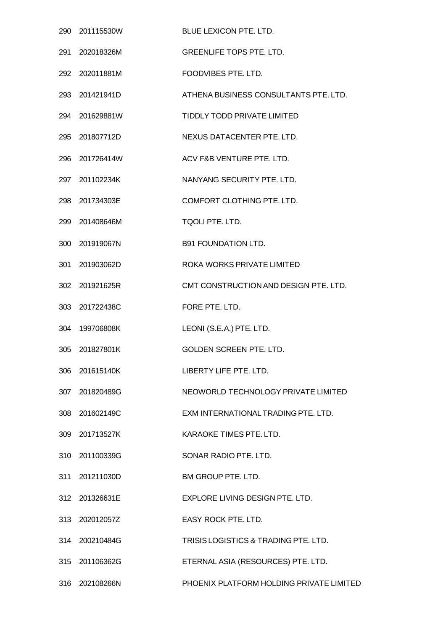|     | 290 201115530W | BLUE LEXICON PTE. LTD.                   |
|-----|----------------|------------------------------------------|
| 291 | 202018326M     | <b>GREENLIFE TOPS PTE, LTD.</b>          |
|     | 292 202011881M | FOODVIBES PTE. LTD.                      |
|     | 293 201421941D | ATHENA BUSINESS CONSULTANTS PTE. LTD.    |
| 294 | 201629881W     | TIDDLY TODD PRIVATE LIMITED              |
|     | 295 201807712D | NEXUS DATACENTER PTE. LTD.               |
| 296 | 201726414W     | ACV F&B VENTURE PTE, LTD.                |
|     | 297 201102234K | NANYANG SECURITY PTE, LTD.               |
|     | 298 201734303E | COMFORT CLOTHING PTE. LTD.               |
| 299 | 201408646M     | TQOLI PTE. LTD.                          |
|     | 300 201919067N | <b>B91 FOUNDATION LTD.</b>               |
|     | 301 201903062D | ROKA WORKS PRIVATE LIMITED               |
| 302 | 201921625R     | CMT CONSTRUCTION AND DESIGN PTE. LTD.    |
|     | 303 201722438C | FORE PTE. LTD.                           |
| 304 | 199706808K     | LEONI (S.E.A.) PTE. LTD.                 |
|     | 305 201827801K | <b>GOLDEN SCREEN PTE. LTD.</b>           |
|     | 306 201615140K | LIBERTY LIFE PTE. LTD.                   |
|     | 307 201820489G | NEOWORLD TECHNOLOGY PRIVATE LIMITED      |
|     | 308 201602149C | EXM INTERNATIONAL TRADING PTE. LTD.      |
|     | 309 201713527K | KARAOKE TIMES PTE. LTD.                  |
|     | 310 201100339G | SONAR RADIO PTE. LTD.                    |
|     | 311 201211030D | BM GROUP PTE. LTD.                       |
|     | 312 201326631E | EXPLORE LIVING DESIGN PTE. LTD.          |
|     | 313 202012057Z | EASY ROCK PTE. LTD.                      |
|     | 314 200210484G | TRISIS LOGISTICS & TRADING PTE. LTD.     |
|     | 315 201106362G | ETERNAL ASIA (RESOURCES) PTE. LTD.       |
|     | 316 202108266N | PHOENIX PLATFORM HOLDING PRIVATE LIMITED |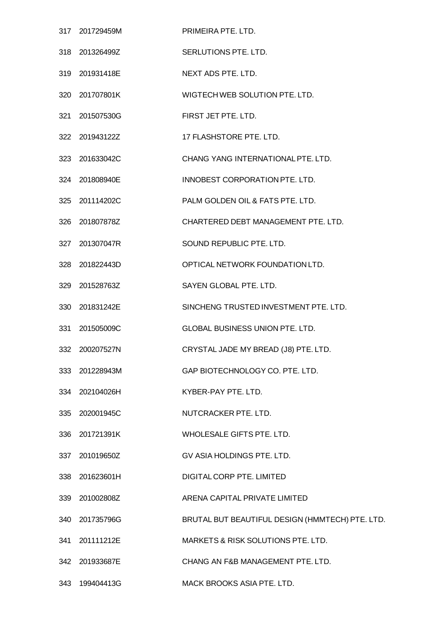|     | 317 201729459M | PRIMEIRA PTE, LTD.                              |
|-----|----------------|-------------------------------------------------|
|     | 318 201326499Z | SERLUTIONS PTE. LTD.                            |
|     | 319 201931418E | NEXT ADS PTE. LTD.                              |
|     | 320 201707801K | WIGTECH WEB SOLUTION PTE. LTD.                  |
| 321 | 201507530G     | FIRST JET PTE. LTD.                             |
|     | 322 201943122Z | 17 FLASHSTORE PTE. LTD.                         |
|     | 323 201633042C | CHANG YANG INTERNATIONAL PTE. LTD.              |
|     | 324 201808940E | INNOBEST CORPORATION PTE. LTD.                  |
|     | 325 201114202C | PALM GOLDEN OIL & FATS PTE. LTD.                |
| 326 | 201807878Z     | CHARTERED DEBT MANAGEMENT PTE. LTD.             |
|     | 327 201307047R | SOUND REPUBLIC PTE. LTD.                        |
|     | 328 201822443D | OPTICAL NETWORK FOUNDATION LTD.                 |
|     | 329 201528763Z | SAYEN GLOBAL PTE. LTD.                          |
|     | 330 201831242E | SINCHENG TRUSTED INVESTMENT PTE. LTD.           |
| 331 | 201505009C     | GLOBAL BUSINESS UNION PTE. LTD.                 |
|     | 332 200207527N | CRYSTAL JADE MY BREAD (J8) PTE. LTD.            |
|     | 333 201228943M | GAP BIOTECHNOLOGY CO. PTE. LTD.                 |
|     | 334 202104026H | KYBER-PAY PTE. LTD.                             |
|     | 335 202001945C | NUTCRACKER PTE. LTD.                            |
|     | 336 201721391K | WHOLESALE GIFTS PTE. LTD.                       |
|     | 337 201019650Z | GV ASIA HOLDINGS PTE. LTD.                      |
|     | 338 201623601H | DIGITAL CORP PTE. LIMITED                       |
|     | 339 201002808Z | ARENA CAPITAL PRIVATE LIMITED                   |
|     | 340 201735796G | BRUTAL BUT BEAUTIFUL DESIGN (HMMTECH) PTE. LTD. |
|     | 341 201111212E | MARKETS & RISK SOLUTIONS PTE. LTD.              |
|     | 342 201933687E | CHANG AN F&B MANAGEMENT PTE. LTD.               |
|     | 343 199404413G | MACK BROOKS ASIA PTE. LTD.                      |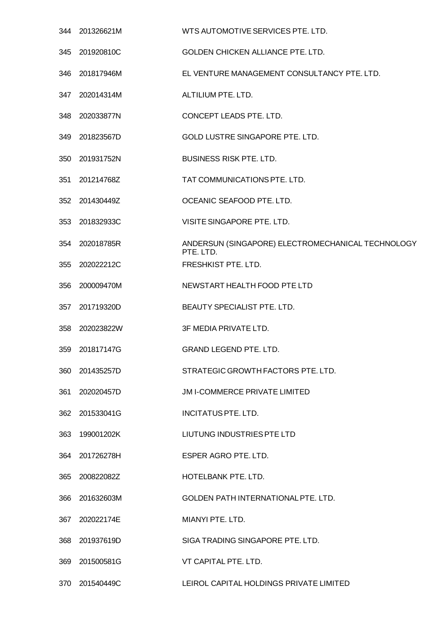|     | 344 201326621M | WTS AUTOMOTIVE SERVICES PTE. LTD.                              |
|-----|----------------|----------------------------------------------------------------|
|     | 345 201920810C | <b>GOLDEN CHICKEN ALLIANCE PTE. LTD.</b>                       |
| 346 | 201817946M     | EL VENTURE MANAGEMENT CONSULTANCY PTE. LTD.                    |
|     | 347 202014314M | ALTILIUM PTE. LTD.                                             |
| 348 | 202033877N     | CONCEPT LEADS PTE. LTD.                                        |
| 349 | 201823567D     | GOLD LUSTRE SINGAPORE PTE. LTD.                                |
| 350 | 201931752N     | <b>BUSINESS RISK PTE. LTD.</b>                                 |
| 351 | 201214768Z     | TAT COMMUNICATIONS PTE. LTD.                                   |
|     | 352 201430449Z | OCEANIC SEAFOOD PTE. LTD.                                      |
| 353 | 201832933C     | VISITE SINGAPORE PTE, LTD.                                     |
| 354 | 202018785R     | ANDERSUN (SINGAPORE) ELECTROMECHANICAL TECHNOLOGY<br>PTE. LTD. |
| 355 | 202022212C     | FRESHKIST PTE. LTD.                                            |
| 356 | 200009470M     | NEWSTART HEALTH FOOD PTE LTD                                   |
| 357 | 201719320D     | BEAUTY SPECIALIST PTE. LTD.                                    |
|     | 358 202023822W | 3F MEDIA PRIVATE LTD.                                          |
| 359 | 201817147G     | <b>GRAND LEGEND PTE, LTD.</b>                                  |
|     | 360 201435257D | STRATEGIC GROWTH FACTORS PTE. LTD.                             |
| 361 | 202020457D     | JM I-COMMERCE PRIVATE LIMITED                                  |
|     | 362 201533041G | INCITATUS PTE. LTD.                                            |
| 363 | 199001202K     | LIUTUNG INDUSTRIES PTE LTD                                     |
| 364 | 201726278H     | ESPER AGRO PTE. LTD.                                           |
| 365 | 200822082Z     | HOTELBANK PTE. LTD.                                            |
| 366 | 201632603M     | GOLDEN PATH INTERNATIONAL PTE. LTD.                            |
| 367 | 202022174E     | MIANYI PTE. LTD.                                               |
| 368 | 201937619D     | SIGA TRADING SINGAPORE PTE. LTD.                               |
| 369 | 201500581G     | VT CAPITAL PTE. LTD.                                           |
| 370 | 201540449C     | LEIROL CAPITAL HOLDINGS PRIVATE LIMITED                        |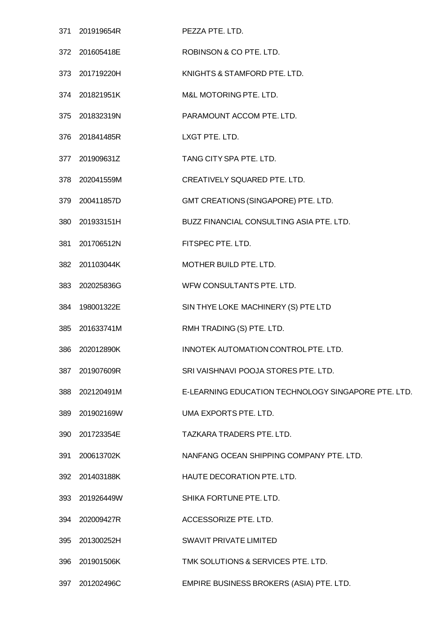|     | 371 201919654R | PEZZA PTE. LTD.                                     |
|-----|----------------|-----------------------------------------------------|
|     | 372 201605418E | ROBINSON & CO PTE. LTD.                             |
|     | 373 201719220H | KNIGHTS & STAMFORD PTE. LTD.                        |
|     | 374 201821951K | M&L MOTORING PTE. LTD.                              |
|     | 375 201832319N | PARAMOUNT ACCOM PTE. LTD.                           |
|     | 376 201841485R | LXGT PTE. LTD.                                      |
| 377 | 201909631Z     | TANG CITY SPA PTE. LTD.                             |
|     | 378 202041559M | CREATIVELY SQUARED PTE. LTD.                        |
|     | 379 200411857D | GMT CREATIONS (SINGAPORE) PTE. LTD.                 |
| 380 | 201933151H     | <b>BUZZ FINANCIAL CONSULTING ASIA PTE, LTD.</b>     |
|     | 381 201706512N | FITSPEC PTE. LTD.                                   |
|     | 382 201103044K | MOTHER BUILD PTE. LTD.                              |
| 383 | 202025836G     | WFW CONSULTANTS PTE. LTD.                           |
|     | 384 198001322E | SIN THYE LOKE MACHINERY (S) PTE LTD                 |
| 385 | 201633741M     | RMH TRADING (S) PTE. LTD.                           |
| 386 | 202012890K     | INNOTEK AUTOMATION CONTROL PTE. LTD.                |
| 387 | 201907609R     | SRI VAISHNAVI POOJA STORES PTE. LTD.                |
| 388 | 202120491M     | E-LEARNING EDUCATION TECHNOLOGY SINGAPORE PTE. LTD. |
| 389 | 201902169W     | UMA EXPORTS PTE. LTD.                               |
| 390 | 201723354E     | TAZKARA TRADERS PTE. LTD.                           |
| 391 | 200613702K     | NANFANG OCEAN SHIPPING COMPANY PTE. LTD.            |
| 392 | 201403188K     | HAUTE DECORATION PTE. LTD.                          |
| 393 | 201926449W     | SHIKA FORTUNE PTE. LTD.                             |
|     | 394 202009427R | ACCESSORIZE PTE. LTD.                               |
| 395 | 201300252H     | SWAVIT PRIVATE LIMITED                              |
| 396 | 201901506K     | TMK SOLUTIONS & SERVICES PTE. LTD.                  |
| 397 | 201202496C     | EMPIRE BUSINESS BROKERS (ASIA) PTE. LTD.            |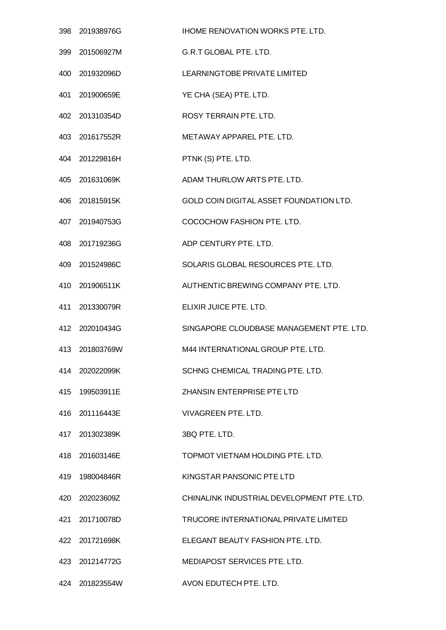|     | 398 201938976G | <b>IHOME RENOVATION WORKS PTE. LTD.</b>    |
|-----|----------------|--------------------------------------------|
|     | 399 201506927M | <b>G.R.T GLOBAL PTE. LTD.</b>              |
| 400 | 201932096D     | LEARNINGTOBE PRIVATE LIMITED               |
|     | 401 201900659E | YE CHA (SEA) PTE. LTD.                     |
| 402 | 201310354D     | <b>ROSY TERRAIN PTE, LTD.</b>              |
|     | 403 201617552R | METAWAY APPAREL PTE, LTD.                  |
|     | 404 201229816H | PTNK (S) PTE. LTD.                         |
| 405 | 201631069K     | ADAM THURLOW ARTS PTE, LTD.                |
|     | 406 201815915K | GOLD COIN DIGITAL ASSET FOUNDATION LTD.    |
|     | 407 201940753G | COCOCHOW FASHION PTE, LTD.                 |
| 408 | 201719236G     | ADP CENTURY PTE, LTD.                      |
|     | 409 201524986C | SOLARIS GLOBAL RESOURCES PTE. LTD.         |
| 410 | 201906511K     | AUTHENTIC BREWING COMPANY PTE. LTD.        |
| 411 | 201330079R     | ELIXIR JUICE PTE. LTD.                     |
|     | 412 202010434G | SINGAPORE CLOUDBASE MANAGEMENT PTE. LTD.   |
|     | 413 201803769W | M44 INTERNATIONAL GROUP PTE. LTD.          |
|     | 414 202022099K | SCHNG CHEMICAL TRADING PTE. LTD.           |
|     | 415 199503911E | ZHANSIN ENTERPRISE PTE LTD                 |
|     | 416 201116443E | <b>VIVAGREEN PTE. LTD.</b>                 |
| 417 | 201302389K     | 3BQ PTE. LTD.                              |
|     | 418 201603146E | TOPMOT VIETNAM HOLDING PTE. LTD.           |
|     | 419 198004846R | KINGSTAR PANSONIC PTE LTD                  |
|     | 420 202023609Z | CHINALINK INDUSTRIAL DEVELOPMENT PTE, LTD. |
|     | 421 201710078D | TRUCORE INTERNATIONAL PRIVATE LIMITED      |
|     | 422 201721698K | ELEGANT BEAUTY FASHION PTE. LTD.           |
|     | 423 201214772G | MEDIAPOST SERVICES PTE. LTD.               |
|     | 424 201823554W | AVON EDUTECH PTE. LTD.                     |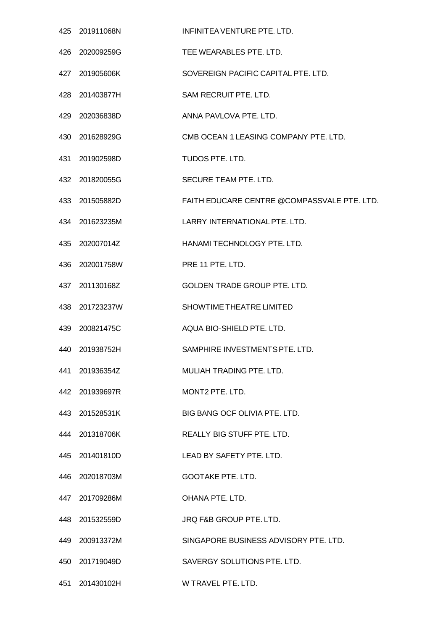|     | 425 201911068N | INFINITEA VENTURE PTE, LTD.                 |
|-----|----------------|---------------------------------------------|
|     | 426 202009259G | TEE WEARABLES PTE. LTD.                     |
|     | 427 201905606K | SOVEREIGN PACIFIC CAPITAL PTE, LTD.         |
|     | 428 201403877H | SAM RECRUIT PTE. LTD.                       |
| 429 | 202036838D     | ANNA PAVLOVA PTE. LTD.                      |
|     | 430 201628929G | CMB OCEAN 1 LEASING COMPANY PTE. LTD.       |
|     | 431 201902598D | TUDOS PTE. LTD.                             |
|     | 432 201820055G | SECURE TEAM PTE. LTD.                       |
|     | 433 201505882D | FAITH EDUCARE CENTRE @COMPASSVALE PTE, LTD. |
|     | 434 201623235M | LARRY INTERNATIONAL PTE. LTD.               |
|     | 435 202007014Z | HANAMI TECHNOLOGY PTE, LTD.                 |
|     | 436 202001758W | PRE 11 PTE. LTD.                            |
|     | 437 201130168Z | GOLDEN TRADE GROUP PTE. LTD.                |
|     | 438 201723237W | SHOWTIME THEATRE LIMITED                    |
|     | 439 200821475C | AQUA BIO-SHIELD PTE, LTD.                   |
| 440 | 201938752H     | SAMPHIRE INVESTMENTS PTE. LTD.              |
|     | 441 201936354Z | MULIAH TRADING PTE, LTD.                    |
|     | 442 201939697R | MONT2 PTE. LTD.                             |
|     | 443 201528531K | BIG BANG OCF OLIVIA PTE, LTD.               |
|     | 444 201318706K | <b>REALLY BIG STUFF PTE, LTD.</b>           |
|     | 445 201401810D | LEAD BY SAFETY PTE. LTD.                    |
|     | 446 202018703M | <b>GOOTAKE PTE. LTD.</b>                    |
|     | 447 201709286M | OHANA PTE, LTD.                             |
|     | 448 201532559D | JRQ F&B GROUP PTE. LTD.                     |
|     | 449 200913372M | SINGAPORE BUSINESS ADVISORY PTE. LTD.       |
|     | 450 201719049D | SAVERGY SOLUTIONS PTE. LTD.                 |
| 451 | 201430102H     | W TRAVEL PTE. LTD.                          |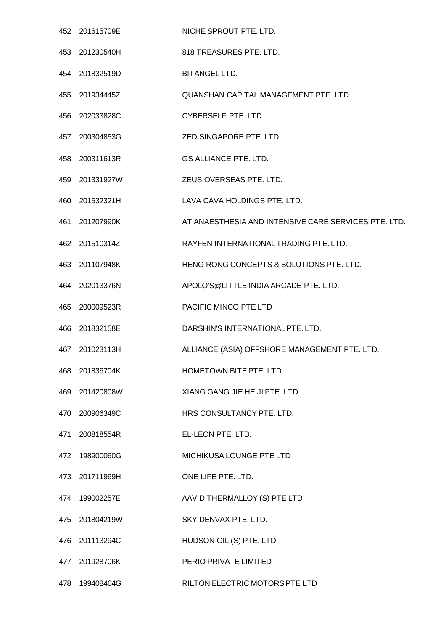|     | 452 201615709E | NICHE SPROUT PTE. LTD.                               |
|-----|----------------|------------------------------------------------------|
| 453 | 201230540H     | 818 TREASURES PTE. LTD.                              |
|     | 454 201832519D | BITANGEL LTD.                                        |
| 455 | 201934445Z     | QUANSHAN CAPITAL MANAGEMENT PTE. LTD.                |
| 456 | 202033828C     | CYBERSELF PTE. LTD.                                  |
| 457 | 200304853G     | ZED SINGAPORE PTE. LTD.                              |
| 458 | 200311613R     | GS ALLIANCE PTE. LTD.                                |
| 459 | 201331927W     | ZEUS OVERSEAS PTE. LTD.                              |
| 460 | 201532321H     | LAVA CAVA HOLDINGS PTE. LTD.                         |
| 461 | 201207990K     | AT ANAESTHESIA AND INTENSIVE CARE SERVICES PTE. LTD. |
| 462 | 201510314Z     | RAYFEN INTERNATIONAL TRADING PTE. LTD.               |
| 463 | 201107948K     | HENG RONG CONCEPTS & SOLUTIONS PTE. LTD.             |
| 464 | 202013376N     | APOLO'S@LITTLE INDIA ARCADE PTE. LTD.                |
| 465 | 200009523R     | PACIFIC MINCO PTE LTD                                |
| 466 | 201832158E     | DARSHIN'S INTERNATIONAL PTE, LTD.                    |
|     | 467 201023113H | ALLIANCE (ASIA) OFFSHORE MANAGEMENT PTE. LTD.        |
|     | 468 201836704K | HOMETOWN BITE PTE. LTD.                              |
|     | 469 201420808W | XIANG GANG JIE HE JI PTE. LTD.                       |
| 470 | 200906349C     | HRS CONSULTANCY PTE. LTD.                            |
| 471 | 200818554R     | EL-LEON PTE. LTD.                                    |
| 472 | 198900060G     | MICHIKUSA LOUNGE PTE LTD                             |
|     | 473 201711969H | ONE LIFE PTE. LTD.                                   |
| 474 | 199002257E     | AAVID THERMALLOY (S) PTE LTD                         |
|     | 475 201804219W | SKY DENVAX PTE. LTD.                                 |
| 476 | 201113294C     | HUDSON OIL (S) PTE. LTD.                             |
| 477 | 201928706K     | PERIO PRIVATE LIMITED                                |
|     | 478 199408464G | RILTON ELECTRIC MOTORS PTE LTD                       |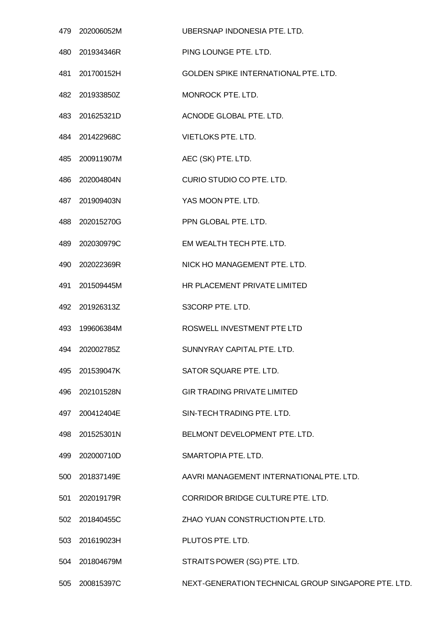|     | 479 202006052M | UBERSNAP INDONESIA PTE. LTD.                        |
|-----|----------------|-----------------------------------------------------|
| 480 | 201934346R     | PING LOUNGE PTE. LTD.                               |
| 481 | 201700152H     | GOLDEN SPIKE INTERNATIONAL PTE. LTD.                |
|     | 482 201933850Z | MONROCK PTE. LTD.                                   |
| 483 | 201625321D     | ACNODE GLOBAL PTE. LTD.                             |
|     | 484 201422968C | <b>VIETLOKS PTE. LTD.</b>                           |
| 485 | 200911907M     | AEC (SK) PTE. LTD.                                  |
| 486 | 202004804N     | CURIO STUDIO CO PTE. LTD.                           |
|     | 487 201909403N | YAS MOON PTE. LTD.                                  |
| 488 | 202015270G     | PPN GLOBAL PTE. LTD.                                |
| 489 | 202030979C     | EM WEALTH TECH PTE. LTD.                            |
| 490 | 202022369R     | NICK HO MANAGEMENT PTE. LTD.                        |
| 491 | 201509445M     | HR PLACEMENT PRIVATE LIMITED                        |
|     | 492 201926313Z | S3CORP PTE. LTD.                                    |
| 493 | 199606384M     | ROSWELL INVESTMENT PTE LTD                          |
| 494 | 202002785Z     | SUNNYRAY CAPITAL PTE. LTD.                          |
| 495 | 201539047K     | SATOR SQUARE PTE. LTD.                              |
| 496 | 202101528N     | <b>GIR TRADING PRIVATE LIMITED</b>                  |
| 497 | 200412404E     | SIN-TECH TRADING PTE. LTD.                          |
| 498 | 201525301N     | BELMONT DEVELOPMENT PTE. LTD.                       |
| 499 | 202000710D     | SMARTOPIA PTE. LTD.                                 |
| 500 | 201837149E     | AAVRI MANAGEMENT INTERNATIONAL PTE. LTD.            |
| 501 | 202019179R     | CORRIDOR BRIDGE CULTURE PTE. LTD.                   |
|     | 502 201840455C | ZHAO YUAN CONSTRUCTION PTE. LTD.                    |
| 503 | 201619023H     | PLUTOS PTE. LTD.                                    |
| 504 | 201804679M     | STRAITS POWER (SG) PTE. LTD.                        |
| 505 | 200815397C     | NEXT-GENERATION TECHNICAL GROUP SINGAPORE PTE. LTD. |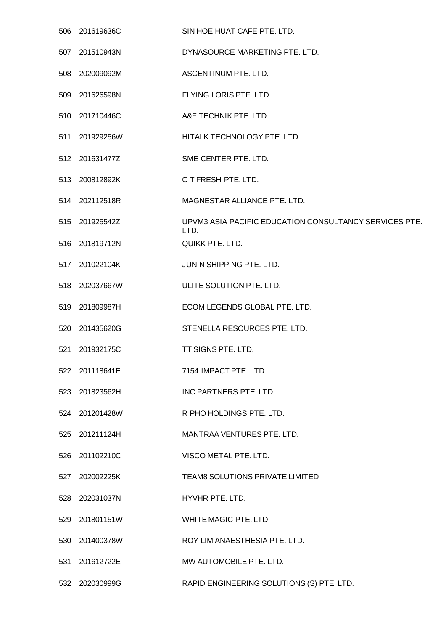|     | 506 201619636C | SIN HOE HUAT CAFE PTE. LTD.                                    |
|-----|----------------|----------------------------------------------------------------|
| 507 | 201510943N     | DYNASOURCE MARKETING PTE. LTD.                                 |
| 508 | 202009092M     | ASCENTINUM PTE. LTD.                                           |
|     | 509 201626598N | FLYING LORIS PTE. LTD.                                         |
| 510 | 201710446C     | A&F TECHNIK PTE. LTD.                                          |
|     | 511 201929256W | HITALK TECHNOLOGY PTE. LTD.                                    |
|     | 512 201631477Z | SME CENTER PTE. LTD.                                           |
|     | 513 200812892K | C T FRESH PTE, LTD.                                            |
|     | 514 202112518R | MAGNESTAR ALLIANCE PTE. LTD.                                   |
| 515 | 201925542Z     | UPVM3 ASIA PACIFIC EDUCATION CONSULTANCY SERVICES PTE.<br>LTD. |
| 516 | 201819712N     | <b>QUIKK PTE. LTD.</b>                                         |
|     | 517 201022104K | JUNIN SHIPPING PTE. LTD.                                       |
| 518 | 202037667W     | ULITE SOLUTION PTE. LTD.                                       |
| 519 | 201809987H     | ECOM LEGENDS GLOBAL PTE. LTD.                                  |
| 520 | 201435620G     | STENELLA RESOURCES PTE. LTD.                                   |
| 521 | 201932175C     | <b>TT SIGNS PTE, LTD.</b>                                      |
|     | 522 201118641E | 7154 IMPACT PTE. LTD.                                          |
| 523 | 201823562H     | INC PARTNERS PTE. LTD.                                         |
|     | 524 201201428W | R PHO HOLDINGS PTE. LTD.                                       |
| 525 | 201211124H     | MANTRAA VENTURES PTE. LTD.                                     |
| 526 | 201102210C     | VISCO METAL PTE. LTD.                                          |
| 527 | 202002225K     | TEAM8 SOLUTIONS PRIVATE LIMITED                                |
| 528 | 202031037N     | HYVHR PTE. LTD.                                                |
|     | 529 201801151W | WHITE MAGIC PTE. LTD.                                          |
| 530 | 201400378W     | ROY LIM ANAESTHESIA PTE. LTD.                                  |
| 531 | 201612722E     | MW AUTOMOBILE PTE. LTD.                                        |
|     | 532 202030999G | RAPID ENGINEERING SOLUTIONS (S) PTE. LTD.                      |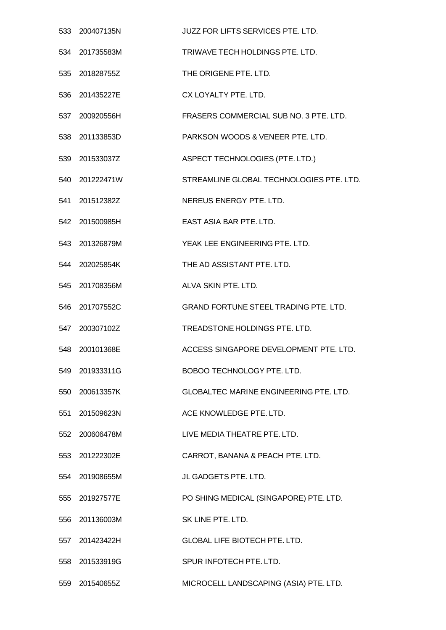|     | 533 200407135N | <b>JUZZ FOR LIFTS SERVICES PTE. LTD.</b>      |
|-----|----------------|-----------------------------------------------|
|     | 534 201735583M | TRIWAVE TECH HOLDINGS PTE. LTD.               |
| 535 | 201828755Z     | THE ORIGENE PTE, LTD.                         |
|     | 536 201435227E | CX LOYALTY PTE. LTD.                          |
| 537 | 200920556H     | FRASERS COMMERCIAL SUB NO. 3 PTE. LTD.        |
|     | 538 201133853D | PARKSON WOODS & VENEER PTE. LTD.              |
|     | 539 201533037Z | ASPECT TECHNOLOGIES (PTE. LTD.)               |
| 540 | 201222471W     | STREAMLINE GLOBAL TECHNOLOGIES PTE. LTD.      |
|     | 541 201512382Z | NEREUS ENERGY PTE. LTD.                       |
|     | 542 201500985H | EAST ASIA BAR PTE. LTD.                       |
| 543 | 201326879M     | YEAK LEE ENGINEERING PTE. LTD.                |
|     | 544 202025854K | THE AD ASSISTANT PTE. LTD.                    |
|     | 545 201708356M | ALVA SKIN PTE, LTD.                           |
|     | 546 201707552C | <b>GRAND FORTUNE STEEL TRADING PTE. LTD.</b>  |
|     | 547 200307102Z | TREADSTONE HOLDINGS PTE. LTD.                 |
| 548 | 200101368E     | ACCESS SINGAPORE DEVELOPMENT PTE. LTD.        |
|     | 549 201933311G | BOBOO TECHNOLOGY PTE. LTD.                    |
|     | 550 200613357K | <b>GLOBALTEC MARINE ENGINEERING PTE. LTD.</b> |
|     | 551 201509623N | ACE KNOWLEDGE PTE. LTD.                       |
|     | 552 200606478M | LIVE MEDIA THEATRE PTE, LTD.                  |
|     | 553 201222302E | CARROT, BANANA & PEACH PTE. LTD.              |
|     | 554 201908655M | JL GADGETS PTE. LTD.                          |
|     | 555 201927577E | PO SHING MEDICAL (SINGAPORE) PTE. LTD.        |
|     | 556 201136003M | SK LINE PTE. LTD.                             |
| 557 | 201423422H     | <b>GLOBAL LIFE BIOTECH PTE. LTD.</b>          |
|     | 558 201533919G | SPUR INFOTECH PTE. LTD.                       |
|     | 559 201540655Z | MICROCELL LANDSCAPING (ASIA) PTE. LTD.        |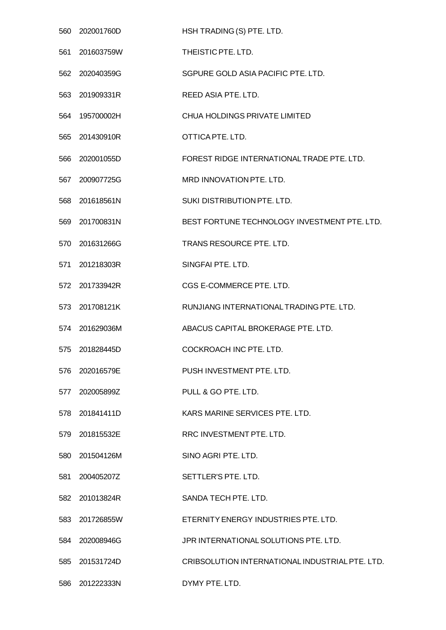| 560 | 202001760D     | HSH TRADING (S) PTE. LTD.                       |
|-----|----------------|-------------------------------------------------|
| 561 | 201603759W     | THEISTIC PTE. LTD.                              |
| 562 | 202040359G     | SGPURE GOLD ASIA PACIFIC PTE, LTD.              |
|     | 563 201909331R | REED ASIA PTE. LTD.                             |
| 564 | 195700002H     | <b>CHUA HOLDINGS PRIVATE LIMITED</b>            |
| 565 | 201430910R     | OTTICA PTE. LTD.                                |
| 566 | 202001055D     | FOREST RIDGE INTERNATIONAL TRADE PTE. LTD.      |
| 567 | 200907725G     | MRD INNOVATION PTE. LTD.                        |
| 568 | 201618561N     | SUKI DISTRIBUTION PTE. LTD.                     |
| 569 | 201700831N     | BEST FORTUNE TECHNOLOGY INVESTMENT PTE. LTD.    |
| 570 | 201631266G     | TRANS RESOURCE PTE. LTD.                        |
|     | 571 201218303R | SINGFAI PTE. LTD.                               |
| 572 | 201733942R     | CGS E-COMMERCE PTE. LTD.                        |
| 573 | 201708121K     | RUNJIANG INTERNATIONAL TRADING PTE. LTD.        |
|     | 574 201629036M | ABACUS CAPITAL BROKERAGE PTE. LTD.              |
| 575 | 201828445D     | COCKROACH INC PTE, LTD.                         |
| 576 | 202016579E     | PUSH INVESTMENT PTE, LTD.                       |
|     | 577 202005899Z | PULL & GO PTE, LTD.                             |
|     | 578 201841411D | KARS MARINE SERVICES PTE. LTD.                  |
| 579 | 201815532E     | RRC INVESTMENT PTE. LTD.                        |
|     | 580 201504126M | SINO AGRI PTE. LTD.                             |
|     | 581 200405207Z | SETTLER'S PTE. LTD.                             |
|     | 582 201013824R | SANDA TECH PTE, LTD.                            |
|     | 583 201726855W | ETERNITY ENERGY INDUSTRIES PTE. LTD.            |
| 584 | 202008946G     | JPR INTERNATIONAL SOLUTIONS PTE. LTD.           |
| 585 | 201531724D     | CRIBSOLUTION INTERNATIONAL INDUSTRIAL PTE. LTD. |
|     | 586 201222333N | DYMY PTE. LTD.                                  |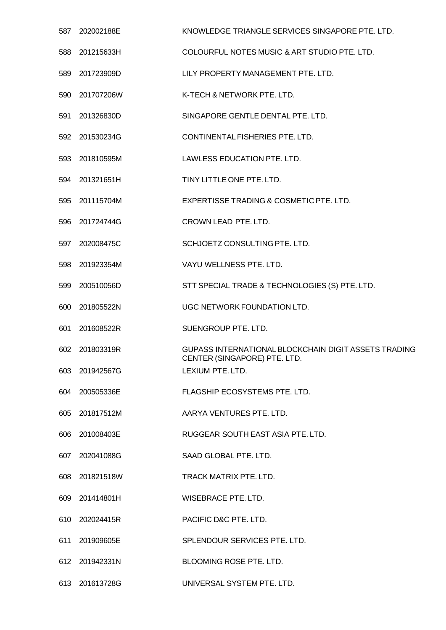| 587 | 202002188E     | KNOWLEDGE TRIANGLE SERVICES SINGAPORE PTE, LTD.                                      |
|-----|----------------|--------------------------------------------------------------------------------------|
| 588 | 201215633H     | COLOURFUL NOTES MUSIC & ART STUDIO PTE. LTD.                                         |
| 589 | 201723909D     | LILY PROPERTY MANAGEMENT PTE. LTD.                                                   |
| 590 | 201707206W     | K-TECH & NETWORK PTE. LTD.                                                           |
| 591 | 201326830D     | SINGAPORE GENTLE DENTAL PTE. LTD.                                                    |
| 592 | 201530234G     | CONTINENTAL FISHERIES PTE. LTD.                                                      |
|     | 593 201810595M | LAWLESS EDUCATION PTE. LTD.                                                          |
| 594 | 201321651H     | TINY LITTLE ONE PTE. LTD.                                                            |
| 595 | 201115704M     | EXPERTISSE TRADING & COSMETIC PTE. LTD.                                              |
| 596 | 201724744G     | CROWN LEAD PTE, LTD.                                                                 |
| 597 | 202008475C     | SCHJOETZ CONSULTING PTE, LTD.                                                        |
| 598 | 201923354M     | VAYU WELLNESS PTE. LTD.                                                              |
| 599 | 200510056D     | STT SPECIAL TRADE & TECHNOLOGIES (S) PTE. LTD.                                       |
| 600 | 201805522N     | UGC NETWORK FOUNDATION LTD.                                                          |
| 601 | 201608522R     | SUENGROUP PTE. LTD.                                                                  |
| 602 | 201803319R     | GUPASS INTERNATIONAL BLOCKCHAIN DIGIT ASSETS TRADING<br>CENTER (SINGAPORE) PTE. LTD. |
|     | 603 201942567G | LEXIUM PTE. LTD.                                                                     |
|     | 604 200505336E | FLAGSHIP ECOSYSTEMS PTE. LTD.                                                        |
|     | 605 201817512M | AARYA VENTURES PTE. LTD.                                                             |
|     | 606 201008403E | RUGGEAR SOUTH EAST ASIA PTE. LTD.                                                    |
|     | 607 202041088G | SAAD GLOBAL PTE. LTD.                                                                |
|     | 608 201821518W | TRACK MATRIX PTE. LTD.                                                               |
|     | 609 201414801H | WISEBRACE PTE. LTD.                                                                  |
|     | 610 202024415R | PACIFIC D&C PTE. LTD.                                                                |
|     | 611 201909605E | SPLENDOUR SERVICES PTE. LTD.                                                         |
|     | 612 201942331N | BLOOMING ROSE PTE. LTD.                                                              |
|     | 613 201613728G | UNIVERSAL SYSTEM PTE. LTD.                                                           |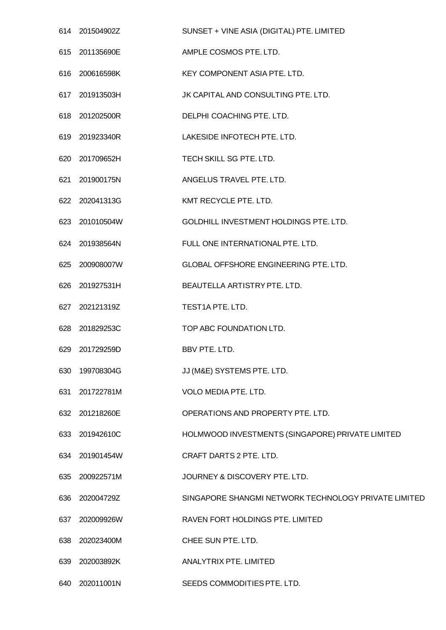|     | 614 201504902Z | SUNSET + VINE ASIA (DIGITAL) PTE. LIMITED            |
|-----|----------------|------------------------------------------------------|
|     | 615 201135690E | AMPLE COSMOS PTE. LTD.                               |
|     | 616 200616598K | KEY COMPONENT ASIA PTE, LTD.                         |
|     | 617 201913503H | JK CAPITAL AND CONSULTING PTE. LTD.                  |
|     | 618 201202500R | DELPHI COACHING PTE. LTD.                            |
|     | 619 201923340R | LAKESIDE INFOTECH PTE. LTD.                          |
|     | 620 201709652H | TECH SKILL SG PTE. LTD.                              |
| 621 | 201900175N     | ANGELUS TRAVEL PTE. LTD.                             |
|     | 622 202041313G | KMT RECYCLE PTE. LTD.                                |
|     | 623 201010504W | <b>GOLDHILL INVESTMENT HOLDINGS PTE, LTD.</b>        |
|     | 624 201938564N | FULL ONE INTERNATIONAL PTE. LTD.                     |
|     | 625 200908007W | GLOBAL OFFSHORE ENGINEERING PTE. LTD.                |
|     | 626 201927531H | BEAUTELLA ARTISTRY PTE. LTD.                         |
|     | 627 202121319Z | TEST1A PTE. LTD.                                     |
|     | 628 201829253C | TOP ABC FOUNDATION LTD.                              |
| 629 | 201729259D     | BBV PTE. LTD.                                        |
| 630 | 199708304G     | JJ (M&E) SYSTEMS PTE. LTD.                           |
| 631 | 201722781M     | VOLO MEDIA PTE. LTD.                                 |
|     | 632 201218260E | OPERATIONS AND PROPERTY PTE. LTD.                    |
|     | 633 201942610C | HOLMWOOD INVESTMENTS (SINGAPORE) PRIVATE LIMITED     |
|     | 634 201901454W | CRAFT DARTS 2 PTE. LTD.                              |
|     | 635 200922571M | JOURNEY & DISCOVERY PTE. LTD.                        |
| 636 | 202004729Z     | SINGAPORE SHANGMI NETWORK TECHNOLOGY PRIVATE LIMITED |
| 637 | 202009926W     | RAVEN FORT HOLDINGS PTE. LIMITED                     |
| 638 | 202023400M     | CHEE SUN PTE. LTD.                                   |
| 639 | 202003892K     | ANALYTRIX PTE. LIMITED                               |
| 640 | 202011001N     | SEEDS COMMODITIES PTE. LTD.                          |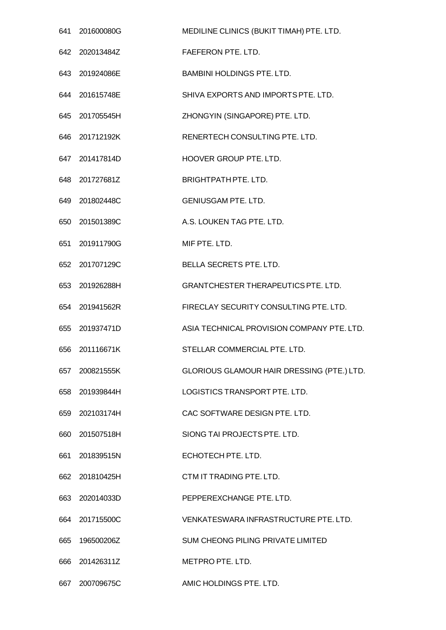|     | 641 201600080G | MEDILINE CLINICS (BUKIT TIMAH) PTE. LTD.   |
|-----|----------------|--------------------------------------------|
|     | 642 202013484Z | FAEFERON PTE. LTD.                         |
|     | 643 201924086E | <b>BAMBINI HOLDINGS PTE. LTD.</b>          |
|     | 644 201615748E | SHIVA EXPORTS AND IMPORTS PTE. LTD.        |
|     | 645 201705545H | ZHONGYIN (SINGAPORE) PTE. LTD.             |
|     | 646 201712192K | RENERTECH CONSULTING PTE. LTD.             |
|     | 647 201417814D | HOOVER GROUP PTE. LTD.                     |
| 648 | 201727681Z     | <b>BRIGHTPATH PTE. LTD.</b>                |
|     | 649 201802448C | <b>GENIUSGAM PTE. LTD.</b>                 |
|     | 650 201501389C | A.S. LOUKEN TAG PTE. LTD.                  |
|     | 651 201911790G | MIF PTE. LTD.                              |
|     | 652 201707129C | BELLA SECRETS PTE. LTD.                    |
| 653 | 201926288H     | <b>GRANTCHESTER THERAPEUTICS PTE. LTD.</b> |
|     | 654 201941562R | FIRECLAY SECURITY CONSULTING PTE. LTD.     |
|     | 655 201937471D | ASIA TECHNICAL PROVISION COMPANY PTE. LTD. |
| 656 | 201116671K     | STELLAR COMMERCIAL PTE. LTD.               |
| 657 | 200821555K     | GLORIOUS GLAMOUR HAIR DRESSING (PTE.) LTD. |
|     | 658 201939844H | LOGISTICS TRANSPORT PTE, LTD.              |
|     | 659 202103174H | CAC SOFTWARE DESIGN PTE. LTD.              |
| 660 | 201507518H     | SIONG TAI PROJECTS PTE. LTD.               |
|     | 661 201839515N | ECHOTECH PTE. LTD.                         |
|     | 662 201810425H | CTM IT TRADING PTE. LTD.                   |
|     | 663 202014033D | PEPPEREXCHANGE PTE. LTD.                   |
|     | 664 201715500C | VENKATESWARA INFRASTRUCTURE PTE. LTD.      |
| 665 | 196500206Z     | SUM CHEONG PILING PRIVATE LIMITED          |
|     | 666 201426311Z | METPRO PTE. LTD.                           |
| 667 | 200709675C     | AMIC HOLDINGS PTE. LTD.                    |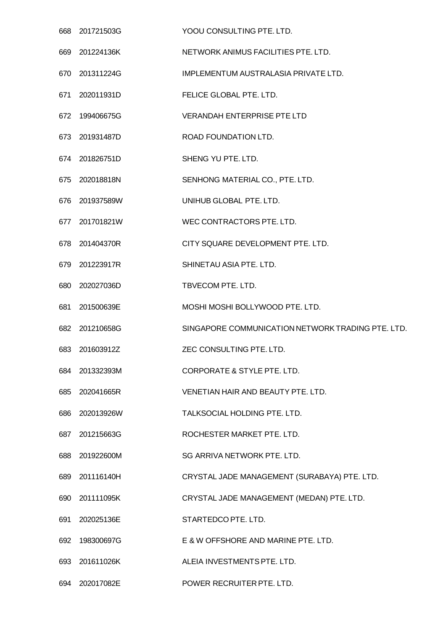|     | 668 201721503G | YOOU CONSULTING PTE. LTD.                         |
|-----|----------------|---------------------------------------------------|
|     | 669 201224136K | NETWORK ANIMUS FACILITIES PTE, LTD.               |
|     | 670 201311224G | IMPLEMENTUM AUSTRALASIA PRIVATE LTD.              |
|     | 671 202011931D | FELICE GLOBAL PTE. LTD.                           |
| 672 | 199406675G     | <b>VERANDAH ENTERPRISE PTE LTD</b>                |
|     | 673 201931487D | ROAD FOUNDATION LTD.                              |
|     | 674 201826751D | SHENG YU PTE. LTD.                                |
| 675 | 202018818N     | SENHONG MATERIAL CO., PTE. LTD.                   |
|     | 676 201937589W | UNIHUB GLOBAL PTE. LTD.                           |
|     | 677 201701821W | WEC CONTRACTORS PTE. LTD.                         |
|     | 678 201404370R | CITY SQUARE DEVELOPMENT PTE. LTD.                 |
|     | 679 201223917R | SHINETAU ASIA PTE. LTD.                           |
|     | 680 202027036D | TBVECOM PTE. LTD.                                 |
| 681 | 201500639E     | MOSHI MOSHI BOLLYWOOD PTE. LTD.                   |
|     | 682 201210658G | SINGAPORE COMMUNICATION NETWORK TRADING PTE. LTD. |
| 683 | 201603912Z     | ZEC CONSULTING PTE. LTD.                          |
| 684 | 201332393M     | CORPORATE & STYLE PTE. LTD.                       |
| 685 | 202041665R     | VENETIAN HAIR AND BEAUTY PTE, LTD.                |
| 686 | 202013926W     | TALKSOCIAL HOLDING PTE. LTD.                      |
| 687 | 201215663G     | ROCHESTER MARKET PTE. LTD.                        |
| 688 | 201922600M     | SG ARRIVA NETWORK PTE. LTD.                       |
|     | 689 201116140H | CRYSTAL JADE MANAGEMENT (SURABAYA) PTE. LTD.      |
| 690 | 201111095K     | CRYSTAL JADE MANAGEMENT (MEDAN) PTE. LTD.         |
| 691 | 202025136E     | STARTEDCO PTE. LTD.                               |
| 692 | 198300697G     | E & W OFFSHORE AND MARINE PTE. LTD.               |
| 693 | 201611026K     | ALEIA INVESTMENTS PTE. LTD.                       |
|     | 694 202017082E | POWER RECRUITER PTE. LTD.                         |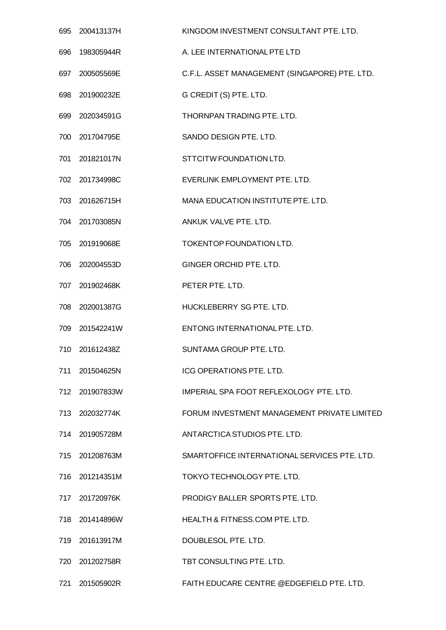| 695 | 200413137H     | KINGDOM INVESTMENT CONSULTANT PTE. LTD.       |
|-----|----------------|-----------------------------------------------|
| 696 | 198305944R     | A. LEE INTERNATIONAL PTE LTD                  |
| 697 | 200505569E     | C.F.L. ASSET MANAGEMENT (SINGAPORE) PTE. LTD. |
|     | 698 201900232E | G CREDIT (S) PTE. LTD.                        |
| 699 | 202034591G     | THORNPAN TRADING PTE. LTD.                    |
|     | 700 201704795E | SANDO DESIGN PTE. LTD.                        |
|     | 701 201821017N | STTCITW FOUNDATION LTD.                       |
|     | 702 201734998C | EVERLINK EMPLOYMENT PTE. LTD.                 |
|     | 703 201626715H | MANA EDUCATION INSTITUTE PTE. LTD.            |
|     | 704 201703085N | ANKUK VALVE PTE. LTD.                         |
| 705 | 201919068E     | TOKENTOP FOUNDATION LTD.                      |
| 706 | 202004553D     | GINGER ORCHID PTE. LTD.                       |
| 707 | 201902468K     | PETER PTE. LTD.                               |
| 708 | 202001387G     | HUCKLEBERRY SG PTE. LTD.                      |
| 709 | 201542241W     | ENTONG INTERNATIONAL PTE. LTD.                |
| 710 | 201612438Z     | SUNTAMA GROUP PTE. LTD.                       |
|     | 711 201504625N | <b>ICG OPERATIONS PTE, LTD.</b>               |
|     | 712 201907833W | IMPERIAL SPA FOOT REFLEXOLOGY PTE. LTD.       |
|     | 713 202032774K | FORUM INVESTMENT MANAGEMENT PRIVATE LIMITED   |
|     | 714 201905728M | ANTARCTICA STUDIOS PTE. LTD.                  |
|     | 715 201208763M | SMARTOFFICE INTERNATIONAL SERVICES PTE. LTD.  |
|     | 716 201214351M | TOKYO TECHNOLOGY PTE. LTD.                    |
|     | 717 201720976K | PRODIGY BALLER SPORTS PTE. LTD.               |
|     | 718 201414896W | <b>HEALTH &amp; FITNESS.COM PTE. LTD.</b>     |
| 719 | 201613917M     | DOUBLESOL PTE. LTD.                           |
|     | 720 201202758R | TBT CONSULTING PTE. LTD.                      |
| 721 | 201505902R     | FAITH EDUCARE CENTRE @EDGEFIELD PTE. LTD.     |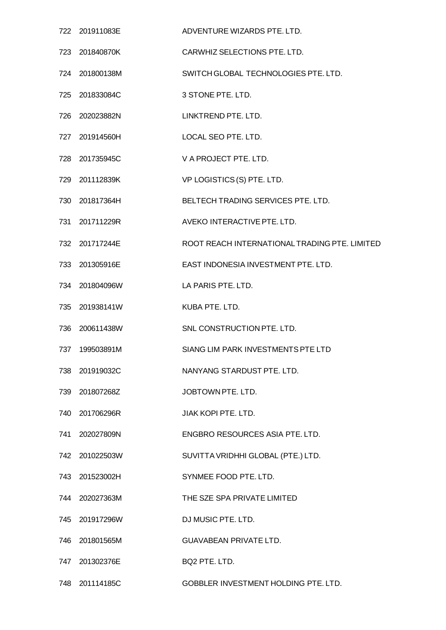|     | 722 201911083E | ADVENTURE WIZARDS PTE, LTD.                   |
|-----|----------------|-----------------------------------------------|
|     | 723 201840870K | CARWHIZ SELECTIONS PTE. LTD.                  |
|     | 724 201800138M | SWITCH GLOBAL TECHNOLOGIES PTE. LTD.          |
|     | 725 201833084C | 3 STONE PTE. LTD.                             |
|     | 726 202023882N | LINKTREND PTE, LTD.                           |
|     | 727 201914560H | LOCAL SEO PTE. LTD.                           |
|     | 728 201735945C | V A PROJECT PTE. LTD.                         |
|     | 729 201112839K | VP LOGISTICS (S) PTE. LTD.                    |
|     | 730 201817364H | BELTECH TRADING SERVICES PTE. LTD.            |
|     | 731 201711229R | AVEKO INTERACTIVE PTE, LTD.                   |
|     | 732 201717244E | ROOT REACH INTERNATIONAL TRADING PTE. LIMITED |
|     | 733 201305916E | EAST INDONESIA INVESTMENT PTE. LTD.           |
|     | 734 201804096W | LA PARIS PTE. LTD.                            |
|     | 735 201938141W | KUBA PTE. LTD.                                |
|     | 736 200611438W | SNL CONSTRUCTION PTE. LTD.                    |
| 737 | 199503891M     | SIANG LIM PARK INVESTMENTS PTE LTD            |
|     | 738 201919032C | NANYANG STARDUST PTE. LTD.                    |
| 739 | 201807268Z     | JOBTOWN PTE. LTD.                             |
|     | 740 201706296R | JIAK KOPI PTE. LTD.                           |
| 741 | 202027809N     | ENGBRO RESOURCES ASIA PTE. LTD.               |
|     | 742 201022503W | SUVITTA VRIDHHI GLOBAL (PTE.) LTD.            |
|     | 743 201523002H | SYNMEE FOOD PTE. LTD.                         |
|     | 744 202027363M | THE SZE SPA PRIVATE LIMITED                   |
|     | 745 201917296W | DJ MUSIC PTE. LTD.                            |
| 746 | 201801565M     | <b>GUAVABEAN PRIVATE LTD.</b>                 |
|     | 747 201302376E | BQ2 PTE. LTD.                                 |
|     | 748 201114185C | GOBBLER INVESTMENT HOLDING PTE. LTD.          |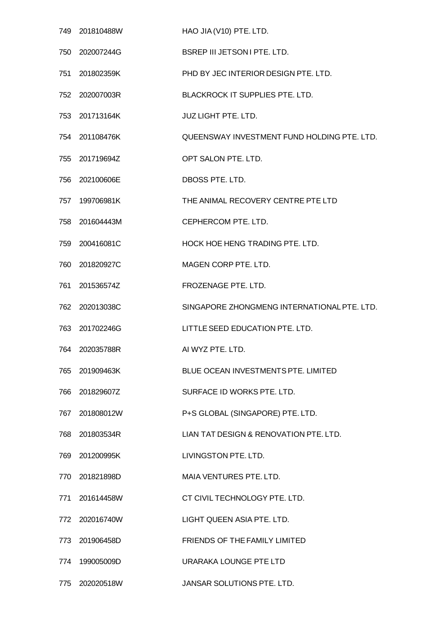|     | 749 201810488W | HAO JIA (V10) PTE. LTD.                     |
|-----|----------------|---------------------------------------------|
|     | 750 202007244G | <b>BSREP III JETSON I PTE, LTD.</b>         |
|     | 751 201802359K | PHD BY JEC INTERIOR DESIGN PTE. LTD.        |
|     | 752 202007003R | BLACKROCK IT SUPPLIES PTE. LTD.             |
|     | 753 201713164K | <b>JUZ LIGHT PTE. LTD.</b>                  |
|     | 754 201108476K | QUEENSWAY INVESTMENT FUND HOLDING PTE. LTD. |
|     | 755 201719694Z | OPT SALON PTE. LTD.                         |
| 756 | 202100606E     | DBOSS PTE. LTD.                             |
|     | 757 199706981K | THE ANIMAL RECOVERY CENTRE PTE LTD          |
| 758 | 201604443M     | CEPHERCOM PTE. LTD.                         |
| 759 | 200416081C     | HOCK HOE HENG TRADING PTE. LTD.             |
|     | 760 201820927C | MAGEN CORP PTE. LTD.                        |
| 761 | 201536574Z     | FROZENAGE PTE. LTD.                         |
|     | 762 202013038C | SINGAPORE ZHONGMENG INTERNATIONAL PTE. LTD. |
| 763 | 201702246G     | LITTLE SEED EDUCATION PTE. LTD.             |
| 764 | 202035788R     | AI WYZ PTE. LTD.                            |
|     | 765 201909463K | BLUE OCEAN INVESTMENTS PTE. LIMITED         |
|     | 766 201829607Z | SURFACE ID WORKS PTE. LTD.                  |
|     | 767 201808012W | P+S GLOBAL (SINGAPORE) PTE. LTD.            |
|     | 768 201803534R | LIAN TAT DESIGN & RENOVATION PTE. LTD.      |
|     | 769 201200995K | LIVINGSTON PTE, LTD.                        |
|     | 770 201821898D | MAIA VENTURES PTE. LTD.                     |
|     | 771 201614458W | CT CIVIL TECHNOLOGY PTE. LTD.               |
|     | 772 202016740W | LIGHT QUEEN ASIA PTE. LTD.                  |
| 773 | 201906458D     | FRIENDS OF THE FAMILY LIMITED               |
| 774 | 199005009D     | URARAKA LOUNGE PTE LTD                      |
|     | 775 202020518W | JANSAR SOLUTIONS PTE. LTD.                  |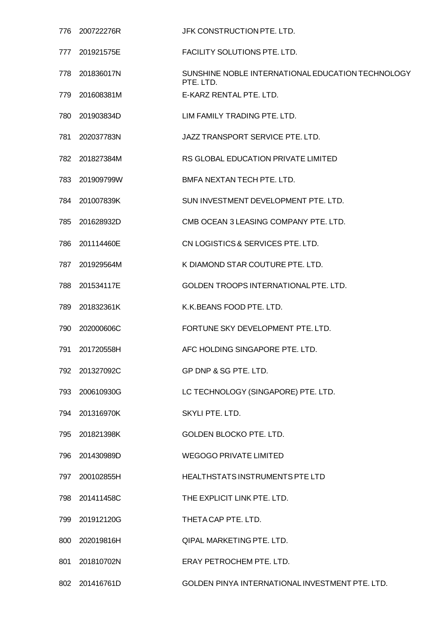| 776  | 200722276R     | JFK CONSTRUCTION PTE. LTD.                                     |
|------|----------------|----------------------------------------------------------------|
| 777. | 201921575E     | FACILITY SOLUTIONS PTE. LTD.                                   |
| 778  | 201836017N     | SUNSHINE NOBLE INTERNATIONAL EDUCATION TECHNOLOGY<br>PTE. LTD. |
| 779  | 201608381M     | E-KARZ RENTAL PTE. LTD.                                        |
| 780  | 201903834D     | LIM FAMILY TRADING PTE. LTD.                                   |
| 781  | 202037783N     | JAZZ TRANSPORT SERVICE PTE. LTD.                               |
| 782  | 201827384M     | RS GLOBAL EDUCATION PRIVATE LIMITED                            |
| 783  | 201909799W     | BMFA NEXTAN TECH PTE. LTD.                                     |
|      | 784 201007839K | SUN INVESTMENT DEVELOPMENT PTE. LTD.                           |
| 785  | 201628932D     | CMB OCEAN 3 LEASING COMPANY PTE, LTD.                          |
| 786  | 201114460E     | CN LOGISTICS & SERVICES PTE. LTD.                              |
| 787  | 201929564M     | K DIAMOND STAR COUTURE PTE. LTD.                               |
| 788  | 201534117E     | GOLDEN TROOPS INTERNATIONAL PTE. LTD.                          |
| 789  | 201832361K     | K.K. BEANS FOOD PTE. LTD.                                      |
| 790  | 202000606C     | FORTUNE SKY DEVELOPMENT PTE. LTD.                              |
| 791  | 201720558H     | AFC HOLDING SINGAPORE PTE. LTD.                                |
|      | 792 201327092C | GP DNP & SG PTE. LTD.                                          |
| 793  | 200610930G     | LC TECHNOLOGY (SINGAPORE) PTE. LTD.                            |
| 794  | 201316970K     | SKYLI PTE. LTD.                                                |
| 795  | 201821398K     | GOLDEN BLOCKO PTE. LTD.                                        |
| 796  | 201430989D     | <b>WEGOGO PRIVATE LIMITED</b>                                  |
| 797  | 200102855H     | HEALTHSTATS INSTRUMENTS PTE LTD                                |
| 798  | 201411458C     | THE EXPLICIT LINK PTE. LTD.                                    |
| 799  | 201912120G     | THETA CAP PTE. LTD.                                            |
| 800  | 202019816H     | <b>QIPAL MARKETING PTE. LTD.</b>                               |
| 801  | 201810702N     | ERAY PETROCHEM PTE. LTD.                                       |
|      | 802 201416761D | GOLDEN PINYA INTERNATIONAL INVESTMENT PTE. LTD.                |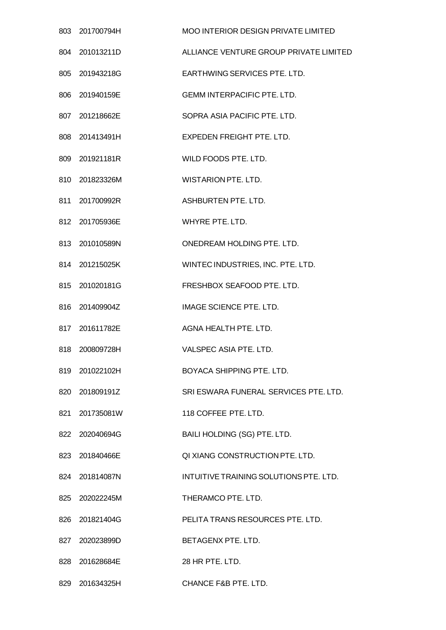| 803 | 201700794H     | <b>MOO INTERIOR DESIGN PRIVATE LIMITED</b> |
|-----|----------------|--------------------------------------------|
| 804 | 201013211D     | ALLIANCE VENTURE GROUP PRIVATE LIMITED     |
|     | 805 201943218G | EARTHWING SERVICES PTE, LTD.               |
|     | 806 201940159E | <b>GEMM INTERPACIFIC PTE. LTD.</b>         |
| 807 | 201218662E     | SOPRA ASIA PACIFIC PTE. LTD.               |
|     | 808 201413491H | EXPEDEN FREIGHT PTE. LTD.                  |
|     | 809 201921181R | WILD FOODS PTE. LTD.                       |
|     | 810 201823326M | <b>WISTARION PTE. LTD.</b>                 |
|     | 811 201700992R | ASHBURTEN PTE. LTD.                        |
|     | 812 201705936E | WHYRE PTE, LTD.                            |
|     | 813 201010589N | ONEDREAM HOLDING PTE. LTD.                 |
|     | 814 201215025K | WINTEC INDUSTRIES, INC. PTE. LTD.          |
|     | 815 201020181G | FRESHBOX SEAFOOD PTE. LTD.                 |
|     | 816 201409904Z | IMAGE SCIENCE PTE. LTD.                    |
|     | 817 201611782E | AGNA HEALTH PTE. LTD.                      |
| 818 | 200809728H     | VALSPEC ASIA PTE. LTD.                     |
|     | 819 201022102H | BOYACA SHIPPING PTE. LTD.                  |
|     | 820 201809191Z | SRI ESWARA FUNERAL SERVICES PTE. LTD.      |
|     | 821 201735081W | 118 COFFEE PTE. LTD.                       |
| 822 | 202040694G     | BAILI HOLDING (SG) PTE. LTD.               |
|     | 823 201840466E | QI XIANG CONSTRUCTION PTE, LTD.            |
|     | 824 201814087N | INTUITIVE TRAINING SOLUTIONS PTE. LTD.     |
|     | 825 202022245M | THERAMCO PTE. LTD.                         |
|     | 826 201821404G | PELITA TRANS RESOURCES PTE. LTD.           |
| 827 | 202023899D     | BETAGENX PTE. LTD.                         |
|     | 828 201628684E | 28 HR PTE, LTD.                            |
|     | 829 201634325H | CHANCE F&B PTE. LTD.                       |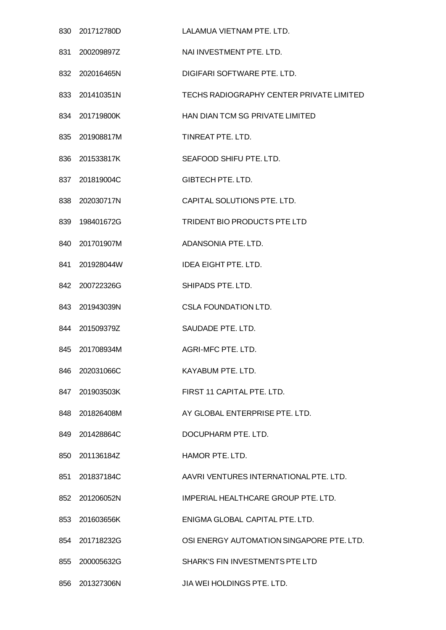| 830 201712780D | LALAMUA VIETNAM PTE, LTD.                 |
|----------------|-------------------------------------------|
| 831 200209897Z | NAI INVESTMENT PTE. LTD.                  |
| 832 202016465N | DIGIFARI SOFTWARE PTE. LTD.               |
| 833 201410351N | TECHS RADIOGRAPHY CENTER PRIVATE LIMITED  |
| 834 201719800K | HAN DIAN TCM SG PRIVATE LIMITED           |
| 835 201908817M | TINREAT PTE. LTD.                         |
| 836 201533817K | SEAFOOD SHIFU PTE. LTD.                   |
| 837 201819004C | <b>GIBTECH PTE, LTD.</b>                  |
| 838 202030717N | CAPITAL SOLUTIONS PTE. LTD.               |
| 839 198401672G | TRIDENT BIO PRODUCTS PTE LTD              |
| 840 201701907M | ADANSONIA PTE. LTD.                       |
| 841 201928044W | <b>IDEA EIGHT PTE. LTD.</b>               |
| 842 200722326G | SHIPADS PTE. LTD.                         |
| 843 201943039N | <b>CSLA FOUNDATION LTD.</b>               |
| 844 201509379Z | SAUDADE PTE. LTD.                         |
| 845 201708934M | AGRI-MFC PTE, LTD.                        |
| 846 202031066C | KAYABUM PTE. LTD.                         |
| 847 201903503K | FIRST 11 CAPITAL PTE, LTD.                |
| 848 201826408M | AY GLOBAL ENTERPRISE PTE. LTD.            |
| 849 201428864C | DOCUPHARM PTE. LTD.                       |
| 850 201136184Z | HAMOR PTE. LTD.                           |
| 851 201837184C | AAVRI VENTURES INTERNATIONAL PTE. LTD.    |
| 852 201206052N | IMPERIAL HEALTHCARE GROUP PTE. LTD.       |
| 853 201603656K | ENIGMA GLOBAL CAPITAL PTE. LTD.           |
| 854 201718232G | OSI ENERGY AUTOMATION SINGAPORE PTE. LTD. |
| 855 200005632G | SHARK'S FIN INVESTMENTS PTE LTD           |
| 856 201327306N | JIA WEI HOLDINGS PTE. LTD.                |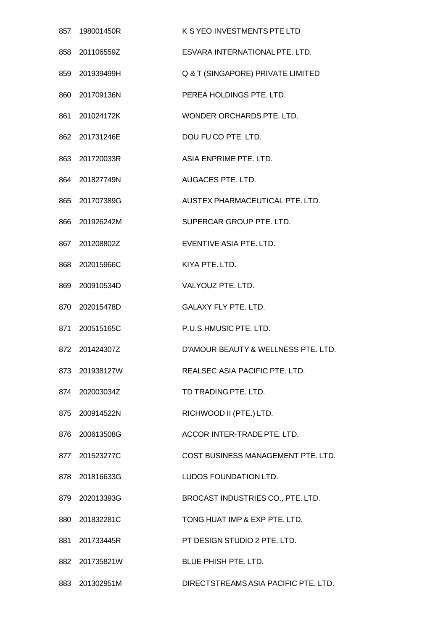| 857 | 198001450R     | K S YEO INVESTMENTS PTE LTD          |
|-----|----------------|--------------------------------------|
| 858 | 201106559Z     | ESVARA INTERNATIONAL PTE. LTD.       |
| 859 | 201939499H     | Q & T (SINGAPORE) PRIVATE LIMITED    |
| 860 | 201709136N     | PEREA HOLDINGS PTE. LTD.             |
| 861 | 201024172K     | WONDER ORCHARDS PTE. LTD.            |
|     | 862 201731246E | DOU FU CO PTE. LTD.                  |
| 863 | 201720033R     | ASIA ENPRIME PTE, LTD.               |
| 864 | 201827749N     | AUGACES PTE. LTD.                    |
|     | 865 201707389G | AUSTEX PHARMACEUTICAL PTE. LTD.      |
| 866 | 201926242M     | SUPERCAR GROUP PTE. LTD.             |
| 867 | 201208802Z     | EVENTIVE ASIA PTE. LTD.              |
|     | 868 202015966C | KIYA PTE. LTD.                       |
| 869 | 200910534D     | VALYOUZ PTE. LTD.                    |
|     | 870 202015478D | <b>GALAXY FLY PTE. LTD.</b>          |
| 871 | 200515165C     | P.U.S.HMUSIC PTE. LTD.               |
| 872 | 201424307Z     | D'AMOUR BEAUTY & WELLNESS PTE. LTD.  |
|     | 873 201938127W | REALSEC ASIA PACIFIC PTE. LTD.       |
|     | 874 202003034Z | TD TRADING PTE, LTD.                 |
|     | 875 200914522N | RICHWOOD II (PTE.) LTD.              |
|     | 876 200613508G | ACCOR INTER-TRADE PTE. LTD.          |
|     | 877 201523277C | COST BUSINESS MANAGEMENT PTE. LTD.   |
|     | 878 201816633G | LUDOS FOUNDATION LTD.                |
|     | 879 202013393G | BROCAST INDUSTRIES CO., PTE. LTD.    |
|     | 880 201832281C | TONG HUAT IMP & EXP PTE. LTD.        |
| 881 | 201733445R     | PT DESIGN STUDIO 2 PTE. LTD.         |
|     | 882 201735821W | <b>BLUE PHISH PTE, LTD.</b>          |
| 883 | 201302951M     | DIRECTSTREAMS ASIA PACIFIC PTE. LTD. |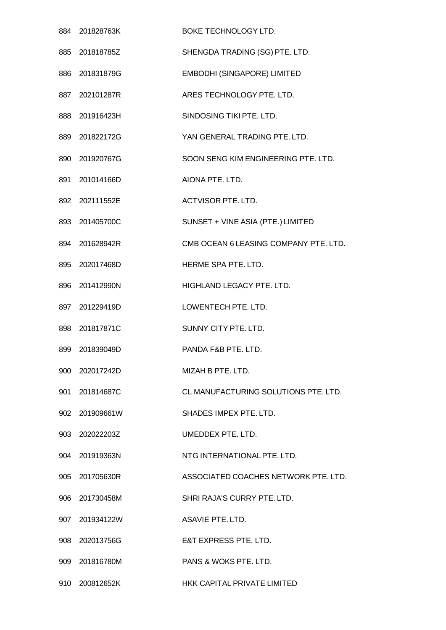|     | 884 201828763K | BOKE TECHNOLOGY LTD.                  |
|-----|----------------|---------------------------------------|
|     | 885 201818785Z | SHENGDA TRADING (SG) PTE. LTD.        |
|     | 886 201831879G | EMBODHI (SINGAPORE) LIMITED           |
|     | 887 202101287R | ARES TECHNOLOGY PTE. LTD.             |
| 888 | 201916423H     | SINDOSING TIKI PTE. LTD.              |
|     | 889 201822172G | YAN GENERAL TRADING PTE. LTD.         |
|     | 890 201920767G | SOON SENG KIM ENGINEERING PTE. LTD.   |
| 891 | 201014166D     | AIONA PTE. LTD.                       |
|     | 892 202111552E | <b>ACTVISOR PTE. LTD.</b>             |
|     | 893 201405700C | SUNSET + VINE ASIA (PTE.) LIMITED     |
|     | 894 201628942R | CMB OCEAN 6 LEASING COMPANY PTE. LTD. |
|     | 895 202017468D | HERME SPA PTE. LTD.                   |
| 896 | 201412990N     | HIGHLAND LEGACY PTE. LTD.             |
|     | 897 201229419D | LOWENTECH PTE. LTD.                   |
| 898 | 201817871C     | SUNNY CITY PTE. LTD.                  |
| 899 | 201839049D     | PANDA F&B PTE, LTD.                   |
| 900 | 202017242D     | MIZAH B PTE, LTD.                     |
| 901 | 201814687C     | CL MANUFACTURING SOLUTIONS PTE. LTD.  |
|     | 902 201909661W | SHADES IMPEX PTE. LTD.                |
| 903 | 202022203Z     | UMEDDEX PTE, LTD.                     |
|     | 904 201919363N | NTG INTERNATIONAL PTE, LTD.           |
|     | 905 201705630R | ASSOCIATED COACHES NETWORK PTE. LTD.  |
|     | 906 201730458M | SHRI RAJA'S CURRY PTE. LTD.           |
|     | 907 201934122W | ASAVIE PTE, LTD.                      |
| 908 | 202013756G     | E&T EXPRESS PTE. LTD.                 |
|     | 909 201816780M | PANS & WOKS PTE, LTD.                 |
| 910 | 200812652K     | HKK CAPITAL PRIVATE LIMITED           |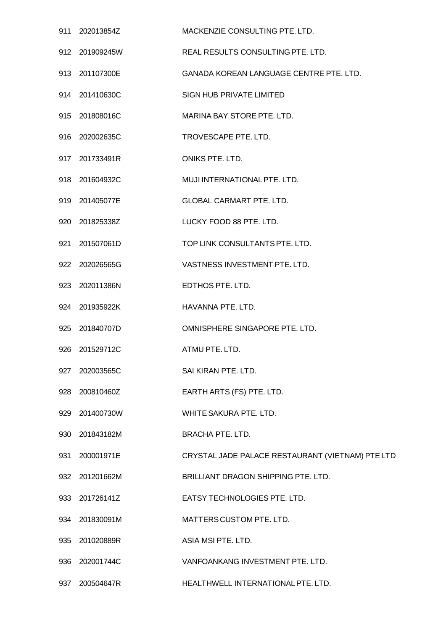|     | 911 202013854Z | MACKENZIE CONSULTING PTE. LTD.                   |
|-----|----------------|--------------------------------------------------|
|     | 912 201909245W | REAL RESULTS CONSULTING PTE. LTD.                |
|     | 913 201107300E | GANADA KOREAN LANGUAGE CENTRE PTE. LTD.          |
|     | 914 201410630C | SIGN HUB PRIVATE LIMITED                         |
|     | 915 201808016C | MARINA BAY STORE PTE. LTD.                       |
| 916 | 202002635C     | TROVESCAPE PTE. LTD.                             |
|     | 917 201733491R | ONIKS PTE. LTD.                                  |
| 918 | 201604932C     | MUJI INTERNATIONAL PTE. LTD.                     |
|     | 919 201405077E | <b>GLOBAL CARMART PTE. LTD.</b>                  |
|     | 920 201825338Z | LUCKY FOOD 88 PTE. LTD.                          |
| 921 | 201507061D     | TOP LINK CONSULTANTS PTE. LTD.                   |
|     | 922 202026565G | VASTNESS INVESTMENT PTE. LTD.                    |
|     | 923 202011386N | EDTHOS PTE. LTD.                                 |
|     | 924 201935922K | HAVANNA PTE. LTD.                                |
|     | 925 201840707D | OMNISPHERE SINGAPORE PTE. LTD.                   |
| 926 | 201529712C     | ATMU PTE. LTD.                                   |
|     | 927 202003565C | SAI KIRAN PTE. LTD.                              |
| 928 | 200810460Z     | EARTH ARTS (FS) PTE. LTD.                        |
| 929 | 201400730W     | WHITE SAKURA PTE. LTD.                           |
| 930 | 201843182M     | <b>BRACHA PTE. LTD.</b>                          |
| 931 | 200001971E     | CRYSTAL JADE PALACE RESTAURANT (VIETNAM) PTE LTD |
|     | 932 201201662M | BRILLIANT DRAGON SHIPPING PTE. LTD.              |
| 933 | 201726141Z     | EATSY TECHNOLOGIES PTE. LTD.                     |
|     | 934 201830091M | MATTERS CUSTOM PTE. LTD.                         |
| 935 | 201020889R     | ASIA MSI PTE. LTD.                               |
| 936 | 202001744C     | VANFOANKANG INVESTMENT PTE. LTD.                 |
| 937 | 200504647R     | HEALTHWELL INTERNATIONAL PTE. LTD.               |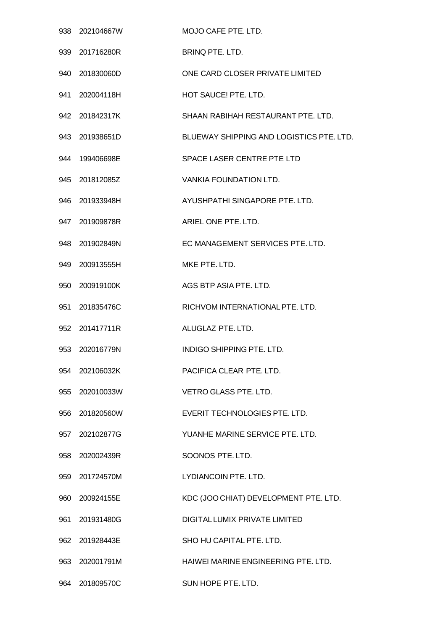| 938 | 202104667W     | MOJO CAFE PTE. LTD.                      |
|-----|----------------|------------------------------------------|
| 939 | 201716280R     | <b>BRINQ PTE, LTD.</b>                   |
|     | 940 201830060D | ONE CARD CLOSER PRIVATE LIMITED          |
| 941 | 202004118H     | HOT SAUCE! PTE. LTD.                     |
| 942 | 201842317K     | SHAAN RABIHAH RESTAURANT PTE. LTD.       |
|     | 943 201938651D | BLUEWAY SHIPPING AND LOGISTICS PTE. LTD. |
| 944 | 199406698E     | SPACE LASER CENTRE PTE LTD               |
| 945 | 201812085Z     | <b>VANKIA FOUNDATION LTD.</b>            |
|     | 946 201933948H | AYUSHPATHI SINGAPORE PTE. LTD.           |
| 947 | 201909878R     | ARIEL ONE PTE. LTD.                      |
| 948 | 201902849N     | EC MANAGEMENT SERVICES PTE. LTD.         |
| 949 | 200913555H     | MKE PTE. LTD.                            |
| 950 | 200919100K     | AGS BTP ASIA PTE. LTD.                   |
| 951 | 201835476C     | RICHVOM INTERNATIONAL PTE. LTD.          |
| 952 | 201417711R     | ALUGLAZ PTE. LTD.                        |
| 953 | 202016779N     | INDIGO SHIPPING PTE, LTD.                |
| 954 | 202106032K     | PACIFICA CLEAR PTE, LTD.                 |
|     | 955 202010033W | <b>VETRO GLASS PTE. LTD.</b>             |
|     | 956 201820560W | EVERIT TECHNOLOGIES PTE. LTD.            |
| 957 | 202102877G     | YUANHE MARINE SERVICE PTE, LTD.          |
|     | 958 202002439R | SOONOS PTE. LTD.                         |
| 959 | 201724570M     | LYDIANCOIN PTE. LTD.                     |
|     | 960 200924155E | KDC (JOO CHIAT) DEVELOPMENT PTE. LTD.    |
|     | 961 201931480G | DIGITAL LUMIX PRIVATE LIMITED            |
| 962 | 201928443E     | SHO HU CAPITAL PTE, LTD.                 |
|     | 963 202001791M | HAIWEI MARINE ENGINEERING PTE, LTD.      |
| 964 | 201809570C     | SUN HOPE PTE. LTD.                       |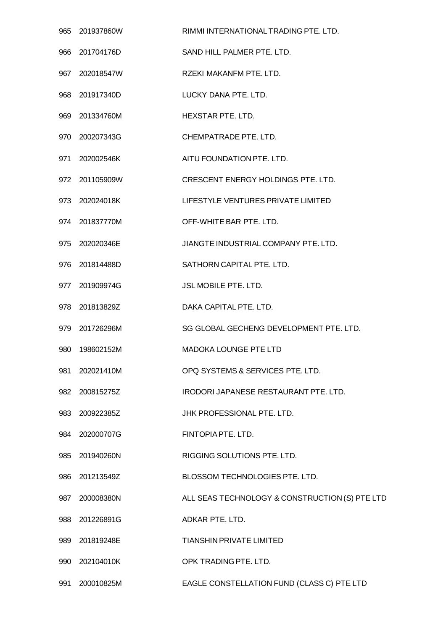| 965 | 201937860W     | RIMMI INTERNATIONAL TRADING PTE. LTD.          |
|-----|----------------|------------------------------------------------|
| 966 | 201704176D     | SAND HILL PALMER PTE. LTD.                     |
| 967 | 202018547W     | RZEKI MAKANFM PTE. LTD.                        |
|     | 968 201917340D | LUCKY DANA PTE. LTD.                           |
| 969 | 201334760M     | HEXSTAR PTE, LTD.                              |
| 970 | 200207343G     | CHEMPATRADE PTE. LTD.                          |
| 971 | 202002546K     | AITU FOUNDATION PTE. LTD.                      |
| 972 | 201105909W     | CRESCENT ENERGY HOLDINGS PTE. LTD.             |
|     | 973 202024018K | LIFESTYLE VENTURES PRIVATE LIMITED             |
|     | 974 201837770M | OFF-WHITE BAR PTE, LTD.                        |
| 975 | 202020346E     | JIANGTE INDUSTRIAL COMPANY PTE. LTD.           |
| 976 | 201814488D     | SATHORN CAPITAL PTE. LTD.                      |
| 977 | 201909974G     | <b>JSL MOBILE PTE. LTD.</b>                    |
| 978 | 201813829Z     | DAKA CAPITAL PTE. LTD.                         |
|     | 979 201726296M | SG GLOBAL GECHENG DEVELOPMENT PTE, LTD.        |
| 980 | 198602152M     | <b>MADOKA LOUNGE PTE LTD</b>                   |
| 981 | 202021410M     | OPQ SYSTEMS & SERVICES PTE. LTD.               |
| 982 | 200815275Z     | IRODORI JAPANESE RESTAURANT PTE. LTD.          |
|     | 983 200922385Z | JHK PROFESSIONAL PTE. LTD.                     |
| 984 | 202000707G     | FINTOPIA PTE. LTD.                             |
| 985 | 201940260N     | RIGGING SOLUTIONS PTE. LTD.                    |
|     | 986 201213549Z | BLOSSOM TECHNOLOGIES PTE. LTD.                 |
| 987 | 200008380N     | ALL SEAS TECHNOLOGY & CONSTRUCTION (S) PTE LTD |
|     | 988 201226891G | ADKAR PTE. LTD.                                |
| 989 | 201819248E     | <b>TIANSHIN PRIVATE LIMITED</b>                |
| 990 | 202104010K     | OPK TRADING PTE. LTD.                          |
|     | 991 200010825M | EAGLE CONSTELLATION FUND (CLASS C) PTE LTD     |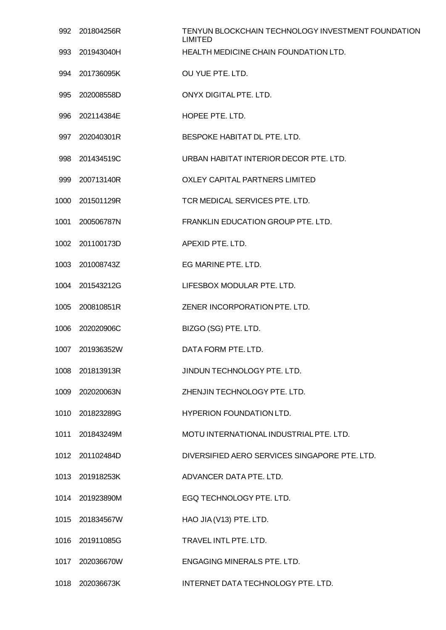| 992  | 201804256R      | TENYUN BLOCKCHAIN TECHNOLOGY INVESTMENT FOUNDATION<br><b>LIMITED</b> |
|------|-----------------|----------------------------------------------------------------------|
| 993  | 201943040H      | HEALTH MEDICINE CHAIN FOUNDATION LTD.                                |
| 994  | 201736095K      | OU YUE PTE, LTD.                                                     |
| 995  | 202008558D      | ONYX DIGITAL PTE. LTD.                                               |
| 996  | 202114384E      | HOPEE PTE. LTD.                                                      |
|      | 997 202040301R  | BESPOKE HABITAT DL PTE. LTD.                                         |
|      | 998 201434519C  | URBAN HABITAT INTERIOR DECOR PTE. LTD.                               |
| 999  | 200713140R      | <b>OXLEY CAPITAL PARTNERS LIMITED</b>                                |
| 1000 | 201501129R      | TCR MEDICAL SERVICES PTE. LTD.                                       |
| 1001 | 200506787N      | <b>FRANKLIN EDUCATION GROUP PTE. LTD.</b>                            |
| 1002 | 201100173D      | APEXID PTE, LTD.                                                     |
| 1003 | 201008743Z      | EG MARINE PTE. LTD.                                                  |
|      | 1004 201543212G | LIFESBOX MODULAR PTE. LTD.                                           |
| 1005 | 200810851R      | ZENER INCORPORATION PTE. LTD.                                        |
| 1006 | 202020906C      | BIZGO (SG) PTE. LTD.                                                 |
| 1007 | 201936352W      | DATA FORM PTE, LTD.                                                  |
|      | 1008 201813913R | JINDUN TECHNOLOGY PTE. LTD.                                          |
| 1009 | 202020063N      | ZHENJIN TECHNOLOGY PTE. LTD.                                         |
|      | 1010 201823289G | HYPERION FOUNDATION LTD.                                             |
| 1011 | 201843249M      | MOTU INTERNATIONAL INDUSTRIAL PTE. LTD.                              |
|      | 1012 201102484D | DIVERSIFIED AERO SERVICES SINGAPORE PTE. LTD.                        |
|      | 1013 201918253K | ADVANCER DATA PTE. LTD.                                              |
| 1014 | 201923890M      | EGQ TECHNOLOGY PTE. LTD.                                             |
|      | 1015 201834567W | HAO JIA (V13) PTE. LTD.                                              |
|      | 1016 201911085G | TRAVEL INTL PTE. LTD.                                                |
| 1017 | 202036670W      | <b>ENGAGING MINERALS PTE. LTD.</b>                                   |
| 1018 | 202036673K      | INTERNET DATA TECHNOLOGY PTE. LTD.                                   |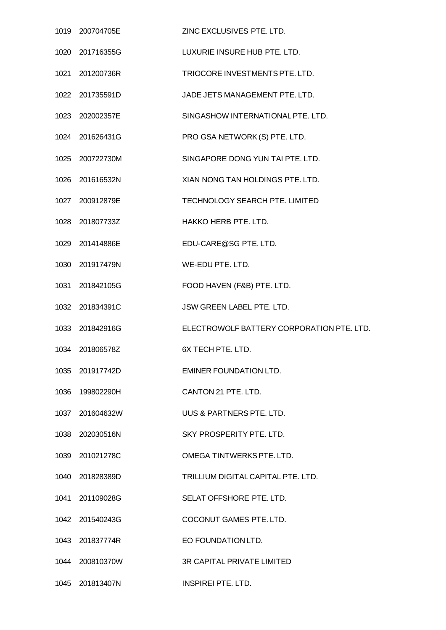| 1019 200704705E | ZINC EXCLUSIVES PTE. LTD.                 |
|-----------------|-------------------------------------------|
| 1020 201716355G | LUXURIE INSURE HUB PTE. LTD.              |
| 1021 201200736R | TRIOCORE INVESTMENTS PTE. LTD.            |
| 1022 201735591D | JADE JETS MANAGEMENT PTE. LTD.            |
| 1023 202002357E | SINGASHOW INTERNATIONAL PTE, LTD.         |
| 1024 201626431G | PRO GSA NETWORK (S) PTE. LTD.             |
| 1025 200722730M | SINGAPORE DONG YUN TAI PTE. LTD.          |
| 1026 201616532N | XIAN NONG TAN HOLDINGS PTE. LTD.          |
| 1027 200912879E | TECHNOLOGY SEARCH PTE. LIMITED            |
| 1028 201807733Z | HAKKO HERB PTE. LTD.                      |
| 1029 201414886E | EDU-CARE@SG PTE. LTD.                     |
| 1030 201917479N | WE-EDU PTE. LTD.                          |
| 1031 201842105G | FOOD HAVEN (F&B) PTE. LTD.                |
| 1032 201834391C | JSW GREEN LABEL PTE. LTD.                 |
| 1033 201842916G | ELECTROWOLF BATTERY CORPORATION PTE. LTD. |
| 1034 201806578Z | 6X TECH PTE, LTD.                         |
| 1035 201917742D | <b>EMINER FOUNDATION LTD.</b>             |
| 1036 199802290H | CANTON 21 PTE, LTD.                       |
| 1037 201604632W | UUS & PARTNERS PTE. LTD.                  |
| 1038 202030516N | SKY PROSPERITY PTE. LTD.                  |
| 1039 201021278C | OMEGA TINTWERKS PTE. LTD.                 |
| 1040 201828389D | TRILLIUM DIGITAL CAPITAL PTE. LTD.        |
| 1041 201109028G | SELAT OFFSHORE PTE. LTD.                  |
| 1042 201540243G | COCONUT GAMES PTE. LTD.                   |
| 1043 201837774R | EO FOUNDATION LTD.                        |
| 1044 200810370W | <b>3R CAPITAL PRIVATE LIMITED</b>         |
| 1045 201813407N | <b>INSPIREI PTE. LTD.</b>                 |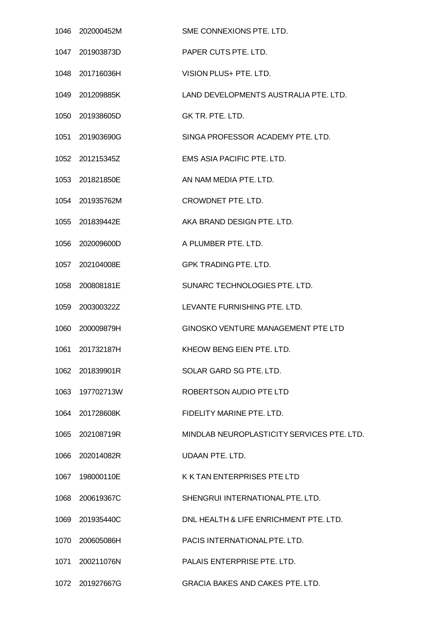|      | 1046 202000452M | SME CONNEXIONS PTE. LTD.                   |
|------|-----------------|--------------------------------------------|
|      | 1047 201903873D | PAPER CUTS PTE. LTD.                       |
|      | 1048 201716036H | VISION PLUS+ PTE. LTD.                     |
|      | 1049 201209885K | LAND DEVELOPMENTS AUSTRALIA PTE. LTD.      |
|      | 1050 201938605D | GK TR. PTE. LTD.                           |
|      | 1051 201903690G | SINGA PROFESSOR ACADEMY PTE. LTD.          |
|      | 1052 201215345Z | EMS ASIA PACIFIC PTE, LTD.                 |
|      | 1053 201821850E | AN NAM MEDIA PTE. LTD.                     |
|      | 1054 201935762M | CROWDNET PTE. LTD.                         |
|      | 1055 201839442E | AKA BRAND DESIGN PTE, LTD.                 |
|      | 1056 202009600D | A PLUMBER PTE. LTD.                        |
|      | 1057 202104008E | <b>GPK TRADING PTE. LTD.</b>               |
|      | 1058 200808181E | SUNARC TECHNOLOGIES PTE. LTD.              |
|      | 1059 200300322Z | LEVANTE FURNISHING PTE. LTD.               |
|      | 1060 200009879H | <b>GINOSKO VENTURE MANAGEMENT PTE LTD</b>  |
|      | 1061 201732187H | KHEOW BENG EIEN PTE, LTD.                  |
|      | 1062 201839901R | SOLAR GARD SG PTE. LTD.                    |
|      | 1063 197702713W | ROBERTSON AUDIO PTE LTD                    |
|      | 1064 201728608K | FIDELITY MARINE PTE. LTD.                  |
|      | 1065 202108719R | MINDLAB NEUROPLASTICITY SERVICES PTE. LTD. |
|      | 1066 202014082R | <b>UDAAN PTE, LTD.</b>                     |
|      | 1067 198000110E | K K TAN ENTERPRISES PTE LTD                |
|      | 1068 200619367C | SHENGRUI INTERNATIONAL PTE, LTD.           |
|      | 1069 201935440C | DNL HEALTH & LIFE ENRICHMENT PTE. LTD.     |
|      | 1070 200605086H | PACIS INTERNATIONAL PTE. LTD.              |
| 1071 | 200211076N      | PALAIS ENTERPRISE PTE. LTD.                |
|      | 1072 201927667G | GRACIA BAKES AND CAKES PTE. LTD.           |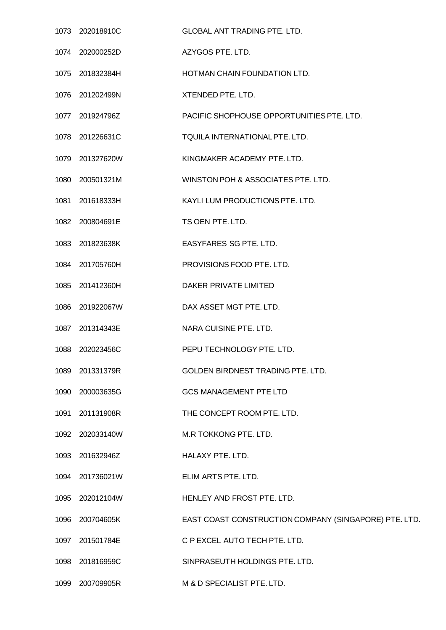|      | 1073 202018910C | <b>GLOBAL ANT TRADING PTE. LTD.</b>                   |
|------|-----------------|-------------------------------------------------------|
|      | 1074 202000252D | AZYGOS PTE. LTD.                                      |
|      | 1075 201832384H | HOTMAN CHAIN FOUNDATION LTD.                          |
|      | 1076 201202499N | XTENDED PTE. LTD.                                     |
|      | 1077 201924796Z | PACIFIC SHOPHOUSE OPPORTUNITIES PTE. LTD.             |
|      | 1078 201226631C | TQUILA INTERNATIONAL PTE. LTD.                        |
|      | 1079 201327620W | KINGMAKER ACADEMY PTE. LTD.                           |
|      | 1080 200501321M | WINSTON POH & ASSOCIATES PTE. LTD.                    |
|      | 1081 201618333H | KAYLI LUM PRODUCTIONS PTE. LTD.                       |
|      | 1082 200804691E | TS OEN PTE, LTD.                                      |
|      | 1083 201823638K | <b>EASYFARES SG PTE, LTD.</b>                         |
|      | 1084 201705760H | PROVISIONS FOOD PTE. LTD.                             |
|      | 1085 201412360H | DAKER PRIVATE LIMITED                                 |
| 1086 | 201922067W      | DAX ASSET MGT PTE. LTD.                               |
|      | 1087 201314343E | NARA CUISINE PTE. LTD.                                |
| 1088 | 202023456C      | PEPU TECHNOLOGY PTE, LTD.                             |
|      | 1089 201331379R | GOLDEN BIRDNEST TRADING PTE. LTD.                     |
| 1090 | 200003635G      | <b>GCS MANAGEMENT PTE LTD</b>                         |
|      | 1091 201131908R | THE CONCEPT ROOM PTE. LTD.                            |
|      | 1092 202033140W | M.R TOKKONG PTE. LTD.                                 |
|      | 1093 201632946Z | HALAXY PTE. LTD.                                      |
|      | 1094 201736021W | ELIM ARTS PTE. LTD.                                   |
|      | 1095 202012104W | HENLEY AND FROST PTE. LTD.                            |
|      | 1096 200704605K | EAST COAST CONSTRUCTION COMPANY (SINGAPORE) PTE. LTD. |
| 1097 | 201501784E      | C P EXCEL AUTO TECH PTE. LTD.                         |
| 1098 | 201816959C      | SINPRASEUTH HOLDINGS PTE. LTD.                        |
|      | 1099 200709905R | M & D SPECIALIST PTE. LTD.                            |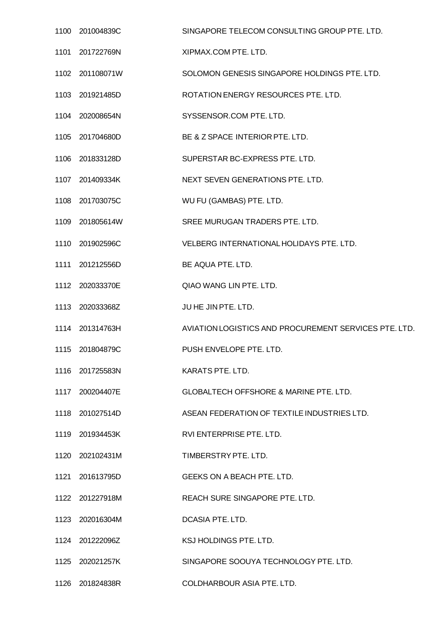|      | 1100 201004839C | SINGAPORE TELECOM CONSULTING GROUP PTE. LTD.          |
|------|-----------------|-------------------------------------------------------|
|      | 1101 201722769N | XIPMAX.COM PTE. LTD.                                  |
|      | 1102 201108071W | SOLOMON GENESIS SINGAPORE HOLDINGS PTE. LTD.          |
|      | 1103 201921485D | ROTATION ENERGY RESOURCES PTE. LTD.                   |
|      | 1104 202008654N | SYSSENSOR.COM PTE. LTD.                               |
|      | 1105 201704680D | BE & Z SPACE INTERIOR PTE. LTD.                       |
|      | 1106 201833128D | SUPERSTAR BC-EXPRESS PTE. LTD.                        |
|      | 1107 201409334K | NEXT SEVEN GENERATIONS PTE. LTD.                      |
|      | 1108 201703075C | WU FU (GAMBAS) PTE. LTD.                              |
|      | 1109 201805614W | SREE MURUGAN TRADERS PTE. LTD.                        |
|      | 1110 201902596C | VELBERG INTERNATIONAL HOLIDAYS PTE, LTD.              |
|      | 1111 201212556D | BE AQUA PTE. LTD.                                     |
|      | 1112 202033370E | QIAO WANG LIN PTE. LTD.                               |
|      | 1113 202033368Z | JUHE JIN PTE. LTD.                                    |
|      | 1114 201314763H | AVIATION LOGISTICS AND PROCUREMENT SERVICES PTE. LTD. |
| 1115 | 201804879C      | PUSH ENVELOPE PTE. LTD.                               |
|      | 1116 201725583N | KARATS PTE. LTD.                                      |
|      | 1117 200204407E | <b>GLOBALTECH OFFSHORE &amp; MARINE PTE, LTD.</b>     |
|      | 1118 201027514D | ASEAN FEDERATION OF TEXTILE INDUSTRIES LTD.           |
|      | 1119 201934453K | RVI ENTERPRISE PTE. LTD.                              |
|      | 1120 202102431M | TIMBERSTRY PTE. LTD.                                  |
|      | 1121 201613795D | GEEKS ON A BEACH PTE. LTD.                            |
|      | 1122 201227918M | REACH SURE SINGAPORE PTE. LTD.                        |
|      | 1123 202016304M | DCASIA PTE. LTD.                                      |
|      | 1124 201222096Z | KSJ HOLDINGS PTE. LTD.                                |
|      | 1125 202021257K | SINGAPORE SOOUYA TECHNOLOGY PTE. LTD.                 |
|      | 1126 201824838R | COLDHARBOUR ASIA PTE. LTD.                            |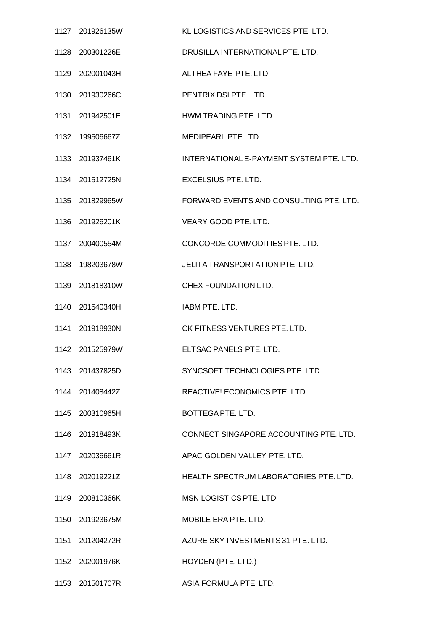| 1127 201926135W  | KL LOGISTICS AND SERVICES PTE. LTD.      |
|------------------|------------------------------------------|
| 1128 200301226E  | DRUSILLA INTERNATIONAL PTE. LTD.         |
| 1129 202001043H  | ALTHEA FAYE PTE, LTD.                    |
| 1130 201930266C  | PENTRIX DSI PTE. LTD.                    |
| 1131 201942501E  | HWM TRADING PTE, LTD.                    |
| 1132 199506667Z  | <b>MEDIPEARL PTE LTD</b>                 |
| 1133 201937461K  | INTERNATIONAL E-PAYMENT SYSTEM PTE. LTD. |
| 1134 201512725N  | <b>EXCELSIUS PTE. LTD.</b>               |
| 1135 201829965W  | FORWARD EVENTS AND CONSULTING PTE, LTD.  |
| 1136 201926201K  | VEARY GOOD PTE. LTD.                     |
| 1137 200400554M  | CONCORDE COMMODITIES PTE. LTD.           |
| 1138  198203678W | JELITA TRANSPORTATION PTE. LTD.          |
| 1139 201818310W  | CHEX FOUNDATION LTD.                     |
| 1140 201540340H  | <b>IABM PTE, LTD.</b>                    |
| 1141 201918930N  | CK FITNESS VENTURES PTE. LTD.            |
| 1142 201525979W  | ELTSAC PANELS PTE. LTD.                  |
| 1143 201437825D  | SYNCSOFT TECHNOLOGIES PTE. LTD.          |
| 1144 201408442Z  | REACTIVE! ECONOMICS PTE. LTD.            |
| 1145 200310965H  | BOTTEGA PTE. LTD.                        |
| 1146 201918493K  | CONNECT SINGAPORE ACCOUNTING PTE. LTD.   |
| 1147 202036661R  | APAC GOLDEN VALLEY PTE. LTD.             |
| 1148 202019221Z  | HEALTH SPECTRUM LABORATORIES PTE. LTD.   |
| 1149 200810366K  | MSN LOGISTICS PTE. LTD.                  |
| 1150 201923675M  | MOBILE ERA PTE. LTD.                     |
| 1151 201204272R  | AZURE SKY INVESTMENTS 31 PTE. LTD.       |
| 1152 202001976K  | HOYDEN (PTE. LTD.)                       |
| 1153 201501707R  | ASIA FORMULA PTE. LTD.                   |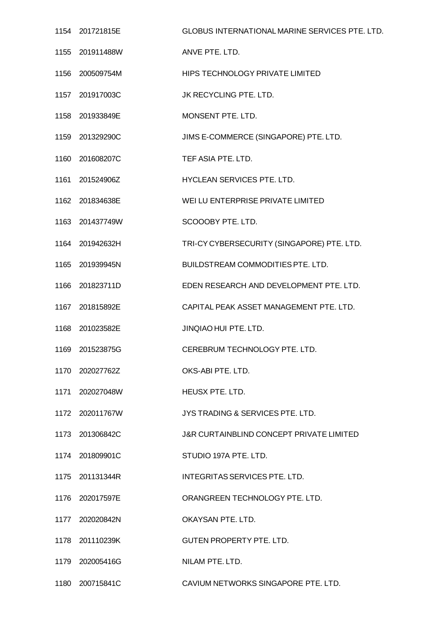|      | 1154 201721815E | <b>GLOBUS INTERNATIONAL MARINE SERVICES PTE. LTD.</b> |
|------|-----------------|-------------------------------------------------------|
|      | 1155 201911488W | ANVE PTE. LTD.                                        |
|      | 1156 200509754M | HIPS TECHNOLOGY PRIVATE LIMITED                       |
|      | 1157 201917003C | JK RECYCLING PTE. LTD.                                |
|      | 1158 201933849E | MONSENT PTE. LTD.                                     |
|      | 1159 201329290C | JIMS E-COMMERCE (SINGAPORE) PTE. LTD.                 |
|      | 1160 201608207C | TEF ASIA PTE. LTD.                                    |
|      | 1161 201524906Z | HYCLEAN SERVICES PTE. LTD.                            |
|      | 1162 201834638E | WEI LU ENTERPRISE PRIVATE LIMITED                     |
|      | 1163 201437749W | SCOOOBY PTE. LTD.                                     |
|      | 1164 201942632H | TRI-CY CYBERSECURITY (SINGAPORE) PTE. LTD.            |
|      | 1165 201939945N | BUILDSTREAM COMMODITIES PTE. LTD.                     |
|      | 1166 201823711D | EDEN RESEARCH AND DEVELOPMENT PTE. LTD.               |
|      | 1167 201815892E | CAPITAL PEAK ASSET MANAGEMENT PTE. LTD.               |
|      | 1168 201023582E | JINQIAO HUI PTE. LTD.                                 |
| 1169 | 201523875G      | CEREBRUM TECHNOLOGY PTE. LTD.                         |
|      | 1170 202027762Z | OKS-ABI PTE. LTD.                                     |
|      | 1171 202027048W | HEUSX PTE. LTD.                                       |
|      | 1172 202011767W | JYS TRADING & SERVICES PTE. LTD.                      |
|      | 1173 201306842C | <b>J&amp;R CURTAINBLIND CONCEPT PRIVATE LIMITED</b>   |
|      | 1174 201809901C | STUDIO 197A PTE, LTD.                                 |
|      | 1175 201131344R | INTEGRITAS SERVICES PTE. LTD.                         |
|      | 1176 202017597E | ORANGREEN TECHNOLOGY PTE. LTD.                        |
|      | 1177 202020842N | OKAYSAN PTE, LTD.                                     |
|      | 1178 201110239K | <b>GUTEN PROPERTY PTE, LTD.</b>                       |
|      | 1179 202005416G | NILAM PTE, LTD.                                       |
|      | 1180 200715841C | CAVIUM NETWORKS SINGAPORE PTE. LTD.                   |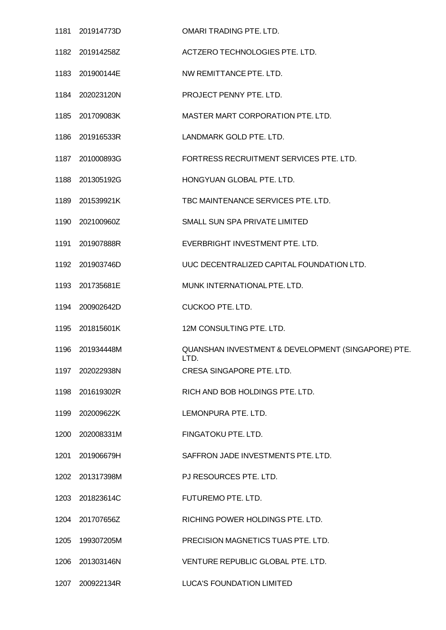|      | 1181 201914773D | OMARI TRADING PTE. LTD.                                    |
|------|-----------------|------------------------------------------------------------|
|      | 1182 201914258Z | ACTZERO TECHNOLOGIES PTE. LTD.                             |
|      | 1183 201900144E | NW REMITTANCE PTE. LTD.                                    |
|      | 1184 202023120N | PROJECT PENNY PTE. LTD.                                    |
|      | 1185 201709083K | MASTER MART CORPORATION PTE. LTD.                          |
|      | 1186 201916533R | LANDMARK GOLD PTE. LTD.                                    |
|      | 1187 201000893G | FORTRESS RECRUITMENT SERVICES PTE. LTD.                    |
|      | 1188 201305192G | HONGYUAN GLOBAL PTE. LTD.                                  |
|      | 1189 201539921K | TBC MAINTENANCE SERVICES PTE. LTD.                         |
|      | 1190 202100960Z | SMALL SUN SPA PRIVATE LIMITED                              |
|      | 1191 201907888R | EVERBRIGHT INVESTMENT PTE. LTD.                            |
|      | 1192 201903746D | UUC DECENTRALIZED CAPITAL FOUNDATION LTD.                  |
|      | 1193 201735681E | MUNK INTERNATIONAL PTE. LTD.                               |
|      | 1194 200902642D | <b>CUCKOO PTE. LTD.</b>                                    |
|      | 1195 201815601K | 12M CONSULTING PTE. LTD.                                   |
|      | 1196 201934448M | QUANSHAN INVESTMENT & DEVELOPMENT (SINGAPORE) PTE.<br>LTD. |
|      | 1197 202022938N | CRESA SINGAPORE PTE. LTD.                                  |
|      | 1198 201619302R | RICH AND BOB HOLDINGS PTE. LTD.                            |
|      | 1199 202009622K | LEMONPURA PTE. LTD.                                        |
|      | 1200 202008331M | FINGATOKU PTE. LTD.                                        |
|      | 1201 201906679H | SAFFRON JADE INVESTMENTS PTE, LTD.                         |
|      | 1202 201317398M | PJ RESOURCES PTE. LTD.                                     |
|      | 1203 201823614C | FUTUREMO PTE. LTD.                                         |
|      | 1204 201707656Z | RICHING POWER HOLDINGS PTE. LTD.                           |
| 1205 | 199307205M      | PRECISION MAGNETICS TUAS PTE. LTD.                         |
|      | 1206 201303146N | VENTURE REPUBLIC GLOBAL PTE. LTD.                          |
|      | 1207 200922134R | LUCA'S FOUNDATION LIMITED                                  |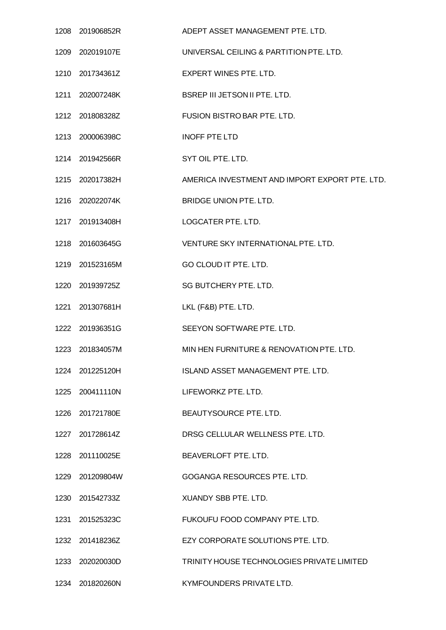| 1208 201906852R | ADEPT ASSET MANAGEMENT PTE. LTD.               |
|-----------------|------------------------------------------------|
| 1209 202019107E | UNIVERSAL CEILING & PARTITION PTE. LTD.        |
| 1210 201734361Z | <b>EXPERT WINES PTE, LTD.</b>                  |
| 1211 202007248K | BSREP III JETSON II PTE. LTD.                  |
| 1212 201808328Z | FUSION BISTRO BAR PTE. LTD.                    |
| 1213 200006398C | <b>INOFF PTE LTD</b>                           |
| 1214 201942566R | SYT OIL PTE. LTD.                              |
| 1215 202017382H | AMERICA INVESTMENT AND IMPORT EXPORT PTE. LTD. |
| 1216 202022074K | BRIDGE UNION PTE. LTD.                         |
| 1217 201913408H | LOGCATER PTE. LTD.                             |
| 1218 201603645G | VENTURE SKY INTERNATIONAL PTE. LTD.            |
| 1219 201523165M | GO CLOUD IT PTE. LTD.                          |
| 1220 201939725Z | SG BUTCHERY PTE. LTD.                          |
| 1221 201307681H | LKL (F&B) PTE. LTD.                            |
| 1222 201936351G | SEEYON SOFTWARE PTE. LTD.                      |
| 1223 201834057M | MIN HEN FURNITURE & RENOVATION PTE. LTD.       |
| 1224 201225120H | ISLAND ASSET MANAGEMENT PTE. LTD.              |
| 1225 200411110N | LIFEWORKZ PTE, LTD.                            |
| 1226 201721780E | BEAUTYSOURCE PTE. LTD.                         |
| 1227 201728614Z | DRSG CELLULAR WELLNESS PTE. LTD.               |
| 1228 201110025E | BEAVERLOFT PTE. LTD.                           |
| 1229 201209804W | GOGANGA RESOURCES PTE. LTD.                    |
| 1230 201542733Z | XUANDY SBB PTE. LTD.                           |
| 1231 201525323C | FUKOUFU FOOD COMPANY PTE. LTD.                 |
| 1232 201418236Z | EZY CORPORATE SOLUTIONS PTE. LTD.              |
| 1233 202020030D | TRINITY HOUSE TECHNOLOGIES PRIVATE LIMITED     |
| 1234 201820260N | KYMFOUNDERS PRIVATE LTD.                       |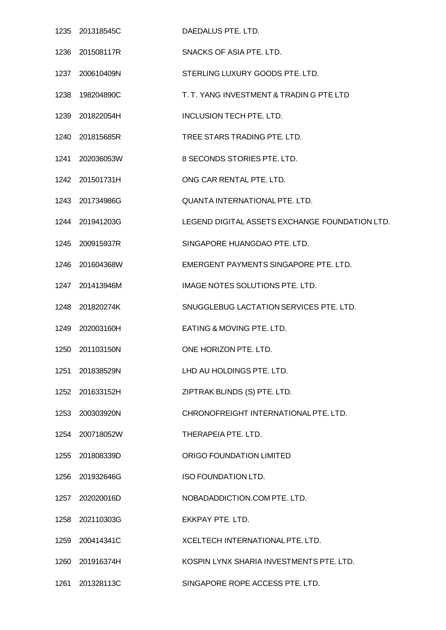|      | 1235 201318545C | DAEDALUS PTE. LTD.                             |
|------|-----------------|------------------------------------------------|
|      | 1236 201508117R | SNACKS OF ASIA PTE. LTD.                       |
|      | 1237 200610409N | STERLING LUXURY GOODS PTE. LTD.                |
|      | 1238 198204890C | T. T. YANG INVESTMENT & TRADIN G PTE LTD       |
|      | 1239 201822054H | <b>INCLUSION TECH PTE. LTD.</b>                |
|      | 1240 201815685R | TREE STARS TRADING PTE. LTD.                   |
|      | 1241 202036053W | 8 SECONDS STORIES PTE. LTD.                    |
|      | 1242 201501731H | ONG CAR RENTAL PTE. LTD.                       |
|      | 1243 201734986G | QUANTA INTERNATIONAL PTE. LTD.                 |
|      | 1244 201941203G | LEGEND DIGITAL ASSETS EXCHANGE FOUNDATION LTD. |
|      | 1245 200915937R | SINGAPORE HUANGDAO PTE. LTD.                   |
|      | 1246 201604368W | EMERGENT PAYMENTS SINGAPORE PTE. LTD.          |
|      | 1247 201413946M | IMAGE NOTES SOLUTIONS PTE. LTD.                |
|      | 1248 201820274K | SNUGGLEBUG LACTATION SERVICES PTE. LTD.        |
|      | 1249 202003160H | EATING & MOVING PTE. LTD.                      |
|      | 1250 201103150N | ONE HORIZON PTE. LTD.                          |
| 1251 | 201838529N      | LHD AU HOLDINGS PTE. LTD.                      |
|      | 1252 201633152H | ZIPTRAK BLINDS (S) PTE. LTD.                   |
|      | 1253 200303920N | CHRONOFREIGHT INTERNATIONAL PTE, LTD.          |
|      | 1254 200718052W | THERAPEIA PTE, LTD.                            |
|      | 1255 201808339D | ORIGO FOUNDATION LIMITED                       |
|      | 1256 201932646G | <b>ISO FOUNDATION LTD.</b>                     |
|      | 1257 202020016D | NOBADADDICTION.COM PTE. LTD.                   |
|      | 1258 202110303G | EKKPAY PTE. LTD.                               |
|      | 1259 200414341C | XCELTECH INTERNATIONAL PTE. LTD.               |
|      | 1260 201916374H | KOSPIN LYNX SHARIA INVESTMENTS PTE. LTD.       |
| 1261 | 201328113C      | SINGAPORE ROPE ACCESS PTE. LTD.                |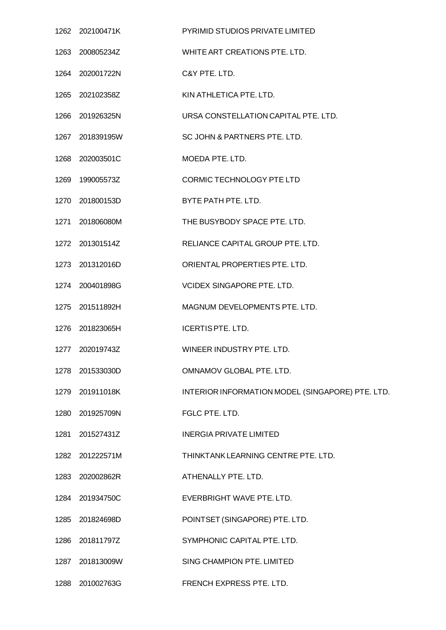| 1262 202100471K  | PYRIMID STUDIOS PRIVATE LIMITED                  |
|------------------|--------------------------------------------------|
|                  | WHITE ART CREATIONS PTE. LTD.                    |
| 1264 202001722N  | C&Y PTE. LTD.                                    |
|                  | KIN ATHLETICA PTE. LTD.                          |
| 1266 201926325N  | URSA CONSTELLATION CAPITAL PTE. LTD.             |
| 1267 201839195W  | SC JOHN & PARTNERS PTE. LTD.                     |
| 1268 202003501C  | MOEDA PTE. LTD.                                  |
| 1269  199005573Z | <b>CORMIC TECHNOLOGY PTE LTD</b>                 |
| 1270 201800153D  | BYTE PATH PTE. LTD.                              |
| 1271 201806080M  | THE BUSYBODY SPACE PTE, LTD.                     |
| 1272 201301514Z  | RELIANCE CAPITAL GROUP PTE. LTD.                 |
| 1273 201312016D  | ORIENTAL PROPERTIES PTE. LTD.                    |
| 1274 200401898G  | <b>VCIDEX SINGAPORE PTE, LTD.</b>                |
| 1275 201511892H  | MAGNUM DEVELOPMENTS PTE. LTD.                    |
| 1276 201823065H  | <b>ICERTIS PTE. LTD.</b>                         |
| 1277 202019743Z  | WINEER INDUSTRY PTE, LTD.                        |
| 1278 201533030D  | OMNAMOV GLOBAL PTE. LTD.                         |
| 1279 201911018K  | INTERIOR INFORMATION MODEL (SINGAPORE) PTE. LTD. |
| 1280 201925709N  | FGLC PTE. LTD.                                   |
| 1281 201527431Z  | <b>INERGIA PRIVATE LIMITED</b>                   |
| 1282 201222571M  | THINKTANK LEARNING CENTRE PTE. LTD.              |
| 1283 202002862R  | ATHENALLY PTE. LTD.                              |
| 1284 201934750C  | EVERBRIGHT WAVE PTE. LTD.                        |
| 1285 201824698D  | POINTSET (SINGAPORE) PTE. LTD.                   |
| 1286 201811797Z  | SYMPHONIC CAPITAL PTE. LTD.                      |
| 1287 201813009W  | SING CHAMPION PTE. LIMITED                       |
| 1288 201002763G  | FRENCH EXPRESS PTE. LTD.                         |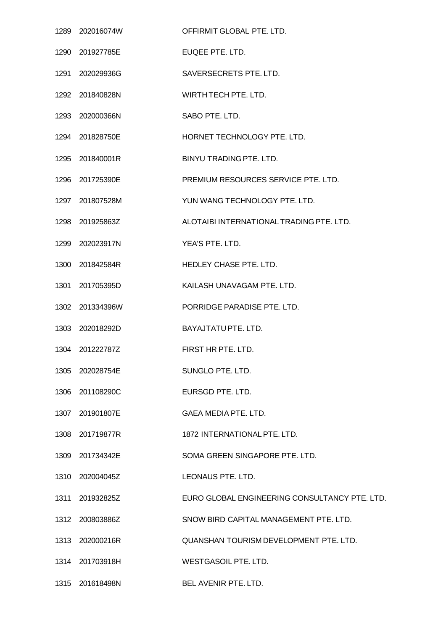| 1289 202016074W | OFFIRMIT GLOBAL PTE. LTD.                     |
|-----------------|-----------------------------------------------|
| 1290 201927785E | EUQEE PTE. LTD.                               |
| 1291 202029936G | SAVERSECRETS PTE. LTD.                        |
| 1292 201840828N | WIRTH TECH PTE. LTD.                          |
| 1293 202000366N | SABO PTE. LTD.                                |
| 1294 201828750E | HORNET TECHNOLOGY PTE, LTD.                   |
| 1295 201840001R | BINYU TRADING PTE. LTD.                       |
| 1296 201725390E | PREMIUM RESOURCES SERVICE PTE, LTD.           |
| 1297 201807528M | YUN WANG TECHNOLOGY PTE. LTD.                 |
| 1298 201925863Z | ALOTAIBI INTERNATIONAL TRADING PTE. LTD.      |
| 1299 202023917N | YEA'S PTE. LTD.                               |
| 1300 201842584R | HEDLEY CHASE PTE. LTD.                        |
| 1301 201705395D | KAILASH UNAVAGAM PTE. LTD.                    |
| 1302 201334396W | PORRIDGE PARADISE PTE. LTD.                   |
| 1303 202018292D | BAYAJTATU PTE. LTD.                           |
| 1304 201222787Z | FIRST HR PTE, LTD.                            |
| 1305 202028754E | SUNGLO PTE. LTD.                              |
| 1306 201108290C | EURSGD PTE. LTD.                              |
| 1307 201901807E | GAEA MEDIA PTE. LTD.                          |
| 1308 201719877R | 1872 INTERNATIONAL PTE. LTD.                  |
| 1309 201734342E | SOMA GREEN SINGAPORE PTE. LTD.                |
| 1310 202004045Z | LEONAUS PTE. LTD.                             |
| 1311 201932825Z | EURO GLOBAL ENGINEERING CONSULTANCY PTE. LTD. |
| 1312 200803886Z | SNOW BIRD CAPITAL MANAGEMENT PTE. LTD.        |
| 1313 202000216R | QUANSHAN TOURISM DEVELOPMENT PTE. LTD.        |
| 1314 201703918H | WESTGASOIL PTE. LTD.                          |
| 1315 201618498N | <b>BEL AVENIR PTE. LTD.</b>                   |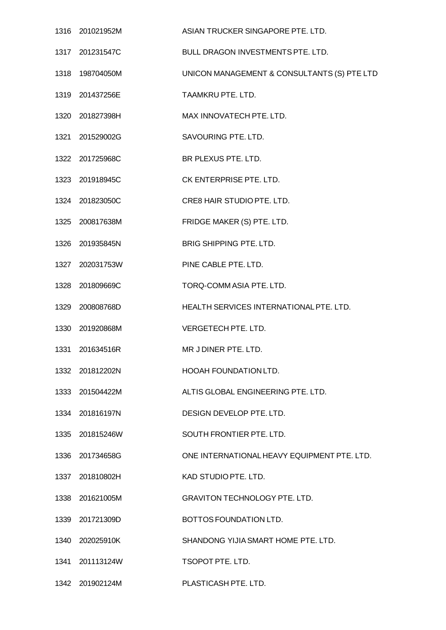| 1316 201021952M  | ASIAN TRUCKER SINGAPORE PTE, LTD.           |
|------------------|---------------------------------------------|
| 1317 201231547C  | BULL DRAGON INVESTMENTS PTE. LTD.           |
| 1318  198704050M | UNICON MANAGEMENT & CONSULTANTS (S) PTE LTD |
| 1319 201437256E  | TAAMKRU PTE. LTD.                           |
| 1320 201827398H  | MAX INNOVATECH PTE. LTD.                    |
| 1321 201529002G  | SAVOURING PTE. LTD.                         |
| 1322 201725968C  | BR PLEXUS PTE. LTD.                         |
| 1323 201918945C  | CK ENTERPRISE PTE. LTD.                     |
| 1324 201823050C  | CRE8 HAIR STUDIO PTE. LTD.                  |
| 1325 200817638M  | FRIDGE MAKER (S) PTE. LTD.                  |
| 1326 201935845N  | BRIG SHIPPING PTE. LTD.                     |
| 1327 202031753W  | PINE CABLE PTE. LTD.                        |
| 1328 201809669C  | TORQ-COMM ASIA PTE. LTD.                    |
| 1329 200808768D  | HEALTH SERVICES INTERNATIONAL PTE. LTD.     |
| 1330 201920868M  | VERGETECH PTE. LTD.                         |
| 1331 201634516R  | MR J DINER PTE. LTD.                        |
| 1332 201812202N  | <b>HOOAH FOUNDATION LTD.</b>                |
| 1333 201504422M  | ALTIS GLOBAL ENGINEERING PTE. LTD.          |
| 1334 201816197N  | DESIGN DEVELOP PTE. LTD.                    |
| 1335 201815246W  | SOUTH FRONTIER PTE. LTD.                    |
| 1336 201734658G  | ONE INTERNATIONAL HEAVY EQUIPMENT PTE. LTD. |
| 1337 201810802H  | KAD STUDIO PTE. LTD.                        |
| 1338 201621005M  | <b>GRAVITON TECHNOLOGY PTE. LTD.</b>        |
| 1339 201721309D  | BOTTOS FOUNDATION LTD.                      |
| 1340 202025910K  | SHANDONG YIJIA SMART HOME PTE, LTD.         |
| 1341 201113124W  | TSOPOT PTE. LTD.                            |
| 1342 201902124M  | PLASTICASH PTE. LTD.                        |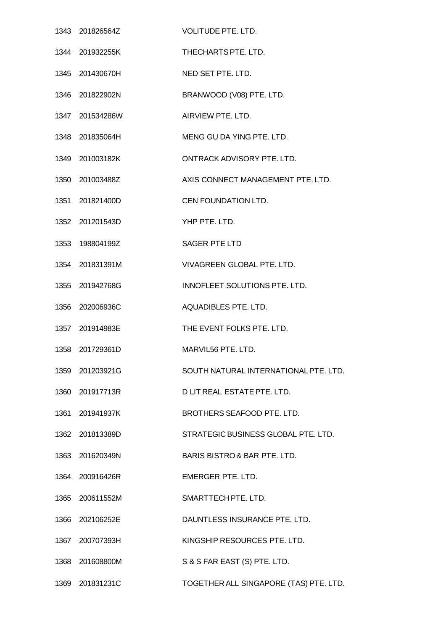| 1343 201826564Z | <b>VOLITUDE PTE. LTD.</b>               |
|-----------------|-----------------------------------------|
| 1344 201932255K | THECHARTS PTE. LTD.                     |
| 1345 201430670H | NED SET PTE. LTD.                       |
| 1346 201822902N | BRANWOOD (V08) PTE. LTD.                |
| 1347 201534286W | AIRVIEW PTE, LTD.                       |
| 1348 201835064H | MENG GU DA YING PTE. LTD.               |
| 1349 201003182K | ONTRACK ADVISORY PTE, LTD.              |
| 1350 201003488Z | AXIS CONNECT MANAGEMENT PTE. LTD.       |
| 1351 201821400D | CEN FOUNDATION LTD.                     |
| 1352 201201543D | YHP PTE. LTD.                           |
| 1353 198804199Z | <b>SAGER PTE LTD</b>                    |
| 1354 201831391M | VIVAGREEN GLOBAL PTE. LTD.              |
| 1355 201942768G | INNOFLEET SOLUTIONS PTE. LTD.           |
| 1356 202006936C | AQUADIBLES PTE. LTD.                    |
| 1357 201914983E | THE EVENT FOLKS PTE. LTD.               |
| 1358 201729361D | MARVIL56 PTE, LTD.                      |
| 1359 201203921G | SOUTH NATURAL INTERNATIONAL PTE. LTD.   |
| 1360 201917713R | D LIT REAL ESTATE PTE. LTD.             |
| 1361 201941937K | BROTHERS SEAFOOD PTE. LTD.              |
| 1362 201813389D | STRATEGIC BUSINESS GLOBAL PTE. LTD.     |
| 1363 201620349N | <b>BARIS BISTRO &amp; BAR PTE. LTD.</b> |
| 1364 200916426R | EMERGER PTE, LTD.                       |
| 1365 200611552M | SMARTTECH PTE. LTD.                     |
| 1366 202106252E | DAUNTLESS INSURANCE PTE. LTD.           |
| 1367 200707393H | KINGSHIP RESOURCES PTE. LTD.            |
| 1368 201608800M | S & S FAR EAST (S) PTE. LTD.            |
| 1369 201831231C | TOGETHER ALL SINGAPORE (TAS) PTE. LTD.  |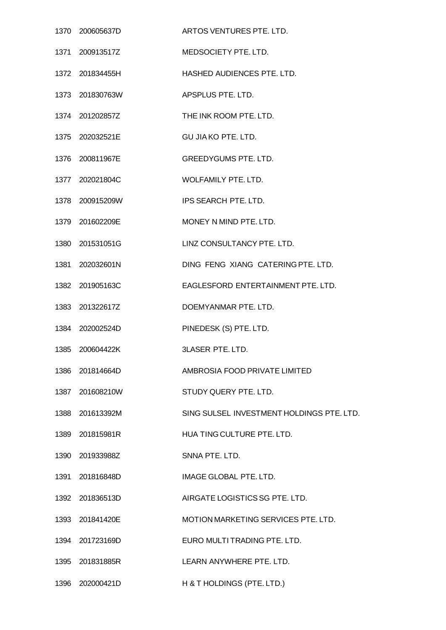| 1370 200605637D | ARTOS VENTURES PTE, LTD.                  |
|-----------------|-------------------------------------------|
| 1371 200913517Z | MEDSOCIETY PTE. LTD.                      |
| 1372 201834455H | <b>HASHED AUDIENCES PTE, LTD.</b>         |
| 1373 201830763W | APSPLUS PTE. LTD.                         |
| 1374 201202857Z | THE INK ROOM PTE. LTD.                    |
| 1375 202032521E | <b>GU JIA KO PTE. LTD.</b>                |
| 1376 200811967E | <b>GREEDYGUMS PTE. LTD.</b>               |
| 1377 202021804C | WOLFAMILY PTE. LTD.                       |
| 1378 200915209W | IPS SEARCH PTE. LTD.                      |
| 1379 201602209E | MONEY N MIND PTE. LTD.                    |
| 1380 201531051G | LINZ CONSULTANCY PTE, LTD.                |
| 1381 202032601N | DING FENG XIANG CATERING PTE. LTD.        |
| 1382 201905163C | EAGLESFORD ENTERTAINMENT PTE. LTD.        |
| 1383 201322617Z | DOEMYANMAR PTE, LTD.                      |
| 1384 202002524D | PINEDESK (S) PTE. LTD.                    |
| 1385 200604422K | <b>3LASER PTE, LTD.</b>                   |
| 1386 201814664D | AMBROSIA FOOD PRIVATE LIMITED             |
| 1387 201608210W | STUDY QUERY PTE. LTD.                     |
| 1388 201613392M | SING SULSEL INVESTMENT HOLDINGS PTE. LTD. |
| 1389 201815981R | HUA TING CULTURE PTE. LTD.                |
| 1390 201933988Z | SNNA PTE, LTD.                            |
| 1391 201816848D | IMAGE GLOBAL PTE. LTD.                    |
| 1392 201836513D | AIRGATE LOGISTICS SG PTE. LTD.            |
| 1393 201841420E | MOTION MARKETING SERVICES PTE. LTD.       |
| 1394 201723169D | EURO MULTI TRADING PTE. LTD.              |
| 1395 201831885R | LEARN ANYWHERE PTE, LTD.                  |
| 1396 202000421D | H & T HOLDINGS (PTE. LTD.)                |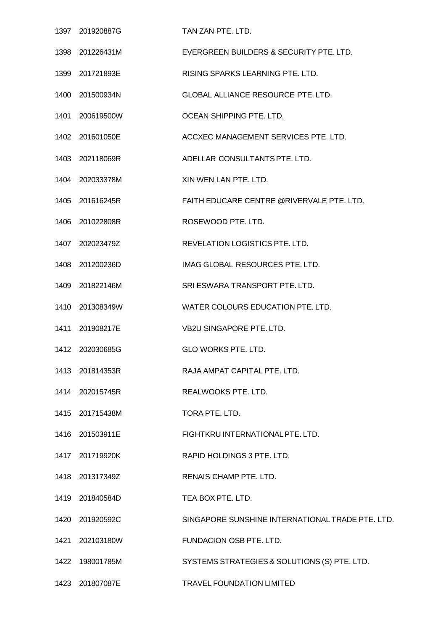|      | 1397 201920887G | TAN ZAN PTE, LTD.                                |
|------|-----------------|--------------------------------------------------|
|      | 1398 201226431M | EVERGREEN BUILDERS & SECURITY PTE. LTD.          |
|      | 1399 201721893E | RISING SPARKS LEARNING PTE. LTD.                 |
|      | 1400 201500934N | GLOBAL ALLIANCE RESOURCE PTE. LTD.               |
| 1401 | 200619500W      | OCEAN SHIPPING PTE. LTD.                         |
|      | 1402 201601050E | ACCXEC MANAGEMENT SERVICES PTE. LTD.             |
|      | 1403 202118069R | ADELLAR CONSULTANTS PTE. LTD.                    |
|      | 1404 202033378M | XIN WEN LAN PTE. LTD.                            |
|      | 1405 201616245R | FAITH EDUCARE CENTRE @RIVERVALE PTE. LTD.        |
|      | 1406 201022808R | ROSEWOOD PTE. LTD.                               |
|      | 1407 202023479Z | REVELATION LOGISTICS PTE. LTD.                   |
|      | 1408 201200236D | IMAG GLOBAL RESOURCES PTE. LTD.                  |
|      | 1409 201822146M | SRI ESWARA TRANSPORT PTE. LTD.                   |
|      | 1410 201308349W | WATER COLOURS EDUCATION PTE. LTD.                |
|      | 1411 201908217E | <b>VB2U SINGAPORE PTE. LTD.</b>                  |
| 1412 | 202030685G      | GLO WORKS PTE. LTD.                              |
|      | 1413 201814353R | RAJA AMPAT CAPITAL PTE. LTD.                     |
|      | 1414 202015745R | REALWOOKS PTE. LTD.                              |
|      | 1415 201715438M | TORA PTE. LTD.                                   |
|      | 1416 201503911E | FIGHTKRU INTERNATIONAL PTE. LTD.                 |
|      | 1417 201719920K | RAPID HOLDINGS 3 PTE. LTD.                       |
|      | 1418 201317349Z | RENAIS CHAMP PTE. LTD.                           |
|      | 1419 201840584D | TEA.BOX PTE. LTD.                                |
|      | 1420 201920592C | SINGAPORE SUNSHINE INTERNATIONAL TRADE PTE. LTD. |
|      | 1421 202103180W | FUNDACION OSB PTE. LTD.                          |
|      | 1422 198001785M | SYSTEMS STRATEGIES & SOLUTIONS (S) PTE. LTD.     |
|      | 1423 201807087E | TRAVEL FOUNDATION LIMITED                        |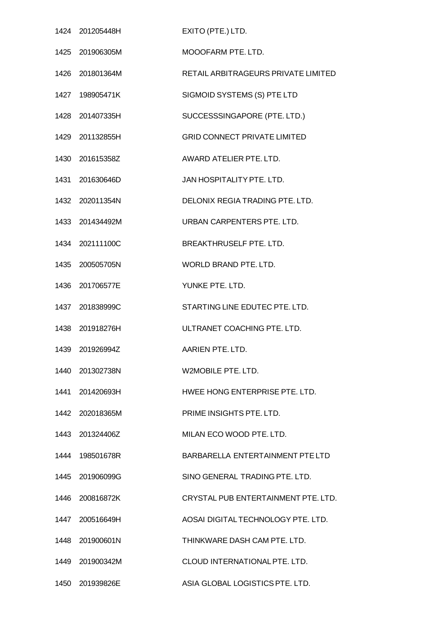|      | 1424 201205448H | EXITO (PTE.) LTD.                   |
|------|-----------------|-------------------------------------|
|      | 1425 201906305M | MOOOFARM PTE. LTD.                  |
|      | 1426 201801364M | RETAIL ARBITRAGEURS PRIVATE LIMITED |
|      | 1427 198905471K | SIGMOID SYSTEMS (S) PTE LTD         |
|      | 1428 201407335H | SUCCESSSINGAPORE (PTE. LTD.)        |
|      | 1429 201132855H | <b>GRID CONNECT PRIVATE LIMITED</b> |
|      | 1430 201615358Z | AWARD ATELIER PTE, LTD.             |
|      | 1431 201630646D | JAN HOSPITALITY PTE, LTD.           |
|      | 1432 202011354N | DELONIX REGIA TRADING PTE. LTD.     |
|      | 1433 201434492M | URBAN CARPENTERS PTE. LTD.          |
|      | 1434 202111100C | BREAKTHRUSELF PTE. LTD.             |
| 1435 | 200505705N      | WORLD BRAND PTE. LTD.               |
| 1436 | 201706577E      | YUNKE PTE. LTD.                     |
|      | 1437 201838999C | STARTING LINE EDUTEC PTE. LTD.      |
|      | 1438 201918276H | ULTRANET COACHING PTE. LTD.         |
|      | 1439 201926994Z | AARIEN PTE, LTD.                    |
| 1440 | 201302738N      | W2MOBILE PTE, LTD.                  |
|      | 1441 201420693H | HWEE HONG ENTERPRISE PTE. LTD.      |
| 1442 | 202018365M      | PRIME INSIGHTS PTE, LTD.            |
| 1443 | 201324406Z      | MILAN ECO WOOD PTE, LTD.            |
|      | 1444 198501678R | BARBARELLA ENTERTAINMENT PTE LTD    |
|      | 1445 201906099G | SINO GENERAL TRADING PTE, LTD.      |
| 1446 | 200816872K      | CRYSTAL PUB ENTERTAINMENT PTE. LTD. |
|      | 1447 200516649H | AOSAI DIGITAL TECHNOLOGY PTE. LTD.  |
| 1448 | 201900601N      | THINKWARE DASH CAM PTE, LTD.        |
|      | 1449 201900342M | CLOUD INTERNATIONAL PTE. LTD.       |
| 1450 | 201939826E      | ASIA GLOBAL LOGISTICS PTE. LTD.     |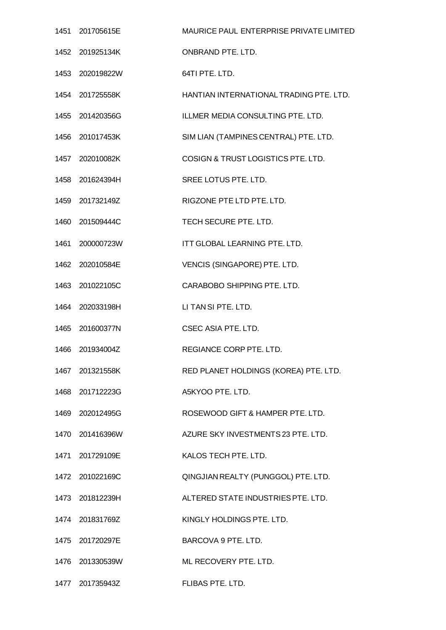|      | 1451 201705615E | MAURICE PAUL ENTERPRISE PRIVATE LIMITED |
|------|-----------------|-----------------------------------------|
|      | 1452 201925134K | ONBRAND PTE. LTD.                       |
|      | 1453 202019822W | 64TI PTE. LTD.                          |
|      | 1454 201725558K | HANTIAN INTERNATIONAL TRADING PTE. LTD. |
|      | 1455 201420356G | ILLMER MEDIA CONSULTING PTE. LTD.       |
|      | 1456 201017453K | SIM LIAN (TAMPINES CENTRAL) PTE. LTD.   |
|      | 1457 202010082K | COSIGN & TRUST LOGISTICS PTE. LTD.      |
|      | 1458 201624394H | SREE LOTUS PTE. LTD.                    |
|      | 1459 201732149Z | RIGZONE PTE LTD PTE. LTD.               |
|      | 1460 201509444C | TECH SECURE PTE. LTD.                   |
|      | 1461 200000723W | ITT GLOBAL LEARNING PTE. LTD.           |
|      | 1462 202010584E | VENCIS (SINGAPORE) PTE. LTD.            |
|      | 1463 201022105C | CARABOBO SHIPPING PTE. LTD.             |
|      | 1464 202033198H | LI TANSI PTE. LTD.                      |
|      | 1465 201600377N | CSEC ASIA PTE. LTD.                     |
| 1466 | 201934004Z      | REGIANCE CORP PTE. LTD.                 |
|      | 1467 201321558K | RED PLANET HOLDINGS (KOREA) PTE. LTD.   |
|      | 1468 201712223G | A5KYOO PTE. LTD.                        |
|      | 1469 202012495G | ROSEWOOD GIFT & HAMPER PTE. LTD.        |
|      | 1470 201416396W | AZURE SKY INVESTMENTS 23 PTE. LTD.      |
|      | 1471 201729109E | KALOS TECH PTE, LTD.                    |
|      | 1472 201022169C | QINGJIAN REALTY (PUNGGOL) PTE. LTD.     |
|      | 1473 201812239H | ALTERED STATE INDUSTRIES PTE. LTD.      |
|      | 1474 201831769Z | KINGLY HOLDINGS PTE. LTD.               |
|      | 1475 201720297E | BARCOVA 9 PTE. LTD.                     |
|      | 1476 201330539W | ML RECOVERY PTE. LTD.                   |
|      | 1477 201735943Z | FLIBAS PTE. LTD.                        |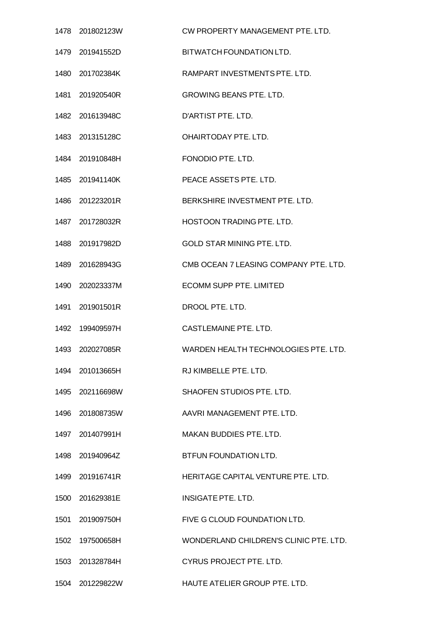| 1478 201802123W | CW PROPERTY MANAGEMENT PTE. LTD.       |
|-----------------|----------------------------------------|
| 1479 201941552D | BITWATCH FOUNDATION LTD.               |
| 1480 201702384K | RAMPART INVESTMENTS PTE. LTD.          |
| 1481 201920540R | <b>GROWING BEANS PTE. LTD.</b>         |
| 1482 201613948C | D'ARTIST PTE. LTD.                     |
| 1483 201315128C | OHAIRTODAY PTE. LTD.                   |
| 1484 201910848H | FONODIO PTE. LTD.                      |
| 1485 201941140K | PEACE ASSETS PTE. LTD.                 |
| 1486 201223201R | BERKSHIRE INVESTMENT PTE, LTD.         |
| 1487 201728032R | HOSTOON TRADING PTE. LTD.              |
| 1488 201917982D | <b>GOLD STAR MINING PTE, LTD.</b>      |
| 1489 201628943G | CMB OCEAN 7 LEASING COMPANY PTE. LTD.  |
| 1490 202023337M | <b>ECOMM SUPP PTE. LIMITED</b>         |
| 1491 201901501R | DROOL PTE. LTD.                        |
| 1492 199409597H | <b>CASTLEMAINE PTE, LTD.</b>           |
| 1493 202027085R | WARDEN HEALTH TECHNOLOGIES PTE, LTD.   |
| 1494 201013665H | RJ KIMBELLE PTE. LTD.                  |
| 1495 202116698W | SHAOFEN STUDIOS PTE. LTD.              |
| 1496 201808735W | AAVRI MANAGEMENT PTE. LTD.             |
| 1497 201407991H | MAKAN BUDDIES PTE. LTD.                |
| 1498 201940964Z | BTFUN FOUNDATION LTD.                  |
| 1499 201916741R | HERITAGE CAPITAL VENTURE PTE. LTD.     |
| 1500 201629381E | INSIGATE PTE, LTD.                     |
| 1501 201909750H | FIVE G CLOUD FOUNDATION LTD.           |
| 1502 197500658H | WONDERLAND CHILDREN'S CLINIC PTE. LTD. |
| 1503 201328784H | CYRUS PROJECT PTE. LTD.                |
| 1504 201229822W | HAUTE ATELIER GROUP PTE. LTD.          |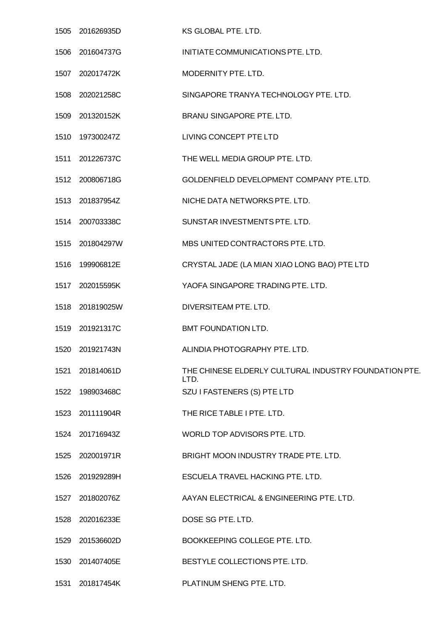| 1505 201626935D  | KS GLOBAL PTE. LTD.                                           |
|------------------|---------------------------------------------------------------|
| 1506 201604737G  | INITIATE COMMUNICATIONS PTE. LTD.                             |
| 1507 202017472K  | MODERNITY PTE, LTD.                                           |
| 1508 202021258C  | SINGAPORE TRANYA TECHNOLOGY PTE. LTD.                         |
| 1509 201320152K  | BRANU SINGAPORE PTE. LTD.                                     |
| 1510  197300247Z | LIVING CONCEPT PTE LTD                                        |
| 1511 201226737C  | THE WELL MEDIA GROUP PTE. LTD.                                |
| 1512 200806718G  | GOLDENFIELD DEVELOPMENT COMPANY PTE. LTD.                     |
| 1513 201837954Z  | NICHE DATA NETWORKS PTE. LTD.                                 |
| 1514 200703338C  | SUNSTAR INVESTMENTS PTE. LTD.                                 |
| 1515 201804297W  | MBS UNITED CONTRACTORS PTE. LTD.                              |
| 1516 199906812E  | CRYSTAL JADE (LA MIAN XIAO LONG BAO) PTE LTD                  |
| 1517 202015595K  | YAOFA SINGAPORE TRADING PTE. LTD.                             |
| 1518 201819025W  | DIVERSITEAM PTE. LTD.                                         |
| 1519 201921317C  | BMT FOUNDATION LTD.                                           |
| 1520 201921743N  | ALINDIA PHOTOGRAPHY PTE. LTD.                                 |
| 1521 201814061D  | THE CHINESE ELDERLY CULTURAL INDUSTRY FOUNDATION PTE.<br>LTD. |
| 1522 198903468C  | SZU I FASTENERS (S) PTE LTD                                   |
| 1523 201111904R  | THE RICE TABLE I PTE. LTD.                                    |
| 1524 201716943Z  | WORLD TOP ADVISORS PTE. LTD.                                  |
| 1525 202001971R  | BRIGHT MOON INDUSTRY TRADE PTE. LTD.                          |
| 1526 201929289H  | ESCUELA TRAVEL HACKING PTE. LTD.                              |
| 1527 201802076Z  | AAYAN ELECTRICAL & ENGINEERING PTE. LTD.                      |
| 1528 202016233E  | DOSE SG PTE. LTD.                                             |
| 1529 201536602D  | BOOKKEEPING COLLEGE PTE. LTD.                                 |
| 1530 201407405E  | BESTYLE COLLECTIONS PTE. LTD.                                 |
| 1531 201817454K  | PLATINUM SHENG PTE. LTD.                                      |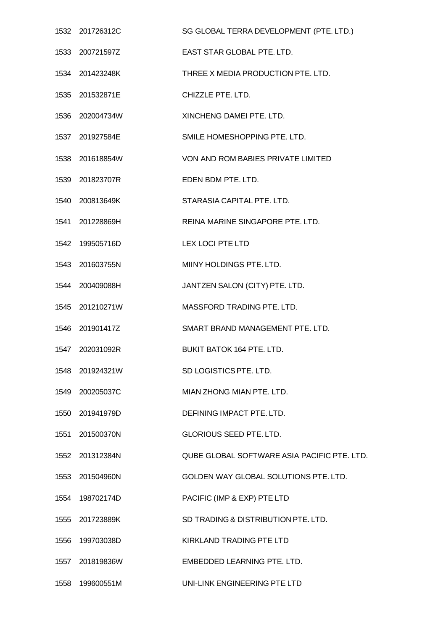|      | 1532 201726312C | SG GLOBAL TERRA DEVELOPMENT (PTE. LTD.)     |
|------|-----------------|---------------------------------------------|
|      | 1533 200721597Z | EAST STAR GLOBAL PTE. LTD.                  |
|      | 1534 201423248K | THREE X MEDIA PRODUCTION PTE. LTD.          |
|      | 1535 201532871E | CHIZZLE PTE. LTD.                           |
|      | 1536 202004734W | XINCHENG DAMEI PTE, LTD.                    |
|      | 1537 201927584E | SMILE HOMESHOPPING PTE. LTD.                |
|      | 1538 201618854W | VON AND ROM BABIES PRIVATE LIMITED          |
|      | 1539 201823707R | EDEN BDM PTE, LTD.                          |
|      | 1540 200813649K | STARASIA CAPITAL PTE. LTD.                  |
|      | 1541 201228869H | REINA MARINE SINGAPORE PTE. LTD.            |
|      | 1542 199505716D | <b>LEX LOCI PTE LTD</b>                     |
|      | 1543 201603755N | MIINY HOLDINGS PTE. LTD.                    |
|      | 1544 200409088H | JANTZEN SALON (CITY) PTE. LTD.              |
|      | 1545 201210271W | MASSFORD TRADING PTE. LTD.                  |
|      | 1546 201901417Z | SMART BRAND MANAGEMENT PTE. LTD.            |
|      | 1547 202031092R | <b>BUKIT BATOK 164 PTE, LTD.</b>            |
|      | 1548 201924321W | SD LOGISTICS PTE. LTD.                      |
|      | 1549 200205037C | MIAN ZHONG MIAN PTE. LTD.                   |
|      | 1550 201941979D | DEFINING IMPACT PTE. LTD.                   |
|      | 1551 201500370N | <b>GLORIOUS SEED PTE. LTD.</b>              |
|      | 1552 201312384N | QUBE GLOBAL SOFTWARE ASIA PACIFIC PTE. LTD. |
|      | 1553 201504960N | GOLDEN WAY GLOBAL SOLUTIONS PTE. LTD.       |
|      | 1554 198702174D | PACIFIC (IMP & EXP) PTE LTD                 |
|      | 1555 201723889K | SD TRADING & DISTRIBUTION PTE. LTD.         |
|      | 1556 199703038D | <b>KIRKLAND TRADING PTE LTD</b>             |
| 1557 | 201819836W      | EMBEDDED LEARNING PTE. LTD.                 |
|      | 1558 199600551M | UNI-LINK ENGINEERING PTE LTD                |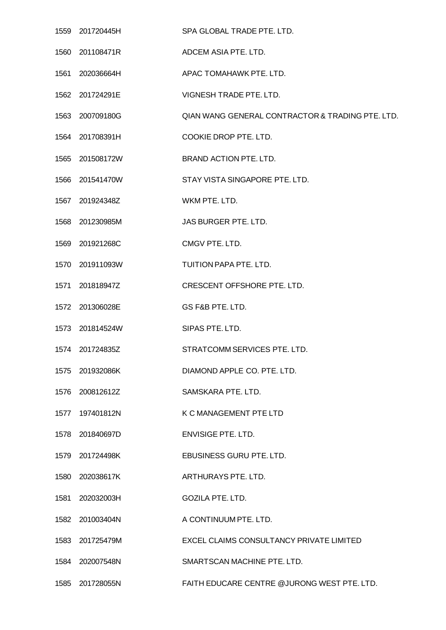|      | 1559 201720445H | SPA GLOBAL TRADE PTE. LTD.                       |
|------|-----------------|--------------------------------------------------|
|      | 1560 201108471R | ADCEM ASIA PTE. LTD.                             |
|      | 1561 202036664H | APAC TOMAHAWK PTE. LTD.                          |
|      | 1562 201724291E | VIGNESH TRADE PTE. LTD.                          |
|      | 1563 200709180G | QIAN WANG GENERAL CONTRACTOR & TRADING PTE. LTD. |
|      | 1564 201708391H | COOKIE DROP PTE. LTD.                            |
|      | 1565 201508172W | BRAND ACTION PTE. LTD.                           |
|      | 1566 201541470W | STAY VISTA SINGAPORE PTE. LTD.                   |
|      | 1567 201924348Z | WKM PTE. LTD.                                    |
|      | 1568 201230985M | JAS BURGER PTE. LTD.                             |
|      | 1569 201921268C | CMGV PTE. LTD.                                   |
|      | 1570 201911093W | TUITION PAPA PTE. LTD.                           |
|      | 1571 201818947Z | CRESCENT OFFSHORE PTE. LTD.                      |
|      | 1572 201306028E | GS F&B PTE. LTD.                                 |
|      | 1573 201814524W | SIPAS PTE. LTD.                                  |
|      | 1574 201724835Z | STRATCOMM SERVICES PTE. LTD.                     |
|      | 1575 201932086K | DIAMOND APPLE CO. PTE. LTD.                      |
|      | 1576 200812612Z | SAMSKARA PTE. LTD.                               |
|      | 1577 197401812N | K C MANAGEMENT PTE LTD                           |
|      | 1578 201840697D | <b>ENVISIGE PTE. LTD.</b>                        |
|      | 1579 201724498K | EBUSINESS GURU PTE. LTD.                         |
|      | 1580 202038617K | ARTHURAYS PTE. LTD.                              |
| 1581 | 202032003H      | <b>GOZILA PTE. LTD.</b>                          |
|      | 1582 201003404N | A CONTINUUM PTE. LTD.                            |
|      | 1583 201725479M | EXCEL CLAIMS CONSULTANCY PRIVATE LIMITED         |
|      | 1584 202007548N | SMARTSCAN MACHINE PTE. LTD.                      |
|      | 1585 201728055N | FAITH EDUCARE CENTRE @JURONG WEST PTE. LTD.      |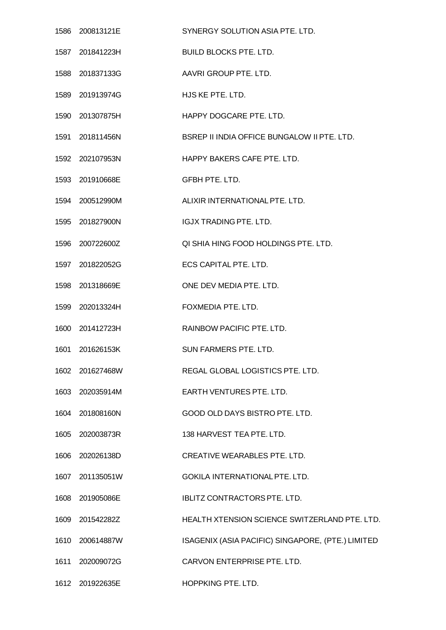|      | 1586 200813121E | SYNERGY SOLUTION ASIA PTE. LTD.                   |
|------|-----------------|---------------------------------------------------|
|      | 1587 201841223H | <b>BUILD BLOCKS PTE. LTD.</b>                     |
|      | 1588 201837133G | AAVRI GROUP PTE. LTD.                             |
|      | 1589 201913974G | HJS KE PTE. LTD.                                  |
|      | 1590 201307875H | HAPPY DOGCARE PTE, LTD.                           |
|      | 1591 201811456N | BSREP II INDIA OFFICE BUNGALOW II PTE. LTD.       |
|      | 1592 202107953N | HAPPY BAKERS CAFE PTE. LTD.                       |
|      | 1593 201910668E | GFBH PTE. LTD.                                    |
|      | 1594 200512990M | ALIXIR INTERNATIONAL PTE. LTD.                    |
|      | 1595 201827900N | <b>IGJX TRADING PTE, LTD.</b>                     |
|      | 1596 200722600Z | QI SHIA HING FOOD HOLDINGS PTE. LTD.              |
|      | 1597 201822052G | ECS CAPITAL PTE. LTD.                             |
|      | 1598 201318669E | ONE DEV MEDIA PTE. LTD.                           |
|      | 1599 202013324H | FOXMEDIA PTE. LTD.                                |
|      | 1600 201412723H | RAINBOW PACIFIC PTE, LTD.                         |
|      | 1601 201626153K | SUN FARMERS PTE. LTD.                             |
| 1602 | 201627468W      | REGAL GLOBAL LOGISTICS PTE. LTD.                  |
| 1603 | 202035914M      | EARTH VENTURES PTE. LTD.                          |
|      | 1604 201808160N | GOOD OLD DAYS BISTRO PTE. LTD.                    |
| 1605 | 202003873R      | 138 HARVEST TEA PTE, LTD.                         |
|      | 1606 202026138D | CREATIVE WEARABLES PTE. LTD.                      |
| 1607 | 201135051W      | GOKILA INTERNATIONAL PTE. LTD.                    |
| 1608 | 201905086E      | IBLITZ CONTRACTORS PTE. LTD.                      |
|      | 1609 201542282Z | HEALTH XTENSION SCIENCE SWITZERLAND PTE. LTD.     |
| 1610 | 200614887W      | ISAGENIX (ASIA PACIFIC) SINGAPORE, (PTE.) LIMITED |
| 1611 | 202009072G      | CARVON ENTERPRISE PTE. LTD.                       |
|      | 1612 201922635E | HOPPKING PTE. LTD.                                |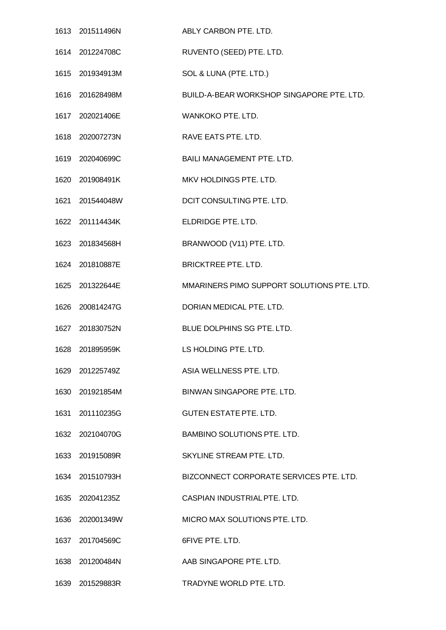| 1613 201511496N | ABLY CARBON PTE, LTD.                      |
|-----------------|--------------------------------------------|
| 1614 201224708C | RUVENTO (SEED) PTE. LTD.                   |
| 1615 201934913M | SOL & LUNA (PTE. LTD.)                     |
| 1616 201628498M | BUILD-A-BEAR WORKSHOP SINGAPORE PTE. LTD.  |
| 1617 202021406E | WANKOKO PTE. LTD.                          |
| 1618 202007273N | RAVE EATS PTE. LTD.                        |
| 1619 202040699C | BAILI MANAGEMENT PTE. LTD.                 |
| 1620 201908491K | MKV HOLDINGS PTE. LTD.                     |
| 1621 201544048W | DCIT CONSULTING PTE. LTD.                  |
| 1622 201114434K | ELDRIDGE PTE. LTD.                         |
| 1623 201834568H | BRANWOOD (V11) PTE. LTD.                   |
| 1624 201810887E | <b>BRICKTREE PTE. LTD.</b>                 |
| 1625 201322644E | MMARINERS PIMO SUPPORT SOLUTIONS PTE. LTD. |
| 1626 200814247G | DORIAN MEDICAL PTE. LTD.                   |
| 1627 201830752N | BLUE DOLPHINS SG PTE. LTD.                 |
| 1628 201895959K | <b>EXECUTION EXECUTE: LTD.</b>             |
| 1629 201225749Z | ASIA WELLNESS PTE. LTD.                    |
| 1630 201921854M | BINWAN SINGAPORE PTE. LTD.                 |
| 1631 201110235G | <b>GUTEN ESTATE PTE. LTD.</b>              |
| 1632 202104070G | BAMBINO SOLUTIONS PTE. LTD.                |
| 1633 201915089R | SKYLINE STREAM PTE. LTD.                   |
| 1634 201510793H | BIZCONNECT CORPORATE SERVICES PTE. LTD.    |
| 1635 202041235Z | CASPIAN INDUSTRIAL PTE. LTD.               |
| 1636 202001349W | MICRO MAX SOLUTIONS PTE. LTD.              |
| 1637 201704569C | 6FIVE PTE, LTD.                            |
| 1638 201200484N | AAB SINGAPORE PTE. LTD.                    |
| 1639 201529883R | TRADYNE WORLD PTE. LTD.                    |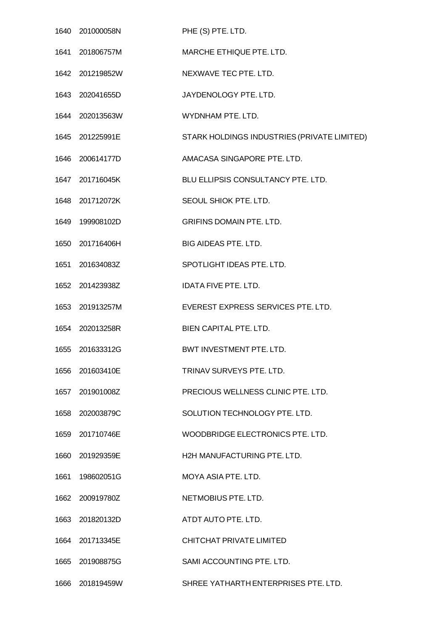| 1640 201000058N | PHE (S) PTE. LTD.                           |
|-----------------|---------------------------------------------|
| 1641 201806757M | MARCHE ETHIQUE PTE. LTD.                    |
| 1642 201219852W | NEXWAVE TEC PTE. LTD.                       |
| 1643 202041655D | JAYDENOLOGY PTE. LTD.                       |
| 1644 202013563W | WYDNHAM PTE, LTD.                           |
| 1645 201225991E | STARK HOLDINGS INDUSTRIES (PRIVATE LIMITED) |
| 1646 200614177D | AMACASA SINGAPORE PTE. LTD.                 |
| 1647 201716045K | BLU ELLIPSIS CONSULTANCY PTE. LTD.          |
| 1648 201712072K | SEOUL SHIOK PTE, LTD.                       |
| 1649 199908102D | <b>GRIFINS DOMAIN PTE. LTD.</b>             |
| 1650 201716406H | BIG AIDEAS PTE. LTD.                        |
| 1651 201634083Z | SPOTLIGHT IDEAS PTE. LTD.                   |
| 1652 201423938Z | <b>IDATA FIVE PTE, LTD.</b>                 |
| 1653 201913257M | EVEREST EXPRESS SERVICES PTE. LTD.          |
| 1654 202013258R | BIEN CAPITAL PTE. LTD.                      |
| 1655 201633312G | BWT INVESTMENT PTE. LTD.                    |
| 1656 201603410E | TRINAV SURVEYS PTE. LTD.                    |
| 1657 201901008Z | PRECIOUS WELLNESS CLINIC PTE, LTD.          |
| 1658 202003879C | SOLUTION TECHNOLOGY PTE. LTD.               |
| 1659 201710746E | WOODBRIDGE ELECTRONICS PTE. LTD.            |
| 1660 201929359E | H2H MANUFACTURING PTE. LTD.                 |
| 1661 198602051G | MOYA ASIA PTE, LTD.                         |
| 1662 200919780Z | NETMOBIUS PTE. LTD.                         |
| 1663 201820132D | ATDT AUTO PTE. LTD.                         |
| 1664 201713345E | CHITCHAT PRIVATE LIMITED                    |
| 1665 201908875G | SAMI ACCOUNTING PTE. LTD.                   |
| 1666 201819459W | SHREE YATHARTH ENTERPRISES PTE. LTD.        |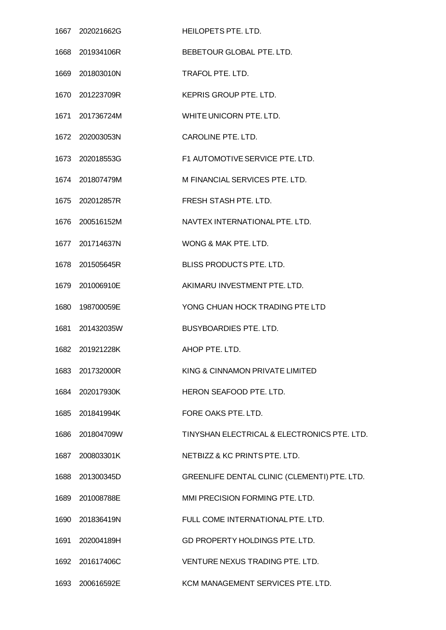| 1667 202021662G | HEILOPETS PTE. LTD.                          |
|-----------------|----------------------------------------------|
| 1668 201934106R | BEBETOUR GLOBAL PTE. LTD.                    |
| 1669 201803010N | TRAFOL PTE. LTD.                             |
| 1670 201223709R | <b>KEPRIS GROUP PTE. LTD.</b>                |
| 1671 201736724M | WHITE UNICORN PTE. LTD.                      |
| 1672 202003053N | CAROLINE PTE. LTD.                           |
| 1673 202018553G | F1 AUTOMOTIVE SERVICE PTE. LTD.              |
| 1674 201807479M | M FINANCIAL SERVICES PTE, LTD.               |
| 1675 202012857R | FRESH STASH PTE. LTD.                        |
| 1676 200516152M | NAVTEX INTERNATIONAL PTE. LTD.               |
| 1677 201714637N | WONG & MAK PTE. LTD.                         |
| 1678 201505645R | BLISS PRODUCTS PTE. LTD.                     |
| 1679 201006910E | AKIMARU INVESTMENT PTE. LTD.                 |
| 1680 198700059E | YONG CHUAN HOCK TRADING PTE LTD              |
| 1681 201432035W | <b>BUSYBOARDIES PTE. LTD.</b>                |
| 1682 201921228K | AHOP PTE, LTD.                               |
| 1683 201732000R | KING & CINNAMON PRIVATE LIMITED              |
| 1684 202017930K | HERON SEAFOOD PTE. LTD.                      |
| 1685 201841994K | FORE OAKS PTE. LTD.                          |
| 1686 201804709W | TINYSHAN ELECTRICAL & ELECTRONICS PTE, LTD.  |
| 1687 200803301K | NETBIZZ & KC PRINTS PTE. LTD.                |
| 1688 201300345D | GREENLIFE DENTAL CLINIC (CLEMENTI) PTE. LTD. |
| 1689 201008788E | MMI PRECISION FORMING PTE. LTD.              |
| 1690 201836419N | FULL COME INTERNATIONAL PTE. LTD.            |
| 1691 202004189H | GD PROPERTY HOLDINGS PTE. LTD.               |
| 1692 201617406C | VENTURE NEXUS TRADING PTE. LTD.              |
| 1693 200616592E | KCM MANAGEMENT SERVICES PTE. LTD.            |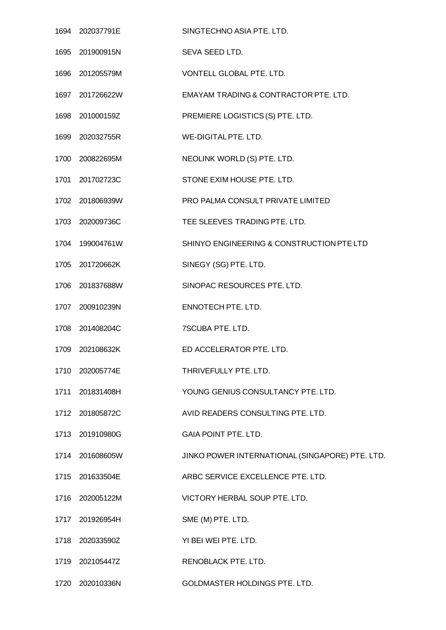| 1694 202037791E | SINGTECHNO ASIA PTE. LTD.                       |
|-----------------|-------------------------------------------------|
| 1695 201900915N | SEVA SEED LTD.                                  |
| 1696 201205579M | VONTELL GLOBAL PTE. LTD.                        |
| 1697 201726622W | EMAYAM TRADING & CONTRACTOR PTE. LTD.           |
| 1698 201000159Z | PREMIERE LOGISTICS (S) PTE. LTD.                |
| 1699 202032755R | WE-DIGITAL PTE. LTD.                            |
| 1700 200822695M | NEOLINK WORLD (S) PTE. LTD.                     |
| 1701 201702723C | STONE EXIM HOUSE PTE, LTD.                      |
| 1702 201806939W | PRO PALMA CONSULT PRIVATE LIMITED               |
| 1703 202009736C | TEE SLEEVES TRADING PTE. LTD.                   |
| 1704 199004761W | SHINYO ENGINEERING & CONSTRUCTION PTE LTD       |
| 1705 201720662K | SINEGY (SG) PTE. LTD.                           |
| 1706 201837688W | SINOPAC RESOURCES PTE. LTD.                     |
| 1707 200910239N | ENNOTECH PTE. LTD.                              |
| 1708 201408204C | 7SCUBA PTE. LTD.                                |
| 1709 202108632K | ED ACCELERATOR PTE. LTD.                        |
| 1710 202005774E | THRIVEFULLY PTE. LTD.                           |
| 1711 201831408H | YOUNG GENIUS CONSULTANCY PTE, LTD.              |
| 1712 201805872C | AVID READERS CONSULTING PTE. LTD.               |
| 1713 201910980G | <b>GAIA POINT PTE. LTD.</b>                     |
| 1714 201608605W | JINKO POWER INTERNATIONAL (SINGAPORE) PTE. LTD. |
| 1715 201633504E | ARBC SERVICE EXCELLENCE PTE. LTD.               |
| 1716 202005122M | VICTORY HERBAL SOUP PTE. LTD.                   |
| 1717 201926954H | SME (M) PTE. LTD.                               |
| 1718 202033590Z | YI BEI WEI PTE. LTD.                            |
| 1719 202105447Z | RENOBLACK PTE. LTD.                             |
| 1720 202010336N | GOLDMASTER HOLDINGS PTE. LTD.                   |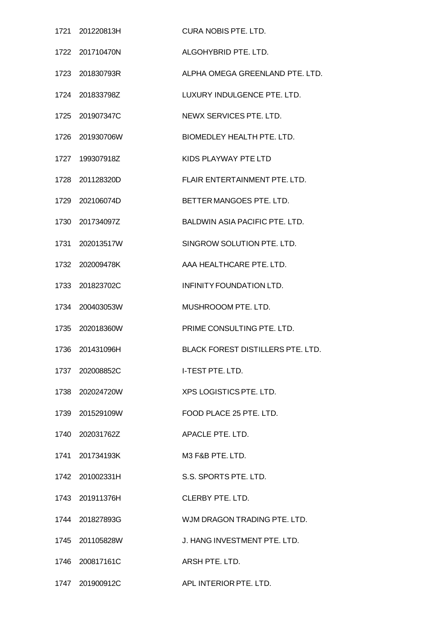|      | 1721 201220813H | <b>CURA NOBIS PTE, LTD.</b>              |
|------|-----------------|------------------------------------------|
| 1722 | 201710470N      | ALGOHYBRID PTE, LTD.                     |
|      | 1723 201830793R | ALPHA OMEGA GREENLAND PTE. LTD.          |
|      | 1724 201833798Z | LUXURY INDULGENCE PTE. LTD.              |
| 1725 | 201907347C      | NEWX SERVICES PTE. LTD.                  |
|      | 1726 201930706W | BIOMEDLEY HEALTH PTE. LTD.               |
| 1727 | 199307918Z      | KIDS PLAYWAY PTE LTD                     |
| 1728 | 201128320D      | FLAIR ENTERTAINMENT PTE. LTD.            |
|      | 1729 202106074D | BETTER MANGOES PTE, LTD.                 |
| 1730 | 201734097Z      | <b>BALDWIN ASIA PACIFIC PTE, LTD.</b>    |
|      | 1731 202013517W | SINGROW SOLUTION PTE. LTD.               |
|      | 1732 202009478K | AAA HEALTHCARE PTE, LTD.                 |
| 1733 | 201823702C      | INFINITY FOUNDATION LTD.                 |
|      | 1734 200403053W | MUSHROOOM PTE. LTD.                      |
| 1735 | 202018360W      | PRIME CONSULTING PTE. LTD.               |
| 1736 | 201431096H      | <b>BLACK FOREST DISTILLERS PTE, LTD.</b> |
|      | 1737 202008852C | <b>I-TEST PTE. LTD.</b>                  |
|      | 1738 202024720W | XPS LOGISTICS PTE. LTD.                  |
|      | 1739 201529109W | FOOD PLACE 25 PTE. LTD.                  |
|      | 1740 202031762Z | APACLE PTE, LTD.                         |
|      | 1741 201734193K | M3 F&B PTE. LTD.                         |
|      | 1742 201002331H | S.S. SPORTS PTE. LTD.                    |
|      | 1743 201911376H | <b>CLERBY PTE, LTD.</b>                  |
|      | 1744 201827893G | WJM DRAGON TRADING PTE. LTD.             |
|      | 1745 201105828W | J. HANG INVESTMENT PTE. LTD.             |
|      | 1746 200817161C | ARSH PTE, LTD.                           |
|      | 1747 201900912C | APL INTERIOR PTE. LTD.                   |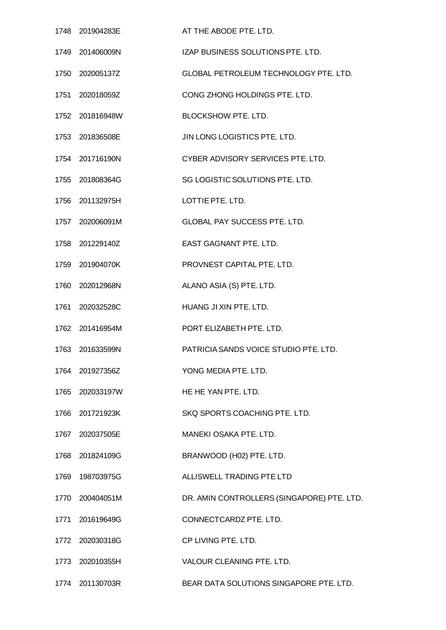| 1748 201904283E | AT THE ABODE PTE. LTD.                       |
|-----------------|----------------------------------------------|
| 1749 201406009N | IZAP BUSINESS SOLUTIONS PTE. LTD.            |
| 1750 202005137Z | <b>GLOBAL PETROLEUM TECHNOLOGY PTE. LTD.</b> |
| 1751 202018059Z | CONG ZHONG HOLDINGS PTE. LTD.                |
| 1752 201816948W | <b>BLOCKSHOW PTE. LTD.</b>                   |
| 1753 201836508E | JIN LONG LOGISTICS PTE. LTD.                 |
| 1754 201716190N | CYBER ADVISORY SERVICES PTE. LTD.            |
| 1755 201808364G | SG LOGISTIC SOLUTIONS PTE. LTD.              |
| 1756 201132975H | LOTTIE PTE, LTD.                             |
| 1757 202006091M | <b>GLOBAL PAY SUCCESS PTE. LTD.</b>          |
| 1758 201229140Z | EAST GAGNANT PTE. LTD.                       |
| 1759 201904070K | PROVNEST CAPITAL PTE, LTD.                   |
| 1760 202012968N | ALANO ASIA (S) PTE. LTD.                     |
| 1761 202032528C | HUANG JI XIN PTE. LTD.                       |
| 1762 201416954M | PORT ELIZABETH PTE, LTD.                     |
| 1763 201633599N | PATRICIA SANDS VOICE STUDIO PTE. LTD.        |
| 1764 201927356Z | YONG MEDIA PTE, LTD.                         |
| 1765 202033197W | HE HE YAN PTE, LTD.                          |
| 1766 201721923K | SKQ SPORTS COACHING PTE. LTD.                |
| 1767 202037505E | MANEKI OSAKA PTE. LTD.                       |
| 1768 201824109G | BRANWOOD (H02) PTE. LTD.                     |
| 1769 198703975G | ALLISWELL TRADING PTE LTD                    |
| 1770 200404051M | DR. AMIN CONTROLLERS (SINGAPORE) PTE. LTD.   |
| 1771 201619649G | CONNECTCARDZ PTE. LTD.                       |
| 1772 202030318G | CP LIVING PTE. LTD.                          |
| 1773 202010355H | VALOUR CLEANING PTE. LTD.                    |
| 1774 201130703R | BEAR DATA SOLUTIONS SINGAPORE PTE. LTD.      |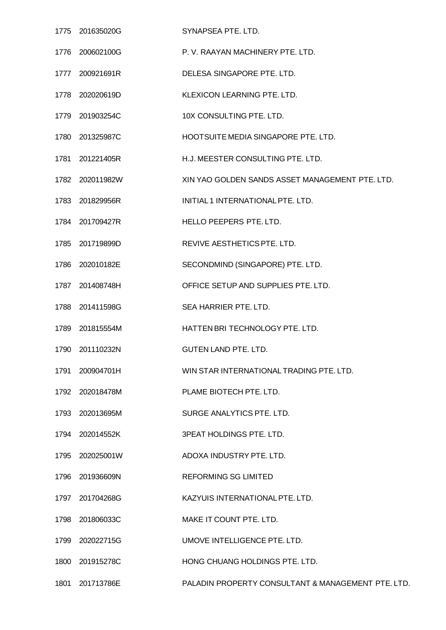|      | 1775 201635020G | SYNAPSEA PTE. LTD.                                 |
|------|-----------------|----------------------------------------------------|
|      | 1776 200602100G | P. V. RAAYAN MACHINERY PTE. LTD.                   |
|      | 1777 200921691R | DELESA SINGAPORE PTE. LTD.                         |
|      | 1778 202020619D | KLEXICON LEARNING PTE. LTD.                        |
|      | 1779 201903254C | 10X CONSULTING PTE. LTD.                           |
|      | 1780 201325987C | HOOTSUITE MEDIA SINGAPORE PTE. LTD.                |
|      | 1781 201221405R | H.J. MEESTER CONSULTING PTE. LTD.                  |
|      | 1782 202011982W | XIN YAO GOLDEN SANDS ASSET MANAGEMENT PTE. LTD.    |
|      | 1783 201829956R | INITIAL 1 INTERNATIONAL PTE. LTD.                  |
|      | 1784 201709427R | HELLO PEEPERS PTE. LTD.                            |
|      | 1785 201719899D | REVIVE AESTHETICS PTE. LTD.                        |
| 1786 | 202010182E      | SECONDMIND (SINGAPORE) PTE. LTD.                   |
|      | 1787 201408748H | OFFICE SETUP AND SUPPLIES PTE. LTD.                |
|      | 1788 201411598G | SEA HARRIER PTE. LTD.                              |
|      | 1789 201815554M | HATTEN BRI TECHNOLOGY PTE. LTD.                    |
|      | 1790 201110232N | <b>GUTEN LAND PTE, LTD.</b>                        |
| 1791 | 200904701H      | WIN STAR INTERNATIONAL TRADING PTE, LTD.           |
|      | 1792 202018478M | PLAME BIOTECH PTE. LTD.                            |
|      | 1793 202013695M | SURGE ANALYTICS PTE, LTD.                          |
| 1794 | 202014552K      | <b>3PEAT HOLDINGS PTE. LTD.</b>                    |
|      | 1795 202025001W | ADOXA INDUSTRY PTE. LTD.                           |
| 1796 | 201936609N      | <b>REFORMING SG LIMITED</b>                        |
| 1797 | 201704268G      | KAZYUIS INTERNATIONAL PTE. LTD.                    |
|      | 1798 201806033C | MAKE IT COUNT PTE. LTD.                            |
| 1799 | 202022715G      | UMOVE INTELLIGENCE PTE. LTD.                       |
| 1800 | 201915278C      | HONG CHUANG HOLDINGS PTE. LTD.                     |
| 1801 | 201713786E      | PALADIN PROPERTY CONSULTANT & MANAGEMENT PTE. LTD. |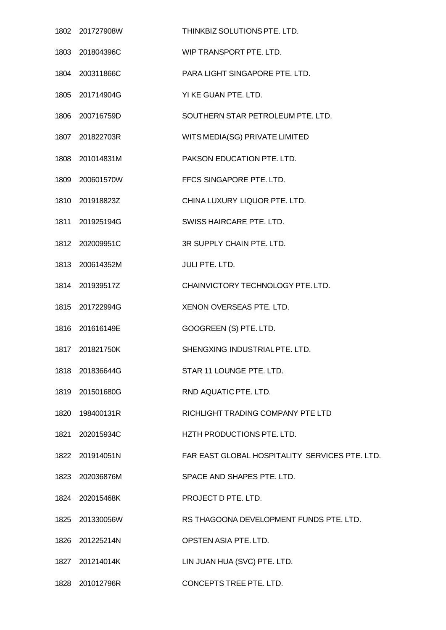| 1802 201727908W | THINKBIZ SOLUTIONS PTE. LTD.                   |
|-----------------|------------------------------------------------|
| 1803 201804396C | WIP TRANSPORT PTE. LTD.                        |
| 1804 200311866C | PARA LIGHT SINGAPORE PTE. LTD.                 |
| 1805 201714904G | YI KE GUAN PTE. LTD.                           |
| 1806 200716759D | SOUTHERN STAR PETROLEUM PTE. LTD.              |
| 1807 201822703R | WITS MEDIA(SG) PRIVATE LIMITED                 |
| 1808 201014831M | PAKSON EDUCATION PTE. LTD.                     |
| 1809 200601570W | FFCS SINGAPORE PTE. LTD.                       |
| 1810 201918823Z | CHINA LUXURY LIQUOR PTE. LTD.                  |
| 1811 201925194G | SWISS HAIRCARE PTE. LTD.                       |
| 1812 202009951C | 3R SUPPLY CHAIN PTE. LTD.                      |
| 1813 200614352M | JULI PTE. LTD.                                 |
| 1814 201939517Z | CHAINVICTORY TECHNOLOGY PTE. LTD.              |
| 1815 201722994G | XENON OVERSEAS PTE. LTD.                       |
| 1816 201616149E | GOOGREEN (S) PTE. LTD.                         |
| 1817 201821750K | SHENGXING INDUSTRIAL PTE. LTD.                 |
| 1818 201836644G | STAR 11 LOUNGE PTE. LTD.                       |
| 1819 201501680G | RND AQUATIC PTE. LTD.                          |
| 1820 198400131R | RICHLIGHT TRADING COMPANY PTE LTD              |
| 1821 202015934C | HZTH PRODUCTIONS PTE. LTD.                     |
| 1822 201914051N | FAR EAST GLOBAL HOSPITALITY SERVICES PTE. LTD. |
| 1823 202036876M | SPACE AND SHAPES PTE. LTD.                     |
| 1824 202015468K | PROJECT D PTE. LTD.                            |
| 1825 201330056W | RS THAGOONA DEVELOPMENT FUNDS PTE. LTD.        |
| 1826 201225214N | OPSTEN ASIA PTE. LTD.                          |
| 1827 201214014K | LIN JUAN HUA (SVC) PTE. LTD.                   |
| 1828 201012796R | CONCEPTS TREE PTE. LTD.                        |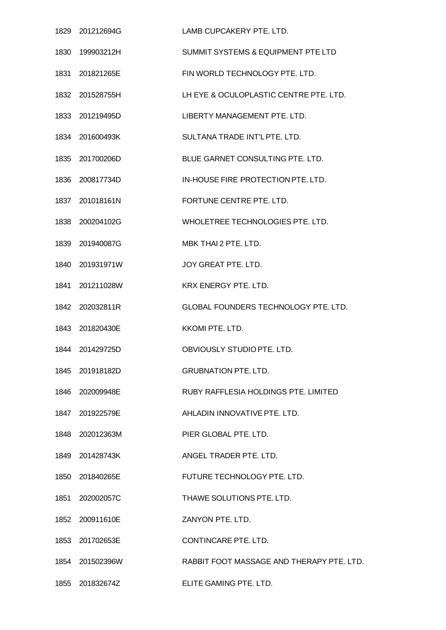|      | 1829 201212694G | LAMB CUPCAKERY PTE. LTD.                  |
|------|-----------------|-------------------------------------------|
|      | 1830 199903212H | SUMMIT SYSTEMS & EQUIPMENT PTE LTD        |
|      | 1831 201821265E | FIN WORLD TECHNOLOGY PTE. LTD.            |
|      | 1832 201528755H | LH EYE & OCULOPLASTIC CENTRE PTE. LTD.    |
|      | 1833 201219495D | LIBERTY MANAGEMENT PTE. LTD.              |
|      | 1834 201600493K | SULTANA TRADE INT'L PTE, LTD.             |
|      | 1835 201700206D | BLUE GARNET CONSULTING PTE. LTD.          |
|      | 1836 200817734D | IN-HOUSE FIRE PROTECTION PTE. LTD.        |
|      | 1837 201018161N | FORTUNE CENTRE PTE, LTD.                  |
|      | 1838 200204102G | WHOLETREE TECHNOLOGIES PTE. LTD.          |
|      | 1839 201940087G | MBK THAI 2 PTE, LTD.                      |
|      | 1840 201931971W | JOY GREAT PTE. LTD.                       |
| 1841 | 201211028W      | <b>KRX ENERGY PTE, LTD.</b>               |
|      | 1842 202032811R | GLOBAL FOUNDERS TECHNOLOGY PTE. LTD.      |
|      | 1843 201820430E | <b>KKOMI PTE, LTD.</b>                    |
|      | 1844 201429725D | OBVIOUSLY STUDIO PTE, LTD.                |
|      | 1845 201918182D | <b>GRUBNATION PTE. LTD.</b>               |
|      | 1846 202009948E | RUBY RAFFLESIA HOLDINGS PTE. LIMITED      |
|      | 1847 201922579E | AHLADIN INNOVATIVE PTE. LTD.              |
|      | 1848 202012363M | PIER GLOBAL PTE. LTD.                     |
|      | 1849 201428743K | ANGEL TRADER PTE. LTD.                    |
|      | 1850 201840265E | FUTURE TECHNOLOGY PTE. LTD.               |
|      | 1851 202002057C | THAWE SOLUTIONS PTE. LTD.                 |
|      | 1852 200911610E | ZANYON PTE. LTD.                          |
|      | 1853 201702653E | CONTINCARE PTE, LTD.                      |
|      | 1854 201502396W | RABBIT FOOT MASSAGE AND THERAPY PTE. LTD. |
|      | 1855 201832674Z | ELITE GAMING PTE. LTD.                    |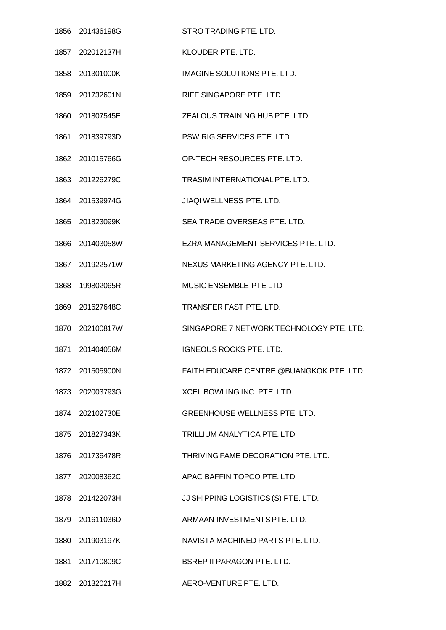| 1856 201436198G | STRO TRADING PTE. LTD.                   |
|-----------------|------------------------------------------|
| 1857 202012137H | KLOUDER PTE. LTD.                        |
| 1858 201301000K | <b>IMAGINE SOLUTIONS PTE, LTD.</b>       |
| 1859 201732601N | RIFF SINGAPORE PTE. LTD.                 |
| 1860 201807545E | ZEALOUS TRAINING HUB PTE, LTD.           |
| 1861 201839793D | PSW RIG SERVICES PTE. LTD.               |
| 1862 201015766G | OP-TECH RESOURCES PTE. LTD.              |
| 1863 201226279C | TRASIM INTERNATIONAL PTE. LTD.           |
| 1864 201539974G | JIAQI WELLNESS PTE. LTD.                 |
| 1865 201823099K | SEA TRADE OVERSEAS PTE. LTD.             |
| 1866 201403058W | EZRA MANAGEMENT SERVICES PTE. LTD.       |
| 1867 201922571W | NEXUS MARKETING AGENCY PTE. LTD.         |
| 1868 199802065R | MUSIC ENSEMBLE PTE LTD                   |
| 1869 201627648C | TRANSFER FAST PTE. LTD.                  |
| 1870 202100817W | SINGAPORE 7 NETWORK TECHNOLOGY PTE, LTD. |
| 1871 201404056M | <b>IGNEOUS ROCKS PTE. LTD.</b>           |
| 1872 201505900N | FAITH EDUCARE CENTRE @BUANGKOK PTE. LTD. |
| 1873 202003793G | XCEL BOWLING INC. PTE. LTD.              |
| 1874 202102730E | GREENHOUSE WELLNESS PTE. LTD.            |
| 1875 201827343K | TRILLIUM ANALYTICA PTE. LTD.             |
| 1876 201736478R | THRIVING FAME DECORATION PTE. LTD.       |
| 1877 202008362C | APAC BAFFIN TOPCO PTE. LTD.              |
| 1878 201422073H | JJ SHIPPING LOGISTICS (S) PTE. LTD.      |
| 1879 201611036D | ARMAAN INVESTMENTS PTE. LTD.             |
| 1880 201903197K | NAVISTA MACHINED PARTS PTE. LTD.         |
| 1881 201710809C | <b>BSREP II PARAGON PTE. LTD.</b>        |
| 1882 201320217H | AERO-VENTURE PTE. LTD.                   |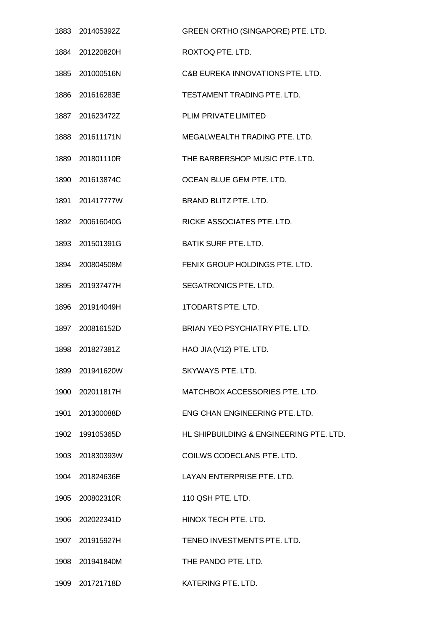|      | 1883 201405392Z | GREEN ORTHO (SINGAPORE) PTE. LTD.       |
|------|-----------------|-----------------------------------------|
|      | 1884 201220820H | ROXTOQ PTE, LTD.                        |
|      | 1885 201000516N | C&B EUREKA INNOVATIONS PTE. LTD.        |
|      | 1886 201616283E | TESTAMENT TRADING PTE. LTD.             |
|      | 1887 201623472Z | PLIM PRIVATE LIMITED                    |
|      | 1888 201611171N | MEGALWEALTH TRADING PTE. LTD.           |
|      | 1889 201801110R | THE BARBERSHOP MUSIC PTE. LTD.          |
|      | 1890 201613874C | OCEAN BLUE GEM PTE. LTD.                |
|      | 1891 201417777W | BRAND BLITZ PTE. LTD.                   |
|      | 1892 200616040G | RICKE ASSOCIATES PTE. LTD.              |
|      | 1893 201501391G | <b>BATIK SURF PTE. LTD.</b>             |
|      | 1894 200804508M | FENIX GROUP HOLDINGS PTE. LTD.          |
| 1895 | 201937477H      | SEGATRONICS PTE. LTD.                   |
|      | 1896 201914049H | 1TODARTS PTE. LTD.                      |
|      | 1897 200816152D | <b>BRIAN YEO PSYCHIATRY PTE, LTD.</b>   |
|      | 1898 201827381Z | HAO JIA (V12) PTE. LTD.                 |
|      | 1899 201941620W | SKYWAYS PTE, LTD.                       |
|      | 1900 202011817H | MATCHBOX ACCESSORIES PTE. LTD.          |
|      | 1901 201300088D | ENG CHAN ENGINEERING PTE. LTD.          |
| 1902 | 199105365D      | HL SHIPBUILDING & ENGINEERING PTE. LTD. |
|      | 1903 201830393W | COILWS CODECLANS PTE. LTD.              |
|      | 1904 201824636E | LAYAN ENTERPRISE PTE. LTD.              |
|      | 1905 200802310R | 110 QSH PTE. LTD.                       |
|      | 1906 202022341D | HINOX TECH PTE. LTD.                    |
|      | 1907 201915927H | TENEO INVESTMENTS PTE. LTD.             |
|      | 1908 201941840M | THE PANDO PTE. LTD.                     |
|      | 1909 201721718D | KATERING PTE. LTD.                      |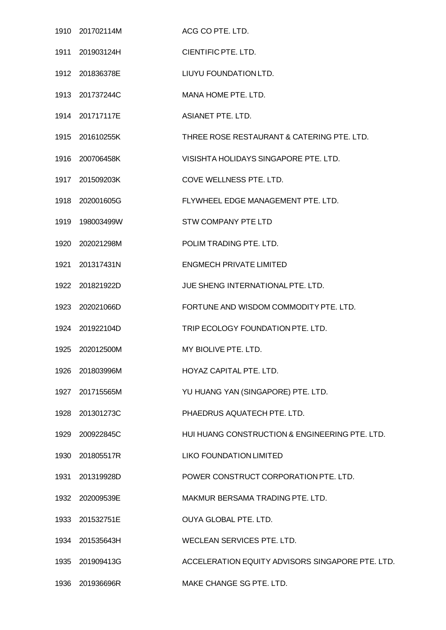|      | 1910 201702114M  | ACG CO PTE. LTD.                                 |
|------|------------------|--------------------------------------------------|
|      | 1911 201903124H  | CIENTIFIC PTE. LTD.                              |
|      | 1912 201836378E  | LIUYU FOUNDATION LTD.                            |
|      | 1913 201737244C  | MANA HOME PTE. LTD.                              |
|      | 1914 201717117E  | <b>ASIANET PTE, LTD.</b>                         |
|      | 1915 201610255K  | THREE ROSE RESTAURANT & CATERING PTE. LTD.       |
|      | 1916 200706458K  | VISISHTA HOLIDAYS SINGAPORE PTE. LTD.            |
|      | 1917 201509203K  | COVE WELLNESS PTE. LTD.                          |
|      | 1918 202001605G  | FLYWHEEL EDGE MANAGEMENT PTE. LTD.               |
|      | 1919  198003499W | <b>STW COMPANY PTE LTD</b>                       |
|      | 1920 202021298M  | POLIM TRADING PTE. LTD.                          |
|      | 1921 201317431N  | <b>ENGMECH PRIVATE LIMITED</b>                   |
|      | 1922 201821922D  | JUE SHENG INTERNATIONAL PTE. LTD.                |
|      | 1923 202021066D  | FORTUNE AND WISDOM COMMODITY PTE. LTD.           |
|      | 1924 201922104D  | TRIP ECOLOGY FOUNDATION PTE. LTD.                |
|      | 1925 202012500M  | MY BIOLIVE PTE. LTD.                             |
|      | 1926 201803996M  | HOYAZ CAPITAL PTE. LTD.                          |
|      | 1927 201715565M  | YU HUANG YAN (SINGAPORE) PTE. LTD.               |
|      | 1928 201301273C  | PHAEDRUS AQUATECH PTE. LTD.                      |
|      | 1929 200922845C  | HUI HUANG CONSTRUCTION & ENGINEERING PTE. LTD.   |
|      | 1930 201805517R  | <b>LIKO FOUNDATION LIMITED</b>                   |
| 1931 | 201319928D       | POWER CONSTRUCT CORPORATION PTE. LTD.            |
|      | 1932 202009539E  | MAKMUR BERSAMA TRADING PTE. LTD.                 |
|      | 1933 201532751E  | OUYA GLOBAL PTE. LTD.                            |
|      | 1934 201535643H  | WECLEAN SERVICES PTE. LTD.                       |
|      | 1935 201909413G  | ACCELERATION EQUITY ADVISORS SINGAPORE PTE. LTD. |
|      | 1936 201936696R  | MAKE CHANGE SG PTE. LTD.                         |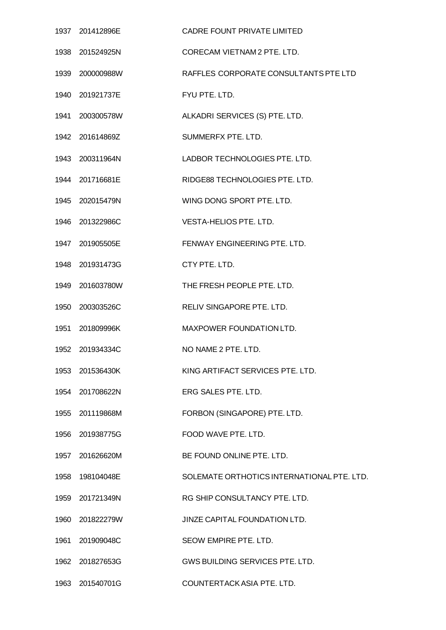| 1937 201412896E | <b>CADRE FOUNT PRIVATE LIMITED</b>         |
|-----------------|--------------------------------------------|
| 1938 201524925N | CORECAM VIETNAM 2 PTE, LTD.                |
| 1939 200000988W | RAFFLES CORPORATE CONSULTANTS PTE LTD      |
| 1940 201921737E | FYU PTE. LTD.                              |
| 1941 200300578W | ALKADRI SERVICES (S) PTE. LTD.             |
| 1942 201614869Z | SUMMERFX PTE. LTD.                         |
| 1943 200311964N | LADBOR TECHNOLOGIES PTE. LTD.              |
| 1944 201716681E | RIDGE88 TECHNOLOGIES PTE, LTD.             |
| 1945 202015479N | WING DONG SPORT PTE. LTD.                  |
| 1946 201322986C | <b>VESTA-HELIOS PTE. LTD.</b>              |
| 1947 201905505E | FENWAY ENGINEERING PTE, LTD.               |
| 1948 201931473G | CTY PTE. LTD.                              |
| 1949 201603780W | THE FRESH PEOPLE PTE. LTD.                 |
| 1950 200303526C | RELIV SINGAPORE PTE. LTD.                  |
| 1951 201809996K | MAXPOWER FOUNDATION LTD.                   |
| 1952 201934334C | NO NAME 2 PTE, LTD.                        |
| 1953 201536430K | KING ARTIFACT SERVICES PTE. LTD.           |
| 1954 201708622N | ERG SALES PTE, LTD.                        |
| 1955 201119868M | FORBON (SINGAPORE) PTE. LTD.               |
| 1956 201938775G | FOOD WAVE PTE. LTD.                        |
| 1957 201626620M | BE FOUND ONLINE PTE. LTD.                  |
| 1958 198104048E | SOLEMATE ORTHOTICS INTERNATIONAL PTE. LTD. |
| 1959 201721349N | RG SHIP CONSULTANCY PTE. LTD.              |
| 1960 201822279W | JINZE CAPITAL FOUNDATION LTD.              |
| 1961 201909048C | SEOW EMPIRE PTE. LTD.                      |
| 1962 201827653G | GWS BUILDING SERVICES PTE. LTD.            |
| 1963 201540701G | COUNTERTACK ASIA PTE. LTD.                 |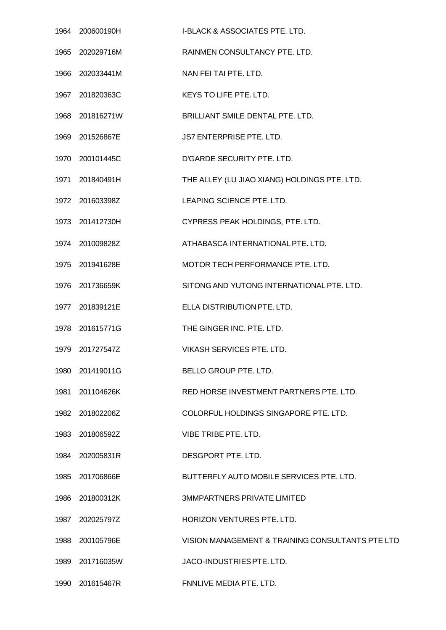|      | 1964 200600190H | <b>I-BLACK &amp; ASSOCIATES PTE. LTD.</b>        |
|------|-----------------|--------------------------------------------------|
|      | 1965 202029716M | RAINMEN CONSULTANCY PTE. LTD.                    |
|      | 1966 202033441M | NAN FEI TAI PTE. LTD.                            |
|      | 1967 201820363C | KEYS TO LIFE PTE. LTD.                           |
| 1968 | 201816271W      | BRILLIANT SMILE DENTAL PTE. LTD.                 |
|      | 1969 201526867E | JS7 ENTERPRISE PTE. LTD.                         |
|      | 1970 200101445C | D'GARDE SECURITY PTE. LTD.                       |
|      | 1971 201840491H | THE ALLEY (LU JIAO XIANG) HOLDINGS PTE. LTD.     |
|      | 1972 201603398Z | LEAPING SCIENCE PTE. LTD.                        |
|      | 1973 201412730H | CYPRESS PEAK HOLDINGS, PTE. LTD.                 |
|      | 1974 201009828Z | ATHABASCA INTERNATIONAL PTE. LTD.                |
|      | 1975 201941628E | MOTOR TECH PERFORMANCE PTE. LTD.                 |
| 1976 | 201736659K      | SITONG AND YUTONG INTERNATIONAL PTE. LTD.        |
|      | 1977 201839121E | ELLA DISTRIBUTION PTE. LTD.                      |
|      | 1978 201615771G | THE GINGER INC. PTE. LTD.                        |
|      | 1979 201727547Z | <b>VIKASH SERVICES PTE. LTD.</b>                 |
|      | 1980 201419011G | BELLO GROUP PTE. LTD.                            |
|      | 1981 201104626K | RED HORSE INVESTMENT PARTNERS PTE. LTD.          |
|      | 1982 201802206Z | COLORFUL HOLDINGS SINGAPORE PTE. LTD.            |
|      | 1983 201806592Z | <b>VIBE TRIBE PTE, LTD.</b>                      |
|      | 1984 202005831R | DESGPORT PTE. LTD.                               |
|      | 1985 201706866E | BUTTERFLY AUTO MOBILE SERVICES PTE. LTD.         |
|      | 1986 201800312K | <b>3MMPARTNERS PRIVATE LIMITED</b>               |
|      | 1987 202025797Z | HORIZON VENTURES PTE. LTD.                       |
|      | 1988 200105796E | VISION MANAGEMENT & TRAINING CONSULTANTS PTE LTD |
|      | 1989 201716035W | JACO-INDUSTRIES PTE. LTD.                        |
|      | 1990 201615467R | FNNLIVE MEDIA PTE. LTD.                          |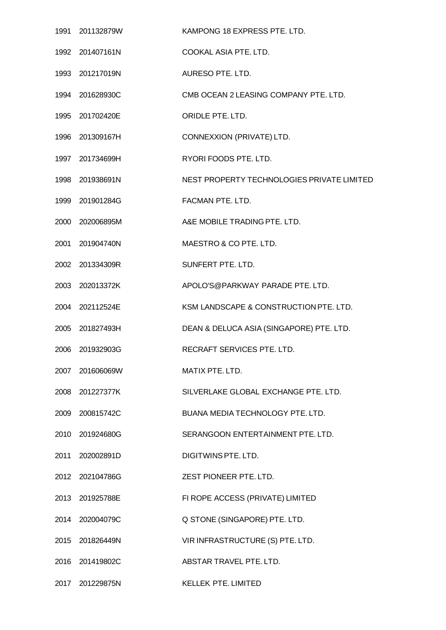| 1991 201132879W | KAMPONG 18 EXPRESS PTE. LTD.               |
|-----------------|--------------------------------------------|
| 1992 201407161N | COOKAL ASIA PTE. LTD.                      |
| 1993 201217019N | AURESO PTE. LTD.                           |
| 1994 201628930C | CMB OCEAN 2 LEASING COMPANY PTE. LTD.      |
| 1995 201702420E | ORIDLE PTE, LTD.                           |
| 1996 201309167H | CONNEXXION (PRIVATE) LTD.                  |
| 1997 201734699H | RYORI FOODS PTE. LTD.                      |
| 1998 201938691N | NEST PROPERTY TECHNOLOGIES PRIVATE LIMITED |
| 1999 201901284G | FACMAN PTE. LTD.                           |
| 2000 202006895M | A&E MOBILE TRADING PTE. LTD.               |
| 2001 201904740N | MAESTRO & CO PTE, LTD.                     |
| 2002 201334309R | SUNFERT PTE. LTD.                          |
| 2003 202013372K | APOLO'S@PARKWAY PARADE PTE. LTD.           |
| 2004 202112524E | KSM LANDSCAPE & CONSTRUCTION PTE. LTD.     |
| 2005 201827493H | DEAN & DELUCA ASIA (SINGAPORE) PTE. LTD.   |
| 2006 201932903G | RECRAFT SERVICES PTE. LTD.                 |
| 2007 201606069W | MATIX PTE. LTD.                            |
| 2008 201227377K | SILVERLAKE GLOBAL EXCHANGE PTE. LTD.       |
| 2009 200815742C | BUANA MEDIA TECHNOLOGY PTE. LTD.           |
| 2010 201924680G | SERANGOON ENTERTAINMENT PTE. LTD.          |
| 2011 202002891D | DIGITWINS PTE, LTD.                        |
| 2012 202104786G | ZEST PIONEER PTE. LTD.                     |
| 2013 201925788E | FI ROPE ACCESS (PRIVATE) LIMITED           |
| 2014 202004079C | Q STONE (SINGAPORE) PTE. LTD.              |
| 2015 201826449N | VIR INFRASTRUCTURE (S) PTE. LTD.           |
| 2016 201419802C | ABSTAR TRAVEL PTE. LTD.                    |
| 2017 201229875N | <b>KELLEK PTE. LIMITED</b>                 |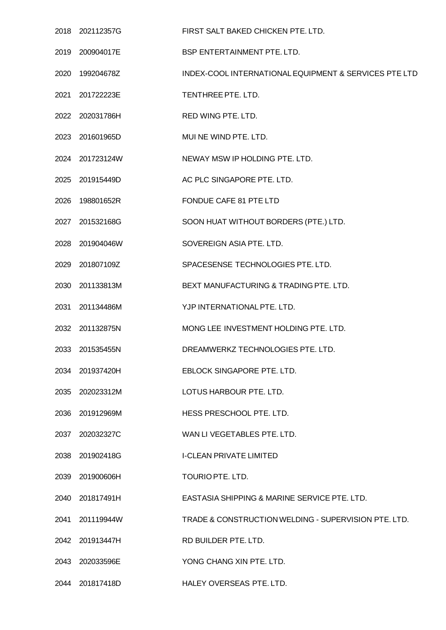|      | 2018 202112357G | FIRST SALT BAKED CHICKEN PTE. LTD.                    |
|------|-----------------|-------------------------------------------------------|
|      | 2019 200904017E | BSP ENTERTAINMENT PTE. LTD.                           |
|      | 2020 199204678Z | INDEX-COOL INTERNATIONAL EQUIPMENT & SERVICES PTE LTD |
|      | 2021 201722223E | TENTHREE PTE. LTD.                                    |
|      | 2022 202031786H | RED WING PTE. LTD.                                    |
|      | 2023 201601965D | MUI NE WIND PTE. LTD.                                 |
|      | 2024 201723124W | NEWAY MSW IP HOLDING PTE. LTD.                        |
|      | 2025 201915449D | AC PLC SINGAPORE PTE. LTD.                            |
|      | 2026 198801652R | FONDUE CAFE 81 PTE LTD                                |
|      | 2027 201532168G | SOON HUAT WITHOUT BORDERS (PTE.) LTD.                 |
|      | 2028 201904046W | SOVEREIGN ASIA PTE. LTD.                              |
|      | 2029 201807109Z | SPACESENSE TECHNOLOGIES PTE. LTD.                     |
| 2030 | 201133813M      | BEXT MANUFACTURING & TRADING PTE. LTD.                |
|      | 2031 201134486M | YJP INTERNATIONAL PTE. LTD.                           |
|      | 2032 201132875N | MONG LEE INVESTMENT HOLDING PTE. LTD.                 |
|      | 2033 201535455N | DREAMWERKZ TECHNOLOGIES PTE, LTD.                     |
|      | 2034 201937420H | EBLOCK SINGAPORE PTE. LTD.                            |
|      | 2035 202023312M | LOTUS HARBOUR PTE. LTD.                               |
|      | 2036 201912969M | HESS PRESCHOOL PTE. LTD.                              |
| 2037 | 202032327C      | WAN LI VEGETABLES PTE. LTD.                           |
|      | 2038 201902418G | <b>I-CLEAN PRIVATE LIMITED</b>                        |
| 2039 | 201900606H      | TOURIO PTE. LTD.                                      |
| 2040 | 201817491H      | EASTASIA SHIPPING & MARINE SERVICE PTE. LTD.          |
|      | 2041 201119944W | TRADE & CONSTRUCTION WELDING - SUPERVISION PTE. LTD.  |
|      | 2042 201913447H | RD BUILDER PTE. LTD.                                  |
|      | 2043 202033596E | YONG CHANG XIN PTE. LTD.                              |
|      | 2044 201817418D | HALEY OVERSEAS PTE. LTD.                              |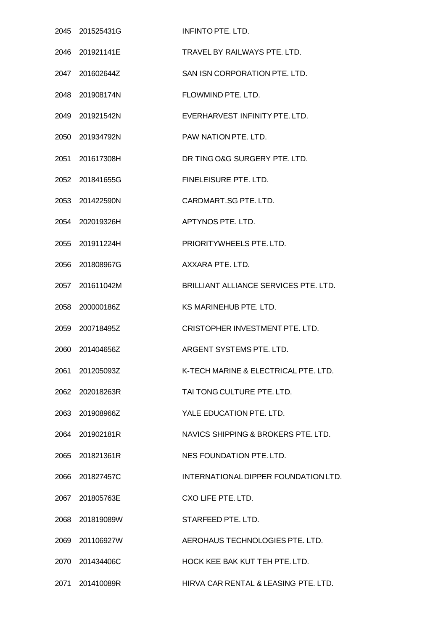| 2045 201525431G | <b>INFINTO PTE. LTD.</b>              |
|-----------------|---------------------------------------|
| 2046 201921141E | TRAVEL BY RAILWAYS PTE, LTD.          |
| 2047 201602644Z | SAN ISN CORPORATION PTE. LTD.         |
| 2048 201908174N | FLOWMIND PTE. LTD.                    |
| 2049 201921542N | EVERHARVEST INFINITY PTE, LTD.        |
| 2050 201934792N | PAW NATION PTE, LTD.                  |
| 2051 201617308H | DR TING O&G SURGERY PTE. LTD.         |
| 2052 201841655G | FINELEISURE PTE, LTD.                 |
| 2053 201422590N | CARDMART.SG PTE. LTD.                 |
| 2054 202019326H | APTYNOS PTE, LTD.                     |
| 2055 201911224H | PRIORITYWHEELS PTE, LTD.              |
| 2056 201808967G | AXXARA PTE. LTD.                      |
| 2057 201611042M | BRILLIANT ALLIANCE SERVICES PTE, LTD. |
| 2058 200000186Z | KS MARINEHUB PTE. LTD.                |
| 2059 200718495Z | CRISTOPHER INVESTMENT PTE, LTD.       |
| 2060 201404656Z | ARGENT SYSTEMS PTE. LTD.              |
| 2061 201205093Z | K-TECH MARINE & ELECTRICAL PTE. LTD.  |
| 2062 202018263R | TAI TONG CULTURE PTE. LTD.            |
| 2063 201908966Z | YALE EDUCATION PTE. LTD.              |
| 2064 201902181R | NAVICS SHIPPING & BROKERS PTE. LTD.   |
| 2065 201821361R | NES FOUNDATION PTE, LTD.              |
| 2066 201827457C | INTERNATIONAL DIPPER FOUNDATION LTD.  |
| 2067 201805763E | CXO LIFE PTE, LTD.                    |
| 2068 201819089W | STARFEED PTE. LTD.                    |
| 2069 201106927W | AEROHAUS TECHNOLOGIES PTE. LTD.       |
| 2070 201434406C | HOCK KEE BAK KUT TEH PTE. LTD.        |
| 2071 201410089R | HIRVA CAR RENTAL & LEASING PTE. LTD.  |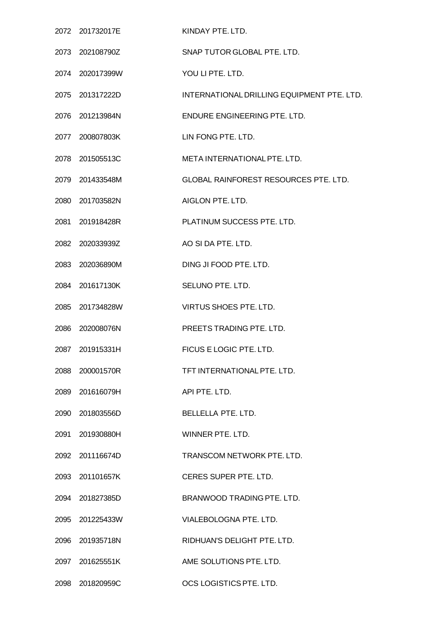|      | 2072 201732017E | KINDAY PTE. LTD.                             |
|------|-----------------|----------------------------------------------|
|      | 2073 202108790Z | SNAP TUTOR GLOBAL PTE, LTD.                  |
|      | 2074 202017399W | YOU LI PTE. LTD.                             |
|      | 2075 201317222D | INTERNATIONAL DRILLING EQUIPMENT PTE. LTD.   |
|      | 2076 201213984N | ENDURE ENGINEERING PTE, LTD.                 |
|      | 2077 200807803K | LIN FONG PTE. LTD.                           |
|      | 2078 201505513C | META INTERNATIONAL PTE. LTD.                 |
|      | 2079 201433548M | <b>GLOBAL RAINFOREST RESOURCES PTE. LTD.</b> |
|      | 2080 201703582N | AIGLON PTE. LTD.                             |
| 2081 | 201918428R      | PLATINUM SUCCESS PTE, LTD.                   |
|      | 2082 202033939Z | AO SI DA PTE. LTD.                           |
|      | 2083 202036890M | DING JI FOOD PTE. LTD.                       |
| 2084 | 201617130K      | SELUNO PTE. LTD.                             |
|      | 2085 201734828W | VIRTUS SHOES PTE. LTD.                       |
| 2086 | 202008076N      | PREETS TRADING PTE, LTD.                     |
|      | 2087 201915331H | FICUS E LOGIC PTE. LTD.                      |
| 2088 | 200001570R      | TFT INTERNATIONAL PTE, LTD.                  |
|      | 2089 201616079H | API PTE. LTD.                                |
|      | 2090 201803556D | <b>BELLELLA PTE. LTD.</b>                    |
| 2091 | 201930880H      | WINNER PTE, LTD.                             |
|      | 2092 201116674D | TRANSCOM NETWORK PTE. LTD.                   |
|      | 2093 201101657K | CERES SUPER PTE. LTD.                        |
|      | 2094 201827385D | BRANWOOD TRADING PTE. LTD.                   |
|      | 2095 201225433W | VIALEBOLOGNA PTE. LTD.                       |
| 2096 | 201935718N      | RIDHUAN'S DELIGHT PTE. LTD.                  |
|      | 2097 201625551K | AME SOLUTIONS PTE. LTD.                      |
|      | 2098 201820959C | OCS LOGISTICS PTE. LTD.                      |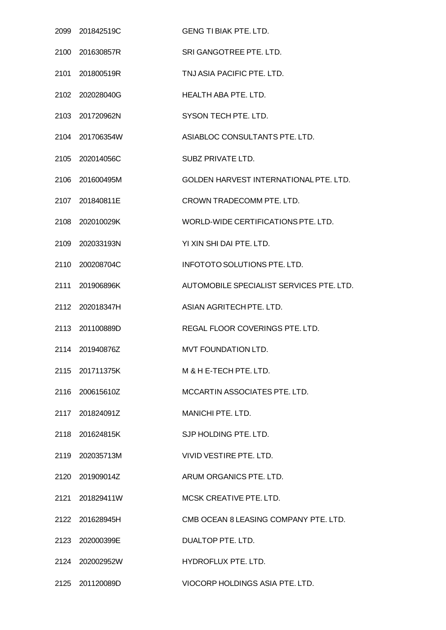| 2099 201842519C | <b>GENG TI BIAK PTE. LTD.</b>            |
|-----------------|------------------------------------------|
| 2100 201630857R | SRI GANGOTREE PTE. LTD.                  |
| 2101 201800519R | TNJ ASIA PACIFIC PTE. LTD.               |
| 2102 202028040G | HEALTH ABA PTE. LTD.                     |
| 2103 201720962N | SYSON TECH PTE. LTD.                     |
| 2104 201706354W | ASIABLOC CONSULTANTS PTE. LTD.           |
| 2105 202014056C | SUBZ PRIVATE LTD.                        |
| 2106 201600495M | GOLDEN HARVEST INTERNATIONAL PTE. LTD.   |
| 2107 201840811E | CROWN TRADECOMM PTE. LTD.                |
| 2108 202010029K | WORLD-WIDE CERTIFICATIONS PTE. LTD.      |
| 2109 202033193N | YI XIN SHI DAI PTE. LTD.                 |
| 2110 200208704C | <b>INFOTOTO SOLUTIONS PTE. LTD.</b>      |
| 2111 201906896K | AUTOMOBILE SPECIALIST SERVICES PTE. LTD. |
| 2112 202018347H | ASIAN AGRITECH PTE, LTD.                 |
| 2113 201100889D | REGAL FLOOR COVERINGS PTE. LTD.          |
| 2114 201940876Z | <b>MVT FOUNDATION LTD.</b>               |
| 2115 201711375K | M & H E-TECH PTE, LTD.                   |
| 2116 200615610Z | MCCARTIN ASSOCIATES PTE. LTD.            |
| 2117 201824091Z | MANICHI PTE. LTD.                        |
| 2118 201624815K | SJP HOLDING PTE, LTD.                    |
| 2119 202035713M | VIVID VESTIRE PTE. LTD.                  |
| 2120 201909014Z | ARUM ORGANICS PTE. LTD.                  |
| 2121 201829411W | MCSK CREATIVE PTE. LTD.                  |
| 2122 201628945H | CMB OCEAN 8 LEASING COMPANY PTE. LTD.    |
| 2123 202000399E | DUALTOP PTE. LTD.                        |
| 2124 202002952W | HYDROFLUX PTE. LTD.                      |
| 2125 201120089D | VIOCORP HOLDINGS ASIA PTE. LTD.          |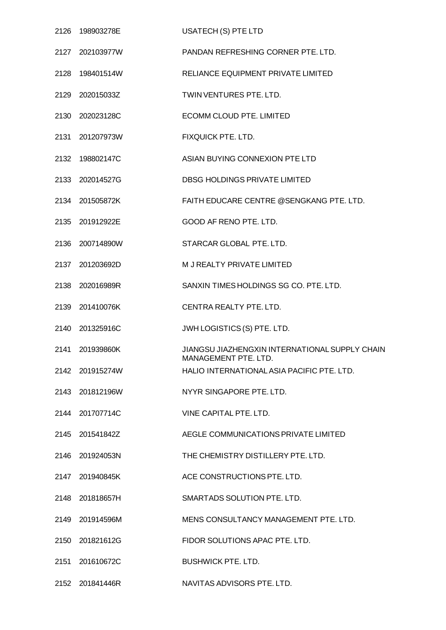| 2126 198903278E | <b>USATECH (S) PTE LTD</b>                                             |
|-----------------|------------------------------------------------------------------------|
| 2127 202103977W | PANDAN REFRESHING CORNER PTE. LTD.                                     |
| 2128 198401514W | RELIANCE EQUIPMENT PRIVATE LIMITED                                     |
| 2129 202015033Z | TWIN VENTURES PTE. LTD.                                                |
| 2130 202023128C | ECOMM CLOUD PTE. LIMITED                                               |
| 2131 201207973W | FIXQUICK PTE. LTD.                                                     |
| 2132 198802147C | ASIAN BUYING CONNEXION PTE LTD                                         |
| 2133 202014527G | DBSG HOLDINGS PRIVATE LIMITED                                          |
| 2134 201505872K | FAITH EDUCARE CENTRE @SENGKANG PTE. LTD.                               |
| 2135 201912922E | GOOD AF RENO PTE. LTD.                                                 |
| 2136 200714890W | STARCAR GLOBAL PTE. LTD.                                               |
| 2137 201203692D | M J REALTY PRIVATE LIMITED                                             |
| 2138 202016989R | SANXIN TIMES HOLDINGS SG CO. PTE. LTD.                                 |
| 2139 201410076K | CENTRA REALTY PTE. LTD.                                                |
| 2140 201325916C | JWH LOGISTICS (S) PTE. LTD.                                            |
| 2141 201939860K | JIANGSU JIAZHENGXIN INTERNATIONAL SUPPLY CHAIN<br>MANAGEMENT PTE. LTD. |
| 2142 201915274W | HALIO INTERNATIONAL ASIA PACIFIC PTE. LTD.                             |
| 2143 201812196W | NYYR SINGAPORE PTE. LTD.                                               |
| 2144 201707714C | VINE CAPITAL PTE. LTD.                                                 |
| 2145 201541842Z | AEGLE COMMUNICATIONS PRIVATE LIMITED                                   |
| 2146 201924053N | THE CHEMISTRY DISTILLERY PTE. LTD.                                     |
| 2147 201940845K | ACE CONSTRUCTIONS PTE. LTD.                                            |
| 2148 201818657H | SMARTADS SOLUTION PTE. LTD.                                            |
| 2149 201914596M | MENS CONSULTANCY MANAGEMENT PTE. LTD.                                  |
| 2150 201821612G | FIDOR SOLUTIONS APAC PTE. LTD.                                         |
| 2151 201610672C | <b>BUSHWICK PTE. LTD.</b>                                              |
| 2152 201841446R | NAVITAS ADVISORS PTE. LTD.                                             |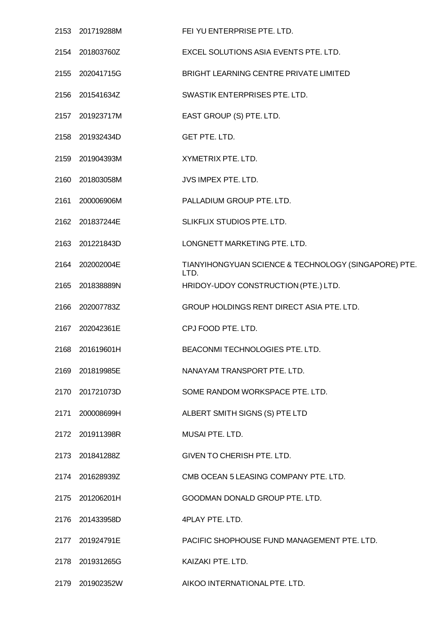|      | 2153 201719288M | FEI YU ENTERPRISE PTE. LTD.                                  |
|------|-----------------|--------------------------------------------------------------|
|      | 2154 201803760Z | EXCEL SOLUTIONS ASIA EVENTS PTE, LTD.                        |
|      | 2155 202041715G | BRIGHT LEARNING CENTRE PRIVATE LIMITED                       |
|      | 2156 201541634Z | SWASTIK ENTERPRISES PTE. LTD.                                |
|      | 2157 201923717M | EAST GROUP (S) PTE. LTD.                                     |
|      | 2158 201932434D | GET PTE. LTD.                                                |
|      | 2159 201904393M | XYMETRIX PTE. LTD.                                           |
|      | 2160 201803058M | JVS IMPEX PTE. LTD.                                          |
|      | 2161 200006906M | PALLADIUM GROUP PTE. LTD.                                    |
| 2162 | 201837244E      | SLIKFLIX STUDIOS PTE. LTD.                                   |
|      | 2163 201221843D | LONGNETT MARKETING PTE. LTD.                                 |
|      | 2164 202002004E | TIANYIHONGYUAN SCIENCE & TECHNOLOGY (SINGAPORE) PTE.<br>LTD. |
| 2165 | 201838889N      | HRIDOY-UDOY CONSTRUCTION (PTE.) LTD.                         |
|      | 2166 202007783Z | GROUP HOLDINGS RENT DIRECT ASIA PTE. LTD.                    |
|      | 2167 202042361E | CPJ FOOD PTE. LTD.                                           |
|      | 2168 201619601H | BEACONMI TECHNOLOGIES PTE. LTD.                              |
|      | 2169 201819985E | NANAYAM TRANSPORT PTE. LTD.                                  |
|      | 2170 201721073D | SOME RANDOM WORKSPACE PTE. LTD.                              |
|      | 2171 200008699H | ALBERT SMITH SIGNS (S) PTE LTD                               |
|      | 2172 201911398R | MUSAI PTE. LTD.                                              |
|      | 2173 201841288Z | GIVEN TO CHERISH PTE. LTD.                                   |
|      | 2174 201628939Z | CMB OCEAN 5 LEASING COMPANY PTE. LTD.                        |
|      | 2175 201206201H | GOODMAN DONALD GROUP PTE. LTD.                               |
|      | 2176 201433958D | 4PLAY PTE. LTD.                                              |
|      | 2177 201924791E | PACIFIC SHOPHOUSE FUND MANAGEMENT PTE. LTD.                  |
|      | 2178 201931265G | KAIZAKI PTE. LTD.                                            |
|      | 2179 201902352W | AIKOO INTERNATIONAL PTE. LTD.                                |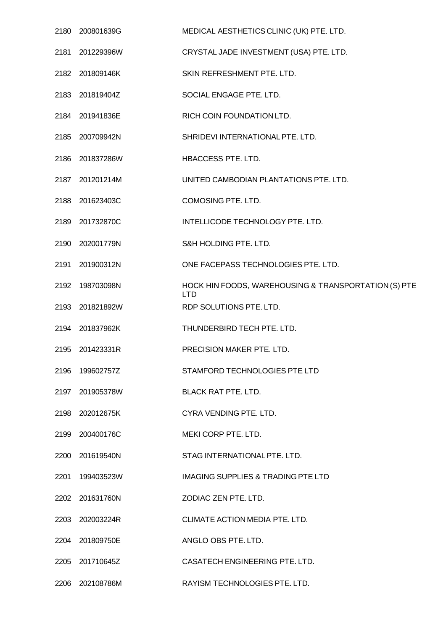|      | 2180 200801639G | MEDICAL AESTHETICS CLINIC (UK) PTE. LTD.                           |
|------|-----------------|--------------------------------------------------------------------|
|      | 2181 201229396W | CRYSTAL JADE INVESTMENT (USA) PTE. LTD.                            |
|      | 2182 201809146K | SKIN REFRESHMENT PTE. LTD.                                         |
|      | 2183 201819404Z | SOCIAL ENGAGE PTE. LTD.                                            |
|      | 2184 201941836E | RICH COIN FOUNDATION LTD.                                          |
|      | 2185 200709942N | SHRIDEVI INTERNATIONAL PTE. LTD.                                   |
|      | 2186 201837286W | HBACCESS PTE. LTD.                                                 |
|      | 2187 201201214M | UNITED CAMBODIAN PLANTATIONS PTE. LTD.                             |
|      | 2188 201623403C | COMOSING PTE. LTD.                                                 |
|      | 2189 201732870C | INTELLICODE TECHNOLOGY PTE. LTD.                                   |
|      | 2190 202001779N | S&H HOLDING PTE. LTD.                                              |
|      | 2191 201900312N | ONE FACEPASS TECHNOLOGIES PTE. LTD.                                |
| 2192 | 198703098N      | HOCK HIN FOODS, WAREHOUSING & TRANSPORTATION (S) PTE<br><b>LTD</b> |
|      | 2193 201821892W | RDP SOLUTIONS PTE. LTD.                                            |
|      | 2194 201837962K | THUNDERBIRD TECH PTE. LTD.                                         |
|      | 2195 201423331R | PRECISION MAKER PTE. LTD.                                          |
|      | 2196 199602757Z | STAMFORD TECHNOLOGIES PTE LTD                                      |
|      | 2197 201905378W | <b>BLACK RAT PTE, LTD.</b>                                         |
|      | 2198 202012675K | CYRA VENDING PTE. LTD.                                             |
|      | 2199 200400176C | MEKI CORP PTE, LTD.                                                |
|      | 2200 201619540N | STAG INTERNATIONAL PTE. LTD.                                       |
|      | 2201 199403523W | <b>IMAGING SUPPLIES &amp; TRADING PTE LTD</b>                      |
|      | 2202 201631760N | ZODIAC ZEN PTE. LTD.                                               |
|      | 2203 202003224R | CLIMATE ACTION MEDIA PTE. LTD.                                     |
|      | 2204 201809750E | ANGLO OBS PTE. LTD.                                                |
|      | 2205 201710645Z | CASATECH ENGINEERING PTE. LTD.                                     |
|      | 2206 202108786M | RAYISM TECHNOLOGIES PTE. LTD.                                      |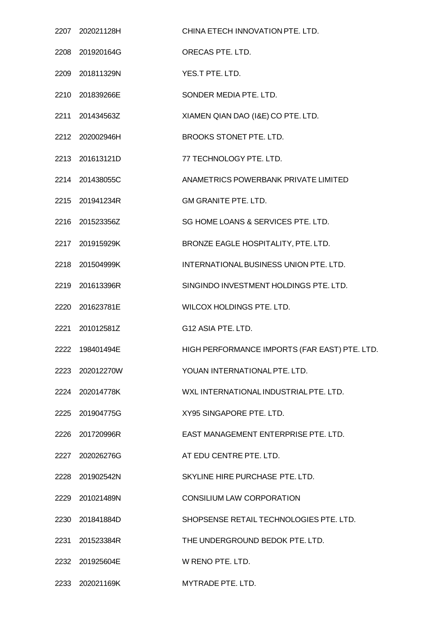| 2207 202021128H | CHINA ETECH INNOVATION PTE. LTD.              |
|-----------------|-----------------------------------------------|
| 2208 201920164G | ORECAS PTE. LTD.                              |
| 2209 201811329N | YES.T PTE. LTD.                               |
| 2210 201839266E | SONDER MEDIA PTE. LTD.                        |
| 2211 201434563Z | XIAMEN QIAN DAO (I&E) CO PTE. LTD.            |
| 2212 202002946H | BROOKS STONET PTE. LTD.                       |
| 2213 201613121D | 77 TECHNOLOGY PTE. LTD.                       |
| 2214 201438055C | ANAMETRICS POWERBANK PRIVATE LIMITED          |
| 2215 201941234R | <b>GM GRANITE PTE. LTD.</b>                   |
| 2216 201523356Z | SG HOME LOANS & SERVICES PTE. LTD.            |
| 2217 201915929K | BRONZE EAGLE HOSPITALITY, PTE. LTD.           |
| 2218 201504999K | INTERNATIONAL BUSINESS UNION PTE. LTD.        |
| 2219 201613396R | SINGINDO INVESTMENT HOLDINGS PTE. LTD.        |
| 2220 201623781E | WILCOX HOLDINGS PTE. LTD.                     |
| 2221 201012581Z | G12 ASIA PTE. LTD.                            |
| 2222 198401494E | HIGH PERFORMANCE IMPORTS (FAR EAST) PTE. LTD. |
| 2223 202012270W | YOUAN INTERNATIONAL PTE. LTD.                 |
| 2224 202014778K | WXL INTERNATIONAL INDUSTRIAL PTE, LTD.        |
| 2225 201904775G | XY95 SINGAPORE PTE. LTD.                      |
| 2226 201720996R | EAST MANAGEMENT ENTERPRISE PTE. LTD.          |
| 2227 202026276G | AT EDU CENTRE PTE. LTD.                       |
| 2228 201902542N | SKYLINE HIRE PURCHASE PTE. LTD.               |
| 2229 201021489N | <b>CONSILIUM LAW CORPORATION</b>              |
| 2230 201841884D | SHOPSENSE RETAIL TECHNOLOGIES PTE. LTD.       |
| 2231 201523384R | THE UNDERGROUND BEDOK PTE. LTD.               |
| 2232 201925604E | W RENO PTE. LTD.                              |
| 2233 202021169K | MYTRADE PTE. LTD.                             |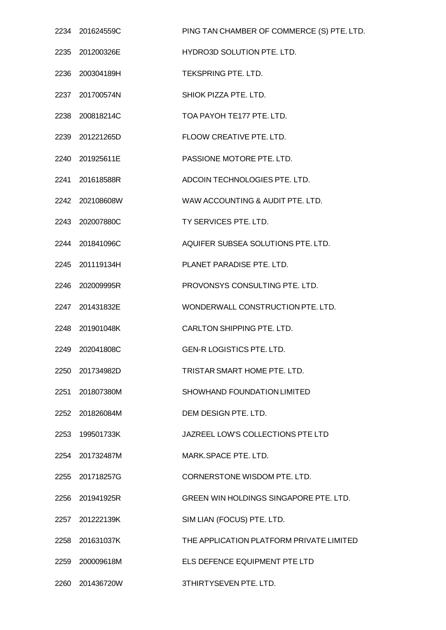| 2234 201624559C | PING TAN CHAMBER OF COMMERCE (S) PTE. LTD. |
|-----------------|--------------------------------------------|
| 2235 201200326E | HYDRO3D SOLUTION PTE. LTD.                 |
| 2236 200304189H | TEKSPRING PTE. LTD.                        |
| 2237 201700574N | SHIOK PIZZA PTE. LTD.                      |
| 2238 200818214C | TOA PAYOH TE177 PTE. LTD.                  |
| 2239 201221265D | FLOOW CREATIVE PTE. LTD.                   |
| 2240 201925611E | PASSIONE MOTORE PTE. LTD.                  |
| 2241 201618588R | ADCOIN TECHNOLOGIES PTE. LTD.              |
| 2242 202108608W | WAW ACCOUNTING & AUDIT PTE. LTD.           |
| 2243 202007880C | TY SERVICES PTE. LTD.                      |
| 2244 201841096C | AQUIFER SUBSEA SOLUTIONS PTE. LTD.         |
| 2245 201119134H | PLANET PARADISE PTE. LTD.                  |
| 2246 202009995R | PROVONSYS CONSULTING PTE. LTD.             |
| 2247 201431832E | WONDERWALL CONSTRUCTION PTE. LTD.          |
| 2248 201901048K | <b>CARLTON SHIPPING PTE, LTD.</b>          |
| 2249 202041808C | <b>GEN-R LOGISTICS PTE, LTD.</b>           |
| 2250 201734982D | TRISTAR SMART HOME PTE. LTD.               |
| 2251 201807380M | SHOWHAND FOUNDATION LIMITED                |
| 2252 201826084M | DEM DESIGN PTE. LTD.                       |
| 2253 199501733K | JAZREEL LOW'S COLLECTIONS PTE LTD          |
| 2254 201732487M | MARK SPACE PTE. LTD.                       |
| 2255 201718257G | CORNERSTONE WISDOM PTE. LTD.               |
| 2256 201941925R | GREEN WIN HOLDINGS SINGAPORE PTE, LTD.     |
| 2257 201222139K | SIM LIAN (FOCUS) PTE. LTD.                 |
| 2258 201631037K | THE APPLICATION PLATFORM PRIVATE LIMITED   |
| 2259 200009618M | ELS DEFENCE EQUIPMENT PTE LTD              |
| 2260 201436720W | 3THIRTYSEVEN PTE. LTD.                     |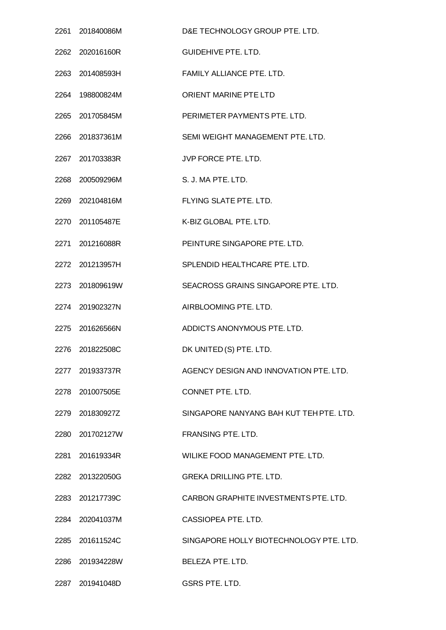| 2261 201840086M | D&E TECHNOLOGY GROUP PTE. LTD.          |
|-----------------|-----------------------------------------|
| 2262 202016160R | <b>GUIDEHIVE PTE. LTD.</b>              |
| 2263 201408593H | FAMILY ALLIANCE PTE. LTD.               |
| 2264 198800824M | ORIENT MARINE PTE LTD                   |
| 2265 201705845M | PERIMETER PAYMENTS PTE. LTD.            |
| 2266 201837361M | SEMI WEIGHT MANAGEMENT PTE. LTD.        |
| 2267 201703383R | JVP FORCE PTE. LTD.                     |
| 2268 200509296M | S. J. MA PTE. LTD.                      |
| 2269 202104816M | FLYING SLATE PTE. LTD.                  |
| 2270 201105487E | K-BIZ GLOBAL PTE. LTD.                  |
| 2271 201216088R | PEINTURE SINGAPORE PTE. LTD.            |
| 2272 201213957H | SPLENDID HEALTHCARE PTE. LTD.           |
| 2273 201809619W | SEACROSS GRAINS SINGAPORE PTE. LTD.     |
| 2274 201902327N | AIRBLOOMING PTE. LTD.                   |
| 2275 201626566N | ADDICTS ANONYMOUS PTE. LTD.             |
| 2276 201822508C | DK UNITED (S) PTE. LTD.                 |
| 2277 201933737R | AGENCY DESIGN AND INNOVATION PTE, LTD.  |
| 2278 201007505E | CONNET PTE, LTD.                        |
| 2279 201830927Z | SINGAPORE NANYANG BAH KUT TEH PTE. LTD. |
| 2280 201702127W | <b>FRANSING PTE, LTD.</b>               |
| 2281 201619334R | WILIKE FOOD MANAGEMENT PTE. LTD.        |
| 2282 201322050G | <b>GREKA DRILLING PTE. LTD.</b>         |
| 2283 201217739C | CARBON GRAPHITE INVESTMENTS PTE, LTD.   |
| 2284 202041037M | CASSIOPEA PTE. LTD.                     |
| 2285 201611524C | SINGAPORE HOLLY BIOTECHNOLOGY PTE. LTD. |
| 2286 201934228W | BELEZA PTE, LTD.                        |
| 2287 201941048D | GSRS PTE. LTD.                          |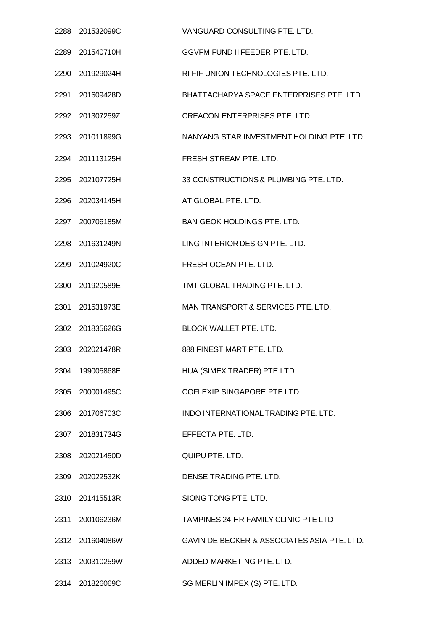| 2288 201532099C | VANGUARD CONSULTING PTE. LTD.               |
|-----------------|---------------------------------------------|
| 2289 201540710H | GGVFM FUND II FEEDER PTE. LTD.              |
| 2290 201929024H | RI FIF UNION TECHNOLOGIES PTE. LTD.         |
| 2291 201609428D | BHATTACHARYA SPACE ENTERPRISES PTE. LTD.    |
| 2292 201307259Z | <b>CREACON ENTERPRISES PTE. LTD.</b>        |
| 2293 201011899G | NANYANG STAR INVESTMENT HOLDING PTE. LTD.   |
| 2294 201113125H | FRESH STREAM PTE. LTD.                      |
| 2295 202107725H | 33 CONSTRUCTIONS & PLUMBING PTE. LTD.       |
| 2296 202034145H | AT GLOBAL PTE. LTD.                         |
| 2297 200706185M | <b>BAN GEOK HOLDINGS PTE, LTD.</b>          |
| 2298 201631249N | LING INTERIOR DESIGN PTE. LTD.              |
| 2299 201024920C | FRESH OCEAN PTE. LTD.                       |
| 2300 201920589E | TMT GLOBAL TRADING PTE. LTD.                |
| 2301 201531973E | MAN TRANSPORT & SERVICES PTE. LTD.          |
| 2302 201835626G | <b>BLOCK WALLET PTE, LTD.</b>               |
| 2303 202021478R | 888 FINEST MART PTE, LTD.                   |
| 2304 199005868E | HUA (SIMEX TRADER) PTE LTD                  |
| 2305 200001495C | COFLEXIP SINGAPORE PTE LTD                  |
| 2306 201706703C | INDO INTERNATIONAL TRADING PTE. LTD.        |
| 2307 201831734G | EFFECTA PTE. LTD.                           |
| 2308 202021450D | QUIPU PTE. LTD.                             |
| 2309 202022532K | DENSE TRADING PTE. LTD.                     |
| 2310 201415513R | SIONG TONG PTE, LTD.                        |
| 2311 200106236M | TAMPINES 24-HR FAMILY CLINIC PTE LTD        |
| 2312 201604086W | GAVIN DE BECKER & ASSOCIATES ASIA PTE. LTD. |
| 2313 200310259W | ADDED MARKETING PTE, LTD.                   |
| 2314 201826069C | SG MERLIN IMPEX (S) PTE. LTD.               |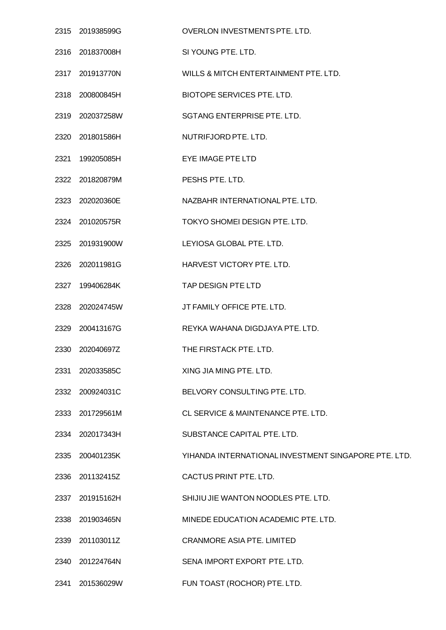|      | 2315 201938599G | OVERLON INVESTMENTS PTE. LTD.                        |
|------|-----------------|------------------------------------------------------|
|      | 2316 201837008H | SI YOUNG PTE. LTD.                                   |
|      | 2317 201913770N | WILLS & MITCH ENTERTAINMENT PTE. LTD.                |
|      | 2318 200800845H | BIOTOPE SERVICES PTE. LTD.                           |
|      | 2319 202037258W | SGTANG ENTERPRISE PTE. LTD.                          |
|      | 2320 201801586H | NUTRIFJORD PTE. LTD.                                 |
|      | 2321 199205085H | EYE IMAGE PTE LTD                                    |
|      | 2322 201820879M | PESHS PTE, LTD.                                      |
|      | 2323 202020360E | NAZBAHR INTERNATIONAL PTE. LTD.                      |
|      | 2324 201020575R | TOKYO SHOMEI DESIGN PTE. LTD.                        |
|      | 2325 201931900W | LEYIOSA GLOBAL PTE. LTD.                             |
|      | 2326 202011981G | HARVEST VICTORY PTE. LTD.                            |
|      | 2327 199406284K | TAP DESIGN PTE LTD                                   |
|      | 2328 202024745W | JT FAMILY OFFICE PTE. LTD.                           |
|      | 2329 200413167G | REYKA WAHANA DIGDJAYA PTE. LTD.                      |
|      | 2330 202040697Z | THE FIRSTACK PTE. LTD.                               |
|      | 2331 202033585C | XING JIA MING PTE. LTD.                              |
|      | 2332 200924031C | BELVORY CONSULTING PTE. LTD.                         |
|      | 2333 201729561M | CL SERVICE & MAINTENANCE PTE, LTD.                   |
|      | 2334 202017343H | SUBSTANCE CAPITAL PTE. LTD.                          |
|      | 2335 200401235K | YIHANDA INTERNATIONAL INVESTMENT SINGAPORE PTE. LTD. |
|      | 2336 201132415Z | CACTUS PRINT PTE. LTD.                               |
|      | 2337 201915162H | SHIJIU JIE WANTON NOODLES PTE. LTD.                  |
|      | 2338 201903465N | MINEDE EDUCATION ACADEMIC PTE. LTD.                  |
| 2339 | 201103011Z      | <b>CRANMORE ASIA PTE. LIMITED</b>                    |
|      | 2340 201224764N | SENA IMPORT EXPORT PTE. LTD.                         |
| 2341 | 201536029W      | FUN TOAST (ROCHOR) PTE. LTD.                         |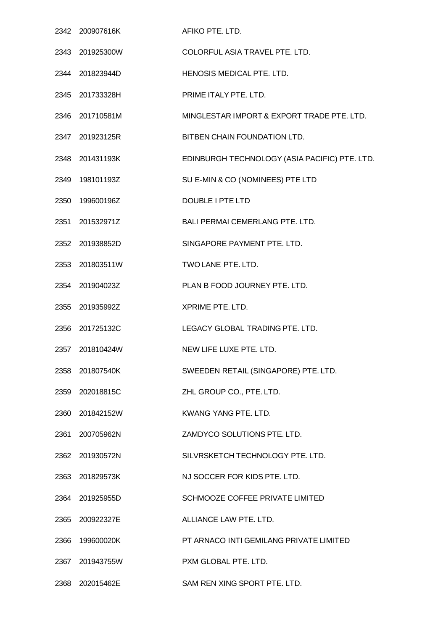| 2342 200907616K | AFIKO PTE. LTD.                               |
|-----------------|-----------------------------------------------|
| 2343 201925300W | COLORFUL ASIA TRAVEL PTE. LTD.                |
| 2344 201823944D | HENOSIS MEDICAL PTE. LTD.                     |
| 2345 201733328H | PRIME ITALY PTE. LTD.                         |
| 2346 201710581M | MINGLESTAR IMPORT & EXPORT TRADE PTE. LTD.    |
| 2347 201923125R | BITBEN CHAIN FOUNDATION LTD.                  |
| 2348 201431193K | EDINBURGH TECHNOLOGY (ASIA PACIFIC) PTE. LTD. |
| 2349 198101193Z | SU E-MIN & CO (NOMINEES) PTE LTD              |
| 2350 199600196Z | <b>DOUBLE I PTE LTD</b>                       |
| 2351 201532971Z | BALI PERMAI CEMERLANG PTE. LTD.               |
| 2352 201938852D | SINGAPORE PAYMENT PTE. LTD.                   |
| 2353 201803511W | TWO LANE PTE. LTD.                            |
| 2354 201904023Z | PLAN B FOOD JOURNEY PTE. LTD.                 |
| 2355 201935992Z | XPRIME PTE. LTD.                              |
| 2356 201725132C | LEGACY GLOBAL TRADING PTE, LTD.               |
| 2357 201810424W | NEW LIFE LUXE PTE, LTD.                       |
| 2358 201807540K | SWEEDEN RETAIL (SINGAPORE) PTE. LTD.          |
| 2359 202018815C | ZHL GROUP CO., PTE. LTD.                      |
| 2360 201842152W | KWANG YANG PTE. LTD.                          |
| 2361 200705962N | ZAMDYCO SOLUTIONS PTE. LTD.                   |
| 2362 201930572N | SILVRSKETCH TECHNOLOGY PTE. LTD.              |
| 2363 201829573K | NJ SOCCER FOR KIDS PTE. LTD.                  |
| 2364 201925955D | SCHMOOZE COFFEE PRIVATE LIMITED               |
| 2365 200922327E | ALLIANCE LAW PTE. LTD.                        |
| 2366 199600020K | PT ARNACO INTI GEMILANG PRIVATE LIMITED       |
| 2367 201943755W | PXM GLOBAL PTE. LTD.                          |
| 2368 202015462E | SAM REN XING SPORT PTE. LTD.                  |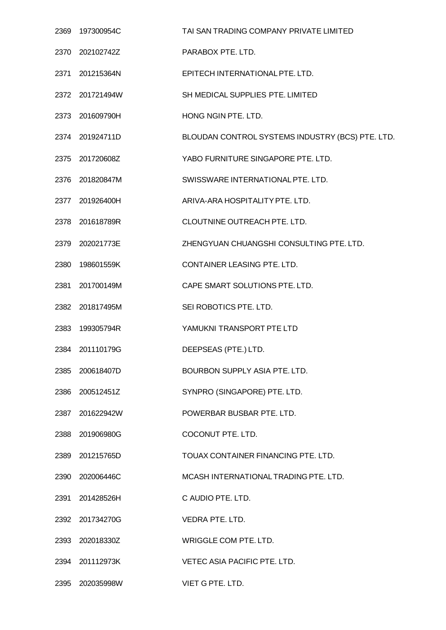| 2369 | 197300954C      | TAI SAN TRADING COMPANY PRIVATE LIMITED          |
|------|-----------------|--------------------------------------------------|
|      | 2370 202102742Z | PARABOX PTE. LTD.                                |
|      | 2371 201215364N | EPITECH INTERNATIONAL PTE. LTD.                  |
|      | 2372 201721494W | SH MEDICAL SUPPLIES PTE. LIMITED                 |
|      | 2373 201609790H | HONG NGIN PTE. LTD.                              |
|      | 2374 201924711D | BLOUDAN CONTROL SYSTEMS INDUSTRY (BCS) PTE. LTD. |
|      | 2375 201720608Z | YABO FURNITURE SINGAPORE PTE. LTD.               |
|      | 2376 201820847M | SWISSWARE INTERNATIONAL PTE. LTD.                |
|      | 2377 201926400H | ARIVA-ARA HOSPITALITY PTE. LTD.                  |
|      | 2378 201618789R | CLOUTNINE OUTREACH PTE. LTD.                     |
|      | 2379 202021773E | ZHENGYUAN CHUANGSHI CONSULTING PTE. LTD.         |
|      | 2380 198601559K | CONTAINER LEASING PTE. LTD.                      |
|      | 2381 201700149M | CAPE SMART SOLUTIONS PTE. LTD.                   |
|      | 2382 201817495M | SEI ROBOTICS PTE. LTD.                           |
|      | 2383 199305794R | YAMUKNI TRANSPORT PTE LTD                        |
| 2384 | 201110179G      | DEEPSEAS (PTE.) LTD.                             |
| 2385 | 200618407D      | BOURBON SUPPLY ASIA PTE. LTD.                    |
| 2386 | 200512451Z      | SYNPRO (SINGAPORE) PTE. LTD.                     |
|      | 2387 201622942W | POWERBAR BUSBAR PTE. LTD.                        |
| 2388 | 201906980G      | COCONUT PTE. LTD.                                |
|      | 2389 201215765D | TOUAX CONTAINER FINANCING PTE. LTD.              |
|      | 2390 202006446C | MCASH INTERNATIONAL TRADING PTE. LTD.            |
|      | 2391 201428526H | C AUDIO PTE. LTD.                                |
|      | 2392 201734270G | VEDRA PTE. LTD.                                  |
|      | 2393 202018330Z | WRIGGLE COM PTE. LTD.                            |
|      | 2394 201112973K | VETEC ASIA PACIFIC PTE. LTD.                     |
|      | 2395 202035998W | VIET G PTE. LTD.                                 |